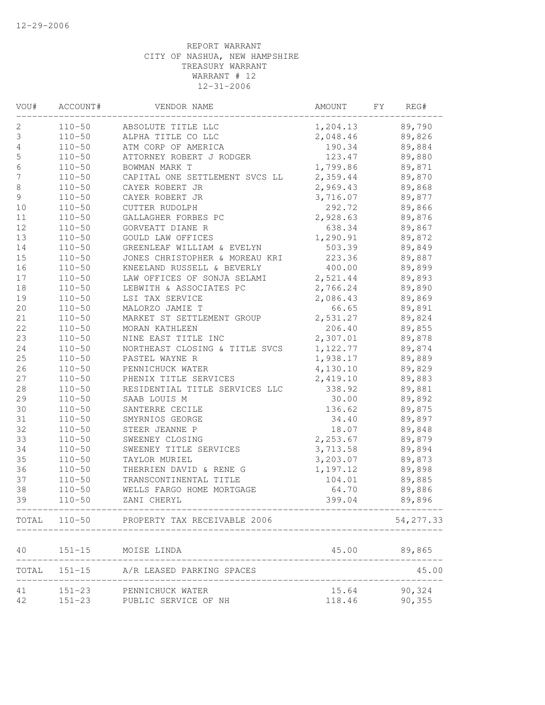| VOU#             | ACCOUNT#   | VENDOR NAME                                                           | AMOUNT                                 | FΥ | REG#      |
|------------------|------------|-----------------------------------------------------------------------|----------------------------------------|----|-----------|
| 2                | $110 - 50$ | ABSOLUTE TITLE LLC                                                    | 1,204.13                               |    | 89,790    |
| 3                | $110 - 50$ | ALPHA TITLE CO LLC                                                    | 2,048.46                               |    | 89,826    |
| 4                | $110 - 50$ | ATM CORP OF AMERICA                                                   | 190.34                                 |    | 89,884    |
| $\mathsf S$      | $110 - 50$ | ATTORNEY ROBERT J RODGER                                              | 123.47                                 |    | 89,880    |
| $\sqrt{6}$       | $110 - 50$ | BOWMAN MARK T                                                         | 1,799.86                               |    | 89,871    |
| $\boldsymbol{7}$ | $110 - 50$ | CAPITAL ONE SETTLEMENT SVCS LL                                        | 2,359.44                               |    | 89,870    |
| $\,8\,$          | $110 - 50$ | CAYER ROBERT JR                                                       | 2,969.43                               |    | 89,868    |
| 9                | $110 - 50$ | CAYER ROBERT JR                                                       | 3,716.07                               |    | 89,877    |
| $10$             | $110 - 50$ | CUTTER RUDOLPH                                                        | 292.72                                 |    | 89,866    |
| 11               | $110 - 50$ | GALLAGHER FORBES PC                                                   | 2,928.63                               |    | 89,876    |
| 12               | $110 - 50$ | GORVEATT DIANE R                                                      | 638.34                                 |    | 89,867    |
| 13               | $110 - 50$ | GOULD LAW OFFICES                                                     | 1,290.91                               |    | 89,872    |
| 14               | $110 - 50$ | GREENLEAF WILLIAM & EVELYN                                            | 503.39                                 |    | 89,849    |
| 15               | $110 - 50$ | JONES CHRISTOPHER & MOREAU KRI                                        | 223.36                                 |    | 89,887    |
| 16               | $110 - 50$ | KNEELAND RUSSELL & BEVERLY                                            | 400.00                                 |    | 89,899    |
| $17$             | $110 - 50$ | LAW OFFICES OF SONJA SELAMI                                           | 2,521.44                               |    | 89,893    |
| 18               | $110 - 50$ | LEBWITH & ASSOCIATES PC                                               | 2,766.24                               |    | 89,890    |
| 19               | $110 - 50$ | LSI TAX SERVICE                                                       | 2,086.43                               |    | 89,869    |
| 20               | $110 - 50$ | MALORZO JAMIE T                                                       | 66.65                                  |    | 89,891    |
| 21               | $110 - 50$ | MARKET ST SETTLEMENT GROUP                                            | 2,531.27                               |    | 89,824    |
| 22               | $110 - 50$ | MORAN KATHLEEN                                                        | 206.40                                 |    | 89,855    |
| 23               | $110 - 50$ | NINE EAST TITLE INC                                                   | 2,307.01                               |    | 89,878    |
| 24               | $110 - 50$ | NORTHEAST CLOSING & TITLE SVCS                                        | 1,122.77                               |    | 89,874    |
| 25               | $110 - 50$ | PASTEL WAYNE R                                                        | 1,938.17                               |    | 89,889    |
| 26               | $110 - 50$ | PENNICHUCK WATER                                                      | 4,130.10                               |    | 89,829    |
| 27               | $110 - 50$ | PHENIX TITLE SERVICES                                                 | 2,419.10                               |    | 89,883    |
| $2\,8$           | $110 - 50$ | RESIDENTIAL TITLE SERVICES LLC                                        | 338.92                                 |    | 89,881    |
| 29               | $110 - 50$ | SAAB LOUIS M                                                          | 30.00                                  |    | 89,892    |
| 30               | $110 - 50$ | SANTERRE CECILE                                                       | 136.62                                 |    | 89,875    |
| 31               | $110 - 50$ | SMYRNIOS GEORGE                                                       | 34.40                                  |    | 89,897    |
| 32               | $110 - 50$ | STEER JEANNE P                                                        | 18.07                                  |    | 89,848    |
| 33               | $110 - 50$ | SWEENEY CLOSING                                                       | 2,253.67                               |    | 89,879    |
| 34               | $110 - 50$ | SWEENEY TITLE SERVICES                                                | 3,713.58                               |    | 89,894    |
| 35               | $110 - 50$ | TAYLOR MURIEL                                                         | 3,203.07                               |    | 89,873    |
| 36               | $110 - 50$ | THERRIEN DAVID & RENE G                                               | 1,197.12                               |    | 89,898    |
| 37               | $110 - 50$ | TRANSCONTINENTAL TITLE                                                | 104.01                                 |    | 89,885    |
| 38               | $110 - 50$ | WELLS FARGO HOME MORTGAGE                                             | 64.70                                  |    | 89,886    |
| 39               | $110 - 50$ | ZANI CHERYL                                                           | 399.04<br>____________________________ |    | 89,896    |
|                  |            | TOTAL 110-50 PROPERTY TAX RECEIVABLE 2006                             |                                        |    | 54,277.33 |
| 40               | $151 - 15$ | MOISE LINDA                                                           | 45.00                                  |    | 89,865    |
|                  |            | ___________________________<br>TOTAL 151-15 A/R LEASED PARKING SPACES |                                        |    | 45.00     |
| 41               |            | 151-23 PENNICHUCK WATER                                               | 15.64                                  |    | 90,324    |
| 42               |            | 151-23 PUBLIC SERVICE OF NH                                           | 118.46                                 |    | 90,355    |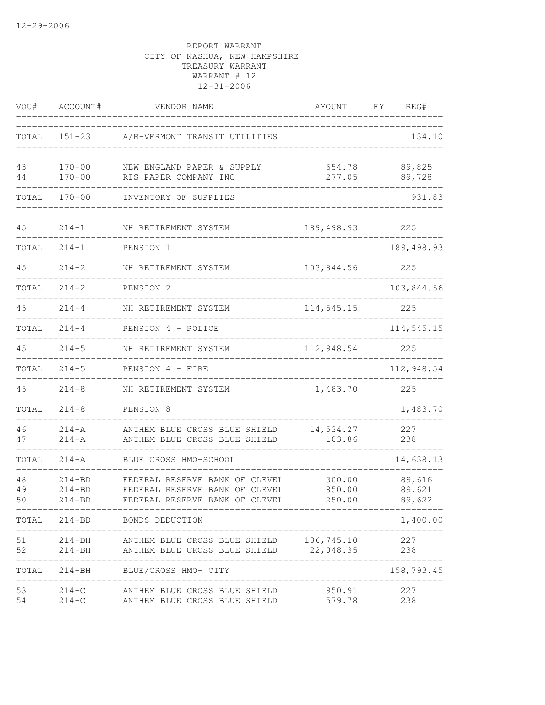| VOU#           | ACCOUNT#                               | VENDOR NAME                                                                                        | AMOUNT                     | FΥ | REG#                       |
|----------------|----------------------------------------|----------------------------------------------------------------------------------------------------|----------------------------|----|----------------------------|
| TOTAL          | $151 - 23$                             | A/R-VERMONT TRANSIT UTILITIES                                                                      |                            |    | 134.10                     |
| 43<br>44       | $170 - 00$<br>$170 - 00$               | NEW ENGLAND PAPER & SUPPLY<br>RIS PAPER COMPANY INC                                                | 654.78<br>277.05           |    | 89,825<br>89,728           |
| TOTAL          | $170 - 00$                             | INVENTORY OF SUPPLIES                                                                              |                            |    | 931.83                     |
| 45             | $214 - 1$                              | NH RETIREMENT SYSTEM                                                                               | 189,498.93                 |    | 225                        |
| TOTAL          | $214 - 1$                              | PENSION 1                                                                                          |                            |    | 189, 498.93                |
| 45             | $214 - 2$                              | NH RETIREMENT SYSTEM                                                                               | 103,844.56                 |    | 225                        |
| TOTAL          | $214 - 2$                              | PENSION <sub>2</sub>                                                                               |                            |    | 103,844.56                 |
| 45             | $214 - 4$                              | NH RETIREMENT SYSTEM                                                                               | 114,545.15                 |    | 225                        |
| TOTAL          | $214 - 4$                              | PENSION 4 - POLICE                                                                                 |                            |    | 114,545.15                 |
| 45             | $214 - 5$                              | NH RETIREMENT SYSTEM                                                                               | 112,948.54                 |    | 225                        |
| TOTAL          | $214 - 5$                              | PENSION 4 - FIRE                                                                                   |                            |    | 112,948.54                 |
| 45             | $214 - 8$                              | NH RETIREMENT SYSTEM                                                                               | 1,483.70                   |    | 225                        |
| TOTAL          | $214 - 8$                              | PENSION 8                                                                                          |                            |    | 1,483.70                   |
| 46<br>47       | $214 - A$<br>$214 - A$                 | ANTHEM BLUE CROSS BLUE SHIELD<br>ANTHEM BLUE CROSS BLUE SHIELD                                     | 14,534.27<br>103.86        |    | 227<br>238                 |
| TOTAL          | $214 - A$                              | BLUE CROSS HMO-SCHOOL                                                                              |                            |    | 14,638.13                  |
| 48<br>49<br>50 | $214 - BD$<br>$214 - BD$<br>$214 - BD$ | FEDERAL RESERVE BANK OF CLEVEL<br>FEDERAL RESERVE BANK OF CLEVEL<br>FEDERAL RESERVE BANK OF CLEVEL | 300.00<br>850.00<br>250.00 |    | 89,616<br>89,621<br>89,622 |
|                |                                        | TOTAL 214-BD BONDS DEDUCTION                                                                       | --------------             |    | 1,400.00                   |
| 51<br>52       |                                        | 214-BH ANTHEM BLUE CROSS BLUE SHIELD 136,745.10<br>214-BH ANTHEM BLUE CROSS BLUE SHIELD 22,048.35  |                            |    | 227<br>238                 |
|                |                                        | TOTAL 214-BH BLUE/CROSS HMO- CITY                                                                  |                            |    | 158,793.45                 |
| 53<br>54       | $214-C$                                | 214-C ANTHEM BLUE CROSS BLUE SHIELD<br>ANTHEM BLUE CROSS BLUE SHIELD                               | 950.91 227<br>579.78       |    | 238                        |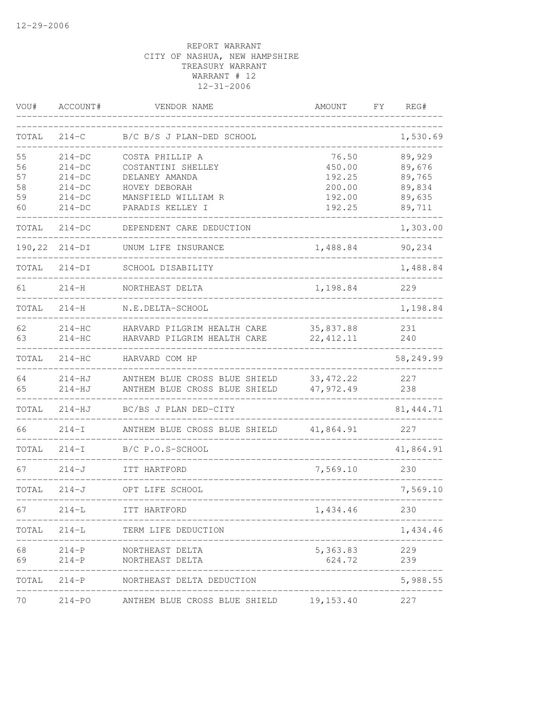| VOU#     | ACCOUNT#               | VENDOR NAME                                                         | AMOUNT                  | FΥ | REG#             |
|----------|------------------------|---------------------------------------------------------------------|-------------------------|----|------------------|
| TOTAL    | $214 - C$              | B/C B/S J PLAN-DED SCHOOL                                           |                         |    | 1,530.69         |
| 55<br>56 | $214-DC$<br>$214-DC$   | COSTA PHILLIP A<br>COSTANTINI SHELLEY                               | 76.50<br>450.00         |    | 89,929<br>89,676 |
| 57       | $214-DC$               | DELANEY AMANDA                                                      | 192.25                  |    | 89,765           |
| 58<br>59 | $214-DC$<br>$214-DC$   | HOVEY DEBORAH<br>MANSFIELD WILLIAM R                                | 200.00<br>192.00        |    | 89,834<br>89,635 |
| 60       | $214-DC$               | PARADIS KELLEY I                                                    | 192.25                  |    | 89,711           |
| TOTAL    | $214-DC$               | DEPENDENT CARE DEDUCTION                                            |                         |    | 1,303.00         |
| 190,22   | $214-DI$               | UNUM LIFE INSURANCE                                                 | 1,488.84                |    | 90,234           |
| TOTAL    | $214-DI$               | SCHOOL DISABILITY                                                   |                         |    | 1,488.84         |
| 61       | $214 - H$              | NORTHEAST DELTA                                                     | 1,198.84                |    | 229              |
| TOTAL    | $214 - H$              | N.E.DELTA-SCHOOL                                                    |                         |    | 1,198.84         |
| 62       | $214-HC$               | HARVARD PILGRIM HEALTH CARE                                         | 35,837.88               |    | 231              |
| 63       | $214-HC$               | HARVARD PILGRIM HEALTH CARE                                         | 22, 412.11              |    | 240              |
| TOTAL    | $214-HC$               | HARVARD COM HP                                                      |                         |    | 58,249.99        |
| 64<br>65 | $214-HJ$<br>$214 - HJ$ | ANTHEM BLUE CROSS BLUE SHIELD<br>ANTHEM BLUE CROSS BLUE SHIELD      | 33, 472.22<br>47,972.49 |    | 227<br>238       |
| TOTAL    | $214-HJ$               | BC/BS J PLAN DED-CITY                                               |                         |    | 81, 444.71       |
| 66       | $214-I$                | ANTHEM BLUE CROSS BLUE SHIELD                                       | 41,864.91               |    | 227              |
| TOTAL    | $214-I$                | B/C P.O.S-SCHOOL                                                    |                         |    | 41,864.91        |
| 67       | $214 - J$              | ITT HARTFORD                                                        | 7,569.10                |    | 230              |
| TOTAL    | $214 - J$              | OPT LIFE SCHOOL                                                     |                         |    | 7,569.10         |
| 67       | $214-L$                | ----------------------------<br>ITT HARTFORD<br>------------------- | 1,434.46                |    | 230              |
| TOTAL    | $214 - L$              | TERM LIFE DEDUCTION                                                 |                         |    | 1,434.46         |
| 68       | 214-P                  | NORTHEAST DELTA                                                     | 5,363.83                |    | 229              |
| 69       | $214-P$                | NORTHEAST DELTA                                                     | 624.72                  |    | 239              |
| TOTAL    |                        | 214-P NORTHEAST DELTA DEDUCTION                                     |                         |    | 5,988.55         |
| 70       |                        | 214-PO ANTHEM BLUE CROSS BLUE SHIELD                                | 19,153.40               |    | 227              |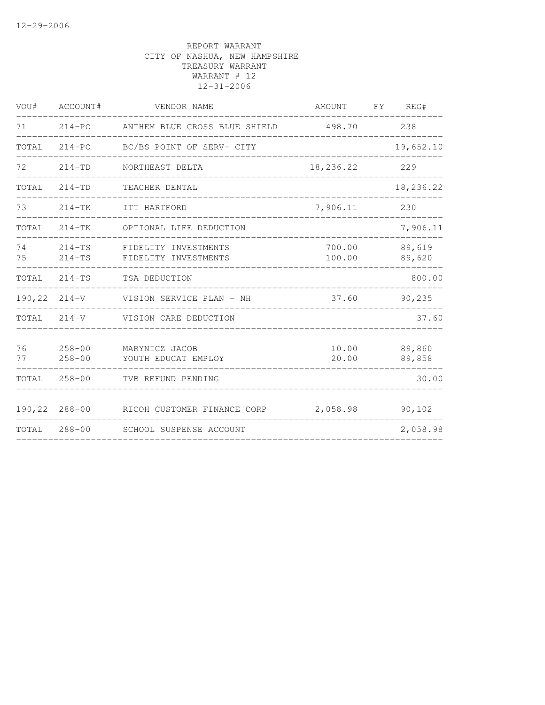| VOU#     | ACCOUNT#                 | VENDOR NAME                                  | AMOUNT           | FY | REG#             |
|----------|--------------------------|----------------------------------------------|------------------|----|------------------|
| 71       | $214 - PO$               | ANTHEM BLUE CROSS BLUE SHIELD                | 498.70           |    | 238              |
| TOTAL    | $214 - PQ$               | BC/BS POINT OF SERV- CITY                    |                  |    | 19,652.10        |
| 72       | $214 - TD$               | NORTHEAST DELTA                              | 18,236.22        |    | 229              |
| TOTAL    | $214 - TD$               | TEACHER DENTAL                               |                  |    | 18,236.22        |
| 73       | $214-TK$                 | ITT HARTFORD                                 | 7,906.11         |    | 230              |
| TOTAL    | $214-TK$                 | OPTIONAL LIFE DEDUCTION                      |                  |    | 7,906.11         |
| 74<br>75 | $214-TS$<br>$214-TS$     | FIDELITY INVESTMENTS<br>FIDELITY INVESTMENTS | 700.00<br>100.00 |    | 89,619<br>89,620 |
| TOTAL    | $214-TS$                 | TSA DEDUCTION                                |                  |    | 800.00           |
| 190,22   | $214 - V$                | VISION SERVICE PLAN - NH                     | 37.60            |    | 90,235           |
| TOTAL    | $214 - V$                | VISION CARE DEDUCTION                        |                  |    | 37.60            |
| 76<br>77 | $258 - 00$<br>$258 - 00$ | MARYNICZ JACOB<br>YOUTH EDUCAT EMPLOY        | 10.00<br>20.00   |    | 89,860<br>89,858 |
| TOTAL    | $258 - 00$               | TVB REFUND PENDING                           |                  |    | 30.00            |
| 190,22   | $288 - 00$               | RICOH CUSTOMER FINANCE CORP                  | 2,058.98         |    | 90,102           |
| TOTAL    | $288 - 00$               | SCHOOL SUSPENSE ACCOUNT                      |                  |    | 2,058.98         |
|          |                          |                                              |                  |    |                  |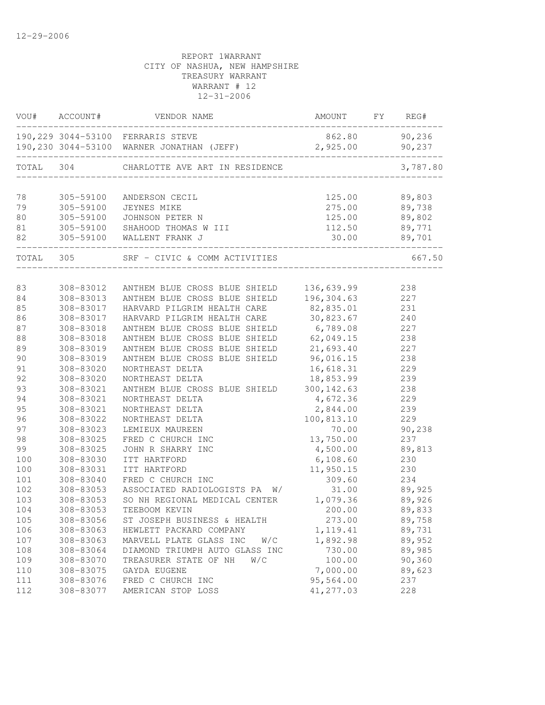| VOU#  | ACCOUNT#  | VENDOR NAME                                                                     | AMOUNT             | FY | REG#             |
|-------|-----------|---------------------------------------------------------------------------------|--------------------|----|------------------|
|       |           | 190, 229 3044-53100 FERRARIS STEVE<br>190,230 3044-53100 WARNER JONATHAN (JEFF) | 862.80<br>2,925.00 |    | 90,236<br>90,237 |
| TOTAL | 304       | CHARLOTTE AVE ART IN RESIDENCE                                                  |                    |    | 3,787.80         |
|       |           |                                                                                 |                    |    |                  |
| 78    | 305-59100 | ANDERSON CECIL                                                                  | 125.00             |    | 89,803           |
| 79    | 305-59100 | JEYNES MIKE                                                                     | 275.00             |    | 89,738           |
| 80    | 305-59100 | JOHNSON PETER N                                                                 | 125.00             |    | 89,802           |
| 81    | 305-59100 | SHAHOOD THOMAS W III                                                            | 112.50             |    | 89,771           |
| 82    | 305-59100 | WALLENT FRANK J                                                                 | 30.00              |    | 89,701           |
| TOTAL | 305       | SRF - CIVIC & COMM ACTIVITIES                                                   |                    |    | 667.50           |
|       |           |                                                                                 |                    |    |                  |
| 83    | 308-83012 | ANTHEM BLUE CROSS BLUE SHIELD                                                   | 136,639.99         |    | 238              |
| 84    | 308-83013 | ANTHEM BLUE CROSS BLUE SHIELD                                                   | 196,304.63         |    | 227              |
| 85    | 308-83017 | HARVARD PILGRIM HEALTH CARE                                                     | 82,835.01          |    | 231              |
| 86    | 308-83017 | HARVARD PILGRIM HEALTH CARE                                                     | 30,823.67          |    | 240              |
| 87    | 308-83018 | ANTHEM BLUE CROSS BLUE SHIELD                                                   | 6,789.08           |    | 227              |
| 88    | 308-83018 | ANTHEM BLUE CROSS BLUE SHIELD                                                   | 62,049.15          |    | 238              |
| 89    | 308-83019 | ANTHEM BLUE CROSS BLUE SHIELD                                                   | 21,693.40          |    | 227              |
| 90    | 308-83019 | ANTHEM BLUE CROSS BLUE SHIELD                                                   | 96,016.15          |    | 238              |
| 91    | 308-83020 | NORTHEAST DELTA                                                                 | 16,618.31          |    | 229              |
| 92    | 308-83020 | NORTHEAST DELTA                                                                 | 18,853.99          |    | 239              |
| 93    | 308-83021 | ANTHEM BLUE CROSS BLUE SHIELD                                                   | 300, 142.63        |    | 238              |
| 94    | 308-83021 | NORTHEAST DELTA                                                                 | 4,672.36           |    | 229              |
| 95    | 308-83021 | NORTHEAST DELTA                                                                 |                    |    |                  |
|       |           |                                                                                 | 2,844.00           |    | 239              |
| 96    | 308-83022 | NORTHEAST DELTA                                                                 | 100,813.10         |    | 229              |
| 97    | 308-83023 | LEMIEUX MAUREEN                                                                 | 70.00              |    | 90,238           |
| 98    | 308-83025 | FRED C CHURCH INC                                                               | 13,750.00          |    | 237              |
| 99    | 308-83025 | JOHN R SHARRY INC                                                               | 4,500.00           |    | 89,813           |
| 100   | 308-83030 | ITT HARTFORD                                                                    | 6,108.60           |    | 230              |
| 100   | 308-83031 | ITT HARTFORD                                                                    | 11,950.15          |    | 230              |
| 101   | 308-83040 | FRED C CHURCH INC                                                               | 309.60             |    | 234              |
| 102   | 308-83053 | ASSOCIATED RADIOLOGISTS PA W/                                                   | 31.00              |    | 89,925           |
| 103   | 308-83053 | SO NH REGIONAL MEDICAL CENTER                                                   | 1,079.36           |    | 89,926           |
| 104   | 308-83053 | TEEBOOM KEVIN                                                                   | 200.00             |    | 89,833           |
| 105   | 308-83056 | ST JOSEPH BUSINESS & HEALTH                                                     | 273.00             |    | 89,758           |
| 106   | 308-83063 | HEWLETT PACKARD COMPANY                                                         | 1, 119.41          |    | 89,731           |
| 107   | 308-83063 | MARVELL PLATE GLASS INC<br>W/C                                                  | 1,892.98           |    | 89,952           |
| 108   | 308-83064 | DIAMOND TRIUMPH AUTO GLASS INC                                                  | 730.00             |    | 89,985           |
| 109   | 308-83070 | TREASURER STATE OF NH<br>W/C                                                    | 100.00             |    | 90,360           |
| $110$ | 308-83075 | GAYDA EUGENE                                                                    | 7,000.00           |    | 89,623           |
| 111   | 308-83076 | FRED C CHURCH INC                                                               | 95,564.00          |    | 237              |
| 112   | 308-83077 | AMERICAN STOP LOSS                                                              | 41,277.03          |    | 228              |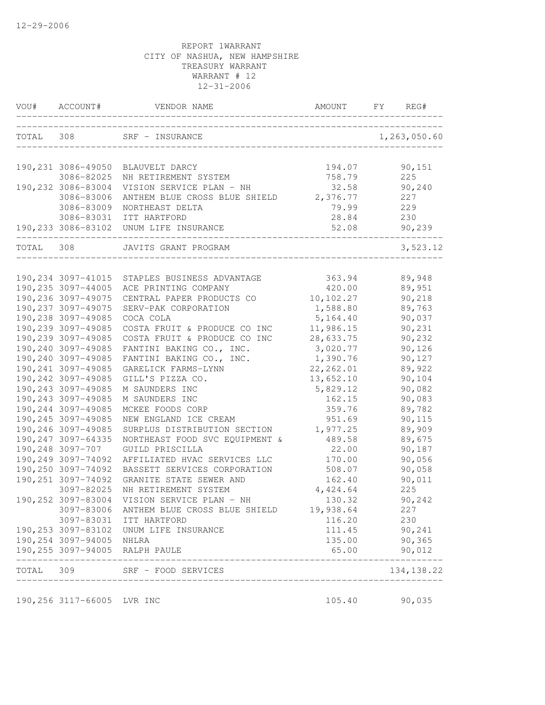| VOU#      | ACCOUNT#                                 | VENDOR NAME                                                       | AMOUNT                | FY<br>REG#              |
|-----------|------------------------------------------|-------------------------------------------------------------------|-----------------------|-------------------------|
| TOTAL 308 |                                          | SRF - INSURANCE                                                   |                       | 1,263,050.60            |
|           |                                          | 190,231 3086-49050 BLAUVELT DARCY                                 | 194.07                | 90,151                  |
|           | 3086-82025                               | NH RETIREMENT SYSTEM                                              | 758.79                | 225                     |
|           | 190,232 3086-83004                       | VISION SERVICE PLAN - NH                                          | 32.58                 | 90,240                  |
|           | 3086-83006                               | ANTHEM BLUE CROSS BLUE SHIELD                                     | 2,376.77              | 227                     |
|           | 3086-83009                               | NORTHEAST DELTA                                                   | 79.99                 | 229                     |
|           | 3086-83031                               | ITT HARTFORD                                                      | 28.84                 | 230                     |
|           |                                          | 190,233 3086-83102 UNUM LIFE INSURANCE                            | 52.08                 | 90,239                  |
| TOTAL     | 308                                      | JAVITS GRANT PROGRAM                                              |                       | 3,523.12                |
|           |                                          |                                                                   |                       |                         |
|           |                                          | 190, 234 3097-41015 STAPLES BUSINESS ADVANTAGE                    | 363.94                | 89,948                  |
|           | 190,235 3097-44005<br>190,236 3097-49075 | ACE PRINTING COMPANY                                              | 420.00                | 89,951                  |
|           | 190, 237 3097-49075                      | CENTRAL PAPER PRODUCTS CO<br>SERV-PAK CORPORATION                 | 10,102.27<br>1,588.80 | 90,218<br>89,763        |
|           | 190,238 3097-49085                       | COCA COLA                                                         | 5,164.40              | 90,037                  |
|           | 190,239 3097-49085                       | COSTA FRUIT & PRODUCE CO INC                                      | 11,986.15             | 90,231                  |
|           | 190,239 3097-49085                       | COSTA FRUIT & PRODUCE CO INC                                      | 28,633.75             | 90,232                  |
|           | 190,240 3097-49085                       | FANTINI BAKING CO., INC.                                          | 3,020.77              | 90,126                  |
|           | 190,240 3097-49085                       | FANTINI BAKING CO., INC.                                          | 1,390.76              | 90,127                  |
|           | 190, 241 3097-49085                      | GARELICK FARMS-LYNN                                               | 22, 262.01            | 89,922                  |
|           | 190, 242 3097-49085                      | GILL'S PIZZA CO.                                                  | 13,652.10             | 90,104                  |
|           | 190, 243 3097-49085                      | M SAUNDERS INC                                                    | 5,829.12              | 90,082                  |
|           | 190, 243 3097-49085                      | M SAUNDERS INC                                                    | 162.15                | 90,083                  |
|           | 190,244 3097-49085                       | MCKEE FOODS CORP                                                  | 359.76                | 89,782                  |
|           | 190,245 3097-49085                       | NEW ENGLAND ICE CREAM                                             | 951.69                | 90,115                  |
|           | 190,246 3097-49085                       | SURPLUS DISTRIBUTION SECTION                                      | 1,977.25              | 89,909                  |
|           | 190, 247 3097-64335                      | NORTHEAST FOOD SVC EQUIPMENT &                                    | 489.58                | 89,675                  |
|           | 190,248 3097-707                         | GUILD PRISCILLA                                                   | 22.00                 | 90,187                  |
|           | 190,249 3097-74092                       | AFFILIATED HVAC SERVICES LLC                                      | 170.00                | 90,056                  |
|           | 190,250 3097-74092                       | BASSETT SERVICES CORPORATION                                      | 508.07                | 90,058                  |
|           | 190, 251 3097-74092                      | GRANITE STATE SEWER AND                                           | 162.40                | 90,011                  |
|           | 3097-82025                               | NH RETIREMENT SYSTEM                                              | 4,424.64              | 225                     |
|           | 190,252 3097-83004                       | VISION SERVICE PLAN - NH                                          | 130.32                | 90,242                  |
|           |                                          | 3097-83006 ANTHEM BLUE CROSS BLUE SHIELD                          | 19,938.64             | 227                     |
|           |                                          | 3097-83031 ITT HARTFORD                                           | 116.20                | 230                     |
|           |                                          | 190, 253 3097-83102 UNUM LIFE INSURANCE                           | 111.45                | 90,241                  |
|           | 190,254 3097-94005 NHLRA                 |                                                                   | 135.00                | 90,365                  |
|           |                                          | 190,255 3097-94005 RALPH PAULE<br>_______________________________ | 65.00                 | 90,012<br>_____________ |
|           |                                          | TOTAL 309 SRF - FOOD SERVICES                                     |                       | 134, 138.22             |
|           | 190,256 3117-66005 LVR INC               |                                                                   | 105.40                | 90,035                  |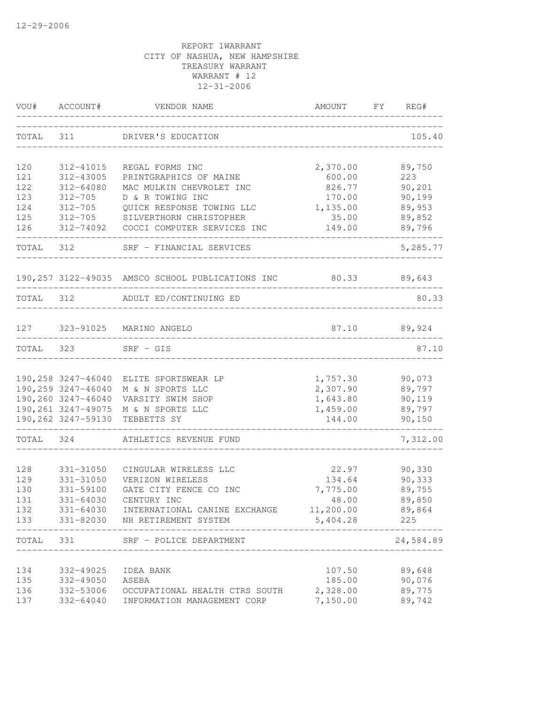| VOU#       | ACCOUNT#               | VENDOR NAME                                                   | AMOUNT                          | FY | REG#          |
|------------|------------------------|---------------------------------------------------------------|---------------------------------|----|---------------|
| TOTAL      | 311                    | DRIVER'S EDUCATION                                            |                                 |    | 105.40        |
| 120        | 312-41015              | REGAL FORMS INC                                               | 2,370.00                        |    | 89,750        |
| 121        | 312-43005              | PRINTGRAPHICS OF MAINE                                        | 600.00                          |    | 223           |
| 122        | 312-64080              | MAC MULKIN CHEVROLET INC                                      | 826.77                          |    | 90,201        |
| 123        | $312 - 705$            | D & R TOWING INC                                              | 170.00                          |    | 90,199        |
| 124        | $312 - 705$            | QUICK RESPONSE TOWING LLC                                     | 1,135.00                        |    | 89,953        |
| 125        | $312 - 705$            | SILVERTHORN CHRISTOPHER                                       | 35.00                           |    | 89,852        |
| 126        |                        | 312-74092 COCCI COMPUTER SERVICES INC                         | 149.00                          |    | 89,796        |
| TOTAL 312  |                        | SRF - FINANCIAL SERVICES                                      |                                 |    | 5,285.77      |
|            |                        | 190,257 3122-49035 AMSCO SCHOOL PUBLICATIONS INC 80.33 89,643 |                                 |    |               |
|            |                        | TOTAL 312 ADULT ED/CONTINUING ED                              |                                 |    | 80.33         |
|            |                        |                                                               | _______________________________ |    |               |
|            | 127 323-91025          | MARINO ANGELO                                                 | 87.10                           |    | 89,924        |
| TOTAL      | 323                    | $SRF - GIS$                                                   |                                 |    | 87.10         |
|            |                        |                                                               |                                 |    |               |
|            |                        | 190,258 3247-46040 ELITE SPORTSWEAR LP                        | 1,757.30                        |    | 90,073        |
|            | 190,259 3247-46040     | M & N SPORTS LLC                                              | 2,307.90                        |    | 89,797        |
|            |                        | 190,260 3247-46040 VARSITY SWIM SHOP                          | 1,643.80                        |    | 90,119        |
|            |                        | 190,261 3247-49075 M & N SPORTS LLC                           | 1,459.00                        |    | 89,797        |
|            | 190,262 3247-59130     | TEBBETTS SY                                                   | 144.00                          |    | 90,150        |
| TOTAL      | 324                    | ATHLETICS REVENUE FUND                                        |                                 |    | 7,312.00      |
|            |                        |                                                               |                                 |    |               |
| 128        | 331-31050              | CINGULAR WIRELESS LLC                                         | 22.97                           |    | 90,330        |
| 129        | 331-31050              | VERIZON WIRELESS                                              | 134.64                          |    | 90,333        |
| 130        | 331-59100              | GATE CITY FENCE CO INC                                        | 7,775.00                        |    | 89,755        |
| 131        | $331 - 64030$          | CENTURY INC                                                   | 48.00                           |    | 89,850        |
| 132<br>133 | 331-64030<br>331-82030 | INTERNATIONAL CANINE EXCHANGE<br>NH RETIREMENT SYSTEM         | 11,200.00<br>5,404.28           |    | 89,864<br>225 |
|            |                        |                                                               |                                 |    |               |
| TOTAL      | 331                    | SRF - POLICE DEPARTMENT<br>__________________                 |                                 |    | 24,584.89     |
| 134        | 332-49025              | IDEA BANK                                                     | 107.50                          |    | 89,648        |
| 135        | 332-49050              | ASEBA                                                         | 185.00                          |    | 90,076        |
| 136        | 332-53006              | OCCUPATIONAL HEALTH CTRS SOUTH                                | 2,328.00                        |    | 89,775        |
| 137        | 332-64040              | INFORMATION MANAGEMENT CORP                                   | 7,150.00                        |    | 89,742        |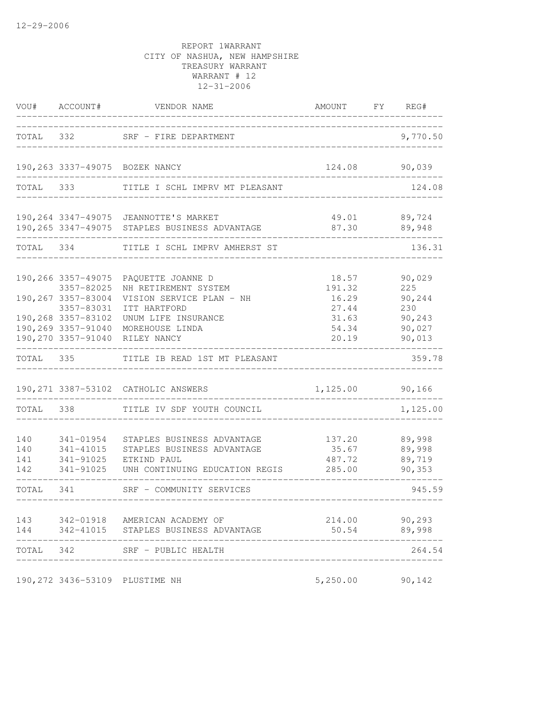|                          | VOU# ACCOUNT#                                                                                                                          | VENDOR NAME                                                                                                                                    | AMOUNT FY REG#                                               |                                                              |
|--------------------------|----------------------------------------------------------------------------------------------------------------------------------------|------------------------------------------------------------------------------------------------------------------------------------------------|--------------------------------------------------------------|--------------------------------------------------------------|
|                          |                                                                                                                                        | TOTAL 332 SRF - FIRE DEPARTMENT                                                                                                                | _____________________________                                | 9,770.50                                                     |
|                          |                                                                                                                                        | 190,263 3337-49075 BOZEK NANCY                                                                                                                 |                                                              | 124.08 90,039                                                |
|                          | TOTAL 333                                                                                                                              | TITLE I SCHL IMPRV MT PLEASANT                                                                                                                 | --------------------------------                             | 124.08                                                       |
|                          |                                                                                                                                        | 190, 264 3347-49075 JEANNOTTE'S MARKET<br>190,265 3347-49075 STAPLES BUSINESS ADVANTAGE                                                        |                                                              | 49.01 89,724<br>$87.30$ $89,948$                             |
|                          |                                                                                                                                        | TOTAL 334 TITLE I SCHL IMPRV AMHERST ST                                                                                                        |                                                              | 136.31                                                       |
|                          | 190,266 3357-49075<br>3357-82025<br>190,267 3357-83004<br>3357-83031<br>190,268 3357-83102<br>190,269 3357-91040<br>190,270 3357-91040 | PAQUETTE JOANNE D<br>NH RETIREMENT SYSTEM<br>VISION SERVICE PLAN - NH<br>ITT HARTFORD<br>UNUM LIFE INSURANCE<br>MOREHOUSE LINDA<br>RILEY NANCY | 18.57<br>191.32<br>16.29<br>27.44<br>31.63<br>54.34<br>20.19 | 90,029<br>225<br>90,244<br>230<br>90,243<br>90,027<br>90,013 |
| TOTAL 335                |                                                                                                                                        | TITLE IB READ 1ST MT PLEASANT                                                                                                                  |                                                              | 359.78                                                       |
|                          |                                                                                                                                        | 190, 271 3387-53102 CATHOLIC ANSWERS                                                                                                           | 1,125.00 90,166                                              |                                                              |
|                          |                                                                                                                                        | TOTAL 338 TITLE IV SDF YOUTH COUNCIL                                                                                                           |                                                              | 1,125.00                                                     |
| 140<br>140<br>141<br>142 | 341-01954<br>341-41015                                                                                                                 | STAPLES BUSINESS ADVANTAGE<br>STAPLES BUSINESS ADVANTAGE<br>341-91025 ETKIND PAUL<br>341-91025 UNH CONTINUING EDUCATION REGIS                  | 137.20 89,998<br>487.72 89,719<br>285.00                     | $35.67$ 89,998<br>90,353                                     |
| TOTAL 341                |                                                                                                                                        | SRF - COMMUNITY SERVICES                                                                                                                       | ________________________________                             | 945.59                                                       |
| 143<br>144               | 342-01918<br>342-41015                                                                                                                 | AMERICAN ACADEMY OF<br>STAPLES BUSINESS ADVANTAGE                                                                                              | 214.00<br>50.54                                              | 90,293<br>89,998                                             |
| TOTAL                    | 342                                                                                                                                    | SRF - PUBLIC HEALTH                                                                                                                            |                                                              | 264.54                                                       |
|                          |                                                                                                                                        | 190,272 3436-53109 PLUSTIME NH                                                                                                                 | 5,250.00                                                     | 90,142                                                       |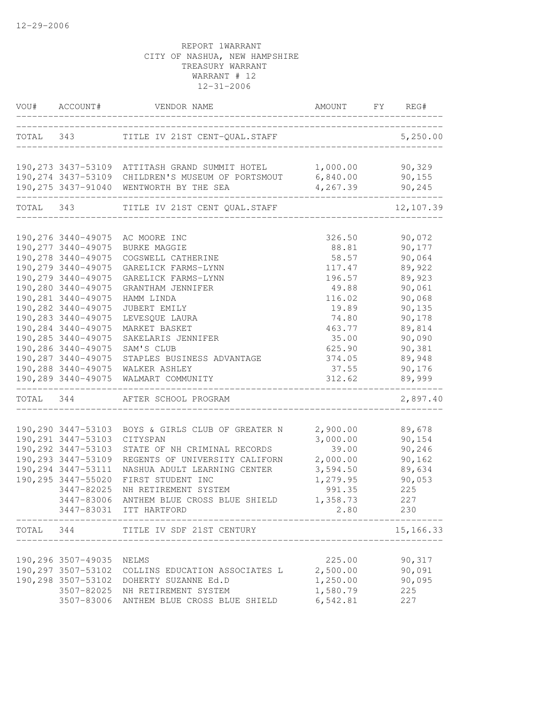| TOTAL 343 TITLE IV 21ST CENT-QUAL.STAFF<br>5,250.00<br>190,273 3437-53109 ATTITASH GRAND SUMMIT HOTEL 1,000.00 90,329<br>190,274 3437-53109 CHILDREN'S MUSEUM OF PORTSMOUT 6,840.00<br>90,155<br>190,275 3437-91040<br>4,267.39<br>WENTWORTH BY THE SEA<br>90,245<br>TOTAL 343<br>TITLE IV 21ST CENT QUAL. STAFF<br>12,107.39<br>190,276 3440-49075<br>90,072<br>AC MOORE INC<br>326.50<br>190, 277 3440-49075<br>88.81<br>90,177<br>BURKE MAGGIE<br>190, 278 3440-49075<br>58.57<br>90,064<br>COGSWELL CATHERINE<br>190, 279 3440-49075<br>89,922<br>GARELICK FARMS-LYNN<br>117.47<br>190, 279 3440-49075<br>89,923<br>GARELICK FARMS-LYNN<br>196.57<br>190,280 3440-49075<br>90,061<br>49.88<br>GRANTHAM JENNIFER<br>190,281 3440-49075<br>90,068<br>116.02<br>HAMM LINDA<br>190,282 3440-49075<br>90,135<br>19.89<br>JUBERT EMILY<br>190,283 3440-49075<br>90,178<br>74.80<br>LEVESQUE LAURA<br>190,284 3440-49075<br>89,814<br>MARKET BASKET<br>463.77<br>190,285 3440-49075<br>90,090<br>SAKELARIS JENNIFER<br>35.00<br>190,286 3440-49075<br>SAM'S CLUB<br>625.90<br>90,381<br>190,287 3440-49075<br>89,948<br>374.05<br>STAPLES BUSINESS ADVANTAGE<br>190,288 3440-49075<br>37.55<br>90,176<br>WALKER ASHLEY<br>190,289 3440-49075<br>312.62<br>89,999<br>WALMART COMMUNITY<br>TOTAL 344 AFTER SCHOOL PROGRAM<br>2,897.40<br>190,290 3447-53103<br>BOYS & GIRLS CLUB OF GREATER N<br>2,900.00<br>89,678<br>190, 291 3447-53103<br>3,000.00<br>CITYSPAN<br>90,154<br>190, 292 3447-53103<br>39.00<br>STATE OF NH CRIMINAL RECORDS<br>90,246<br>190,293 3447-53109<br>2,000.00<br>REGENTS OF UNIVERSITY CALIFORN<br>90, 162<br>190,294 3447-53111<br>89,634<br>NASHUA ADULT LEARNING CENTER<br>3,594.50<br>190,295 3447-55020<br>FIRST STUDENT INC<br>1,279.95<br>90,053<br>991.35<br>225<br>3447-82025<br>NH RETIREMENT SYSTEM<br>3447-83006<br>1,358.73<br>227<br>ANTHEM BLUE CROSS BLUE SHIELD<br>3447-83031 ITT HARTFORD<br>2.80<br>230<br>15,166.33<br>TOTAL<br>344<br>TITLE IV SDF 21ST CENTURY<br>90,317<br>190,296 3507-49035<br>225.00<br>NELMS<br>190,297 3507-53102 COLLINS EDUCATION ASSOCIATES L<br>2,500.00<br>90,091<br>90,095<br>190,298 3507-53102 DOHERTY SUZANNE Ed.D<br>1,250.00<br>1,580.79<br>3507-82025<br>225<br>NH RETIREMENT SYSTEM<br>6,542.81<br>3507-83006<br>227<br>ANTHEM BLUE CROSS BLUE SHIELD | VOU# ACCOUNT# | VENDOR NAME | AMOUNT FY REG# |  |
|--------------------------------------------------------------------------------------------------------------------------------------------------------------------------------------------------------------------------------------------------------------------------------------------------------------------------------------------------------------------------------------------------------------------------------------------------------------------------------------------------------------------------------------------------------------------------------------------------------------------------------------------------------------------------------------------------------------------------------------------------------------------------------------------------------------------------------------------------------------------------------------------------------------------------------------------------------------------------------------------------------------------------------------------------------------------------------------------------------------------------------------------------------------------------------------------------------------------------------------------------------------------------------------------------------------------------------------------------------------------------------------------------------------------------------------------------------------------------------------------------------------------------------------------------------------------------------------------------------------------------------------------------------------------------------------------------------------------------------------------------------------------------------------------------------------------------------------------------------------------------------------------------------------------------------------------------------------------------------------------------------------------------------------------------------------------------------------------------------------------------------------------------------------------------------------------------------------------------------------------------------------------------------------------------------------------------------------|---------------|-------------|----------------|--|
|                                                                                                                                                                                                                                                                                                                                                                                                                                                                                                                                                                                                                                                                                                                                                                                                                                                                                                                                                                                                                                                                                                                                                                                                                                                                                                                                                                                                                                                                                                                                                                                                                                                                                                                                                                                                                                                                                                                                                                                                                                                                                                                                                                                                                                                                                                                                      |               |             |                |  |
|                                                                                                                                                                                                                                                                                                                                                                                                                                                                                                                                                                                                                                                                                                                                                                                                                                                                                                                                                                                                                                                                                                                                                                                                                                                                                                                                                                                                                                                                                                                                                                                                                                                                                                                                                                                                                                                                                                                                                                                                                                                                                                                                                                                                                                                                                                                                      |               |             |                |  |
|                                                                                                                                                                                                                                                                                                                                                                                                                                                                                                                                                                                                                                                                                                                                                                                                                                                                                                                                                                                                                                                                                                                                                                                                                                                                                                                                                                                                                                                                                                                                                                                                                                                                                                                                                                                                                                                                                                                                                                                                                                                                                                                                                                                                                                                                                                                                      |               |             |                |  |
|                                                                                                                                                                                                                                                                                                                                                                                                                                                                                                                                                                                                                                                                                                                                                                                                                                                                                                                                                                                                                                                                                                                                                                                                                                                                                                                                                                                                                                                                                                                                                                                                                                                                                                                                                                                                                                                                                                                                                                                                                                                                                                                                                                                                                                                                                                                                      |               |             |                |  |
|                                                                                                                                                                                                                                                                                                                                                                                                                                                                                                                                                                                                                                                                                                                                                                                                                                                                                                                                                                                                                                                                                                                                                                                                                                                                                                                                                                                                                                                                                                                                                                                                                                                                                                                                                                                                                                                                                                                                                                                                                                                                                                                                                                                                                                                                                                                                      |               |             |                |  |
|                                                                                                                                                                                                                                                                                                                                                                                                                                                                                                                                                                                                                                                                                                                                                                                                                                                                                                                                                                                                                                                                                                                                                                                                                                                                                                                                                                                                                                                                                                                                                                                                                                                                                                                                                                                                                                                                                                                                                                                                                                                                                                                                                                                                                                                                                                                                      |               |             |                |  |
|                                                                                                                                                                                                                                                                                                                                                                                                                                                                                                                                                                                                                                                                                                                                                                                                                                                                                                                                                                                                                                                                                                                                                                                                                                                                                                                                                                                                                                                                                                                                                                                                                                                                                                                                                                                                                                                                                                                                                                                                                                                                                                                                                                                                                                                                                                                                      |               |             |                |  |
|                                                                                                                                                                                                                                                                                                                                                                                                                                                                                                                                                                                                                                                                                                                                                                                                                                                                                                                                                                                                                                                                                                                                                                                                                                                                                                                                                                                                                                                                                                                                                                                                                                                                                                                                                                                                                                                                                                                                                                                                                                                                                                                                                                                                                                                                                                                                      |               |             |                |  |
|                                                                                                                                                                                                                                                                                                                                                                                                                                                                                                                                                                                                                                                                                                                                                                                                                                                                                                                                                                                                                                                                                                                                                                                                                                                                                                                                                                                                                                                                                                                                                                                                                                                                                                                                                                                                                                                                                                                                                                                                                                                                                                                                                                                                                                                                                                                                      |               |             |                |  |
|                                                                                                                                                                                                                                                                                                                                                                                                                                                                                                                                                                                                                                                                                                                                                                                                                                                                                                                                                                                                                                                                                                                                                                                                                                                                                                                                                                                                                                                                                                                                                                                                                                                                                                                                                                                                                                                                                                                                                                                                                                                                                                                                                                                                                                                                                                                                      |               |             |                |  |
|                                                                                                                                                                                                                                                                                                                                                                                                                                                                                                                                                                                                                                                                                                                                                                                                                                                                                                                                                                                                                                                                                                                                                                                                                                                                                                                                                                                                                                                                                                                                                                                                                                                                                                                                                                                                                                                                                                                                                                                                                                                                                                                                                                                                                                                                                                                                      |               |             |                |  |
|                                                                                                                                                                                                                                                                                                                                                                                                                                                                                                                                                                                                                                                                                                                                                                                                                                                                                                                                                                                                                                                                                                                                                                                                                                                                                                                                                                                                                                                                                                                                                                                                                                                                                                                                                                                                                                                                                                                                                                                                                                                                                                                                                                                                                                                                                                                                      |               |             |                |  |
|                                                                                                                                                                                                                                                                                                                                                                                                                                                                                                                                                                                                                                                                                                                                                                                                                                                                                                                                                                                                                                                                                                                                                                                                                                                                                                                                                                                                                                                                                                                                                                                                                                                                                                                                                                                                                                                                                                                                                                                                                                                                                                                                                                                                                                                                                                                                      |               |             |                |  |
|                                                                                                                                                                                                                                                                                                                                                                                                                                                                                                                                                                                                                                                                                                                                                                                                                                                                                                                                                                                                                                                                                                                                                                                                                                                                                                                                                                                                                                                                                                                                                                                                                                                                                                                                                                                                                                                                                                                                                                                                                                                                                                                                                                                                                                                                                                                                      |               |             |                |  |
|                                                                                                                                                                                                                                                                                                                                                                                                                                                                                                                                                                                                                                                                                                                                                                                                                                                                                                                                                                                                                                                                                                                                                                                                                                                                                                                                                                                                                                                                                                                                                                                                                                                                                                                                                                                                                                                                                                                                                                                                                                                                                                                                                                                                                                                                                                                                      |               |             |                |  |
|                                                                                                                                                                                                                                                                                                                                                                                                                                                                                                                                                                                                                                                                                                                                                                                                                                                                                                                                                                                                                                                                                                                                                                                                                                                                                                                                                                                                                                                                                                                                                                                                                                                                                                                                                                                                                                                                                                                                                                                                                                                                                                                                                                                                                                                                                                                                      |               |             |                |  |
|                                                                                                                                                                                                                                                                                                                                                                                                                                                                                                                                                                                                                                                                                                                                                                                                                                                                                                                                                                                                                                                                                                                                                                                                                                                                                                                                                                                                                                                                                                                                                                                                                                                                                                                                                                                                                                                                                                                                                                                                                                                                                                                                                                                                                                                                                                                                      |               |             |                |  |
|                                                                                                                                                                                                                                                                                                                                                                                                                                                                                                                                                                                                                                                                                                                                                                                                                                                                                                                                                                                                                                                                                                                                                                                                                                                                                                                                                                                                                                                                                                                                                                                                                                                                                                                                                                                                                                                                                                                                                                                                                                                                                                                                                                                                                                                                                                                                      |               |             |                |  |
|                                                                                                                                                                                                                                                                                                                                                                                                                                                                                                                                                                                                                                                                                                                                                                                                                                                                                                                                                                                                                                                                                                                                                                                                                                                                                                                                                                                                                                                                                                                                                                                                                                                                                                                                                                                                                                                                                                                                                                                                                                                                                                                                                                                                                                                                                                                                      |               |             |                |  |
|                                                                                                                                                                                                                                                                                                                                                                                                                                                                                                                                                                                                                                                                                                                                                                                                                                                                                                                                                                                                                                                                                                                                                                                                                                                                                                                                                                                                                                                                                                                                                                                                                                                                                                                                                                                                                                                                                                                                                                                                                                                                                                                                                                                                                                                                                                                                      |               |             |                |  |
|                                                                                                                                                                                                                                                                                                                                                                                                                                                                                                                                                                                                                                                                                                                                                                                                                                                                                                                                                                                                                                                                                                                                                                                                                                                                                                                                                                                                                                                                                                                                                                                                                                                                                                                                                                                                                                                                                                                                                                                                                                                                                                                                                                                                                                                                                                                                      |               |             |                |  |
|                                                                                                                                                                                                                                                                                                                                                                                                                                                                                                                                                                                                                                                                                                                                                                                                                                                                                                                                                                                                                                                                                                                                                                                                                                                                                                                                                                                                                                                                                                                                                                                                                                                                                                                                                                                                                                                                                                                                                                                                                                                                                                                                                                                                                                                                                                                                      |               |             |                |  |
|                                                                                                                                                                                                                                                                                                                                                                                                                                                                                                                                                                                                                                                                                                                                                                                                                                                                                                                                                                                                                                                                                                                                                                                                                                                                                                                                                                                                                                                                                                                                                                                                                                                                                                                                                                                                                                                                                                                                                                                                                                                                                                                                                                                                                                                                                                                                      |               |             |                |  |
|                                                                                                                                                                                                                                                                                                                                                                                                                                                                                                                                                                                                                                                                                                                                                                                                                                                                                                                                                                                                                                                                                                                                                                                                                                                                                                                                                                                                                                                                                                                                                                                                                                                                                                                                                                                                                                                                                                                                                                                                                                                                                                                                                                                                                                                                                                                                      |               |             |                |  |
|                                                                                                                                                                                                                                                                                                                                                                                                                                                                                                                                                                                                                                                                                                                                                                                                                                                                                                                                                                                                                                                                                                                                                                                                                                                                                                                                                                                                                                                                                                                                                                                                                                                                                                                                                                                                                                                                                                                                                                                                                                                                                                                                                                                                                                                                                                                                      |               |             |                |  |
|                                                                                                                                                                                                                                                                                                                                                                                                                                                                                                                                                                                                                                                                                                                                                                                                                                                                                                                                                                                                                                                                                                                                                                                                                                                                                                                                                                                                                                                                                                                                                                                                                                                                                                                                                                                                                                                                                                                                                                                                                                                                                                                                                                                                                                                                                                                                      |               |             |                |  |
|                                                                                                                                                                                                                                                                                                                                                                                                                                                                                                                                                                                                                                                                                                                                                                                                                                                                                                                                                                                                                                                                                                                                                                                                                                                                                                                                                                                                                                                                                                                                                                                                                                                                                                                                                                                                                                                                                                                                                                                                                                                                                                                                                                                                                                                                                                                                      |               |             |                |  |
|                                                                                                                                                                                                                                                                                                                                                                                                                                                                                                                                                                                                                                                                                                                                                                                                                                                                                                                                                                                                                                                                                                                                                                                                                                                                                                                                                                                                                                                                                                                                                                                                                                                                                                                                                                                                                                                                                                                                                                                                                                                                                                                                                                                                                                                                                                                                      |               |             |                |  |
|                                                                                                                                                                                                                                                                                                                                                                                                                                                                                                                                                                                                                                                                                                                                                                                                                                                                                                                                                                                                                                                                                                                                                                                                                                                                                                                                                                                                                                                                                                                                                                                                                                                                                                                                                                                                                                                                                                                                                                                                                                                                                                                                                                                                                                                                                                                                      |               |             |                |  |
|                                                                                                                                                                                                                                                                                                                                                                                                                                                                                                                                                                                                                                                                                                                                                                                                                                                                                                                                                                                                                                                                                                                                                                                                                                                                                                                                                                                                                                                                                                                                                                                                                                                                                                                                                                                                                                                                                                                                                                                                                                                                                                                                                                                                                                                                                                                                      |               |             |                |  |
|                                                                                                                                                                                                                                                                                                                                                                                                                                                                                                                                                                                                                                                                                                                                                                                                                                                                                                                                                                                                                                                                                                                                                                                                                                                                                                                                                                                                                                                                                                                                                                                                                                                                                                                                                                                                                                                                                                                                                                                                                                                                                                                                                                                                                                                                                                                                      |               |             |                |  |
|                                                                                                                                                                                                                                                                                                                                                                                                                                                                                                                                                                                                                                                                                                                                                                                                                                                                                                                                                                                                                                                                                                                                                                                                                                                                                                                                                                                                                                                                                                                                                                                                                                                                                                                                                                                                                                                                                                                                                                                                                                                                                                                                                                                                                                                                                                                                      |               |             |                |  |
|                                                                                                                                                                                                                                                                                                                                                                                                                                                                                                                                                                                                                                                                                                                                                                                                                                                                                                                                                                                                                                                                                                                                                                                                                                                                                                                                                                                                                                                                                                                                                                                                                                                                                                                                                                                                                                                                                                                                                                                                                                                                                                                                                                                                                                                                                                                                      |               |             |                |  |
|                                                                                                                                                                                                                                                                                                                                                                                                                                                                                                                                                                                                                                                                                                                                                                                                                                                                                                                                                                                                                                                                                                                                                                                                                                                                                                                                                                                                                                                                                                                                                                                                                                                                                                                                                                                                                                                                                                                                                                                                                                                                                                                                                                                                                                                                                                                                      |               |             |                |  |
|                                                                                                                                                                                                                                                                                                                                                                                                                                                                                                                                                                                                                                                                                                                                                                                                                                                                                                                                                                                                                                                                                                                                                                                                                                                                                                                                                                                                                                                                                                                                                                                                                                                                                                                                                                                                                                                                                                                                                                                                                                                                                                                                                                                                                                                                                                                                      |               |             |                |  |
|                                                                                                                                                                                                                                                                                                                                                                                                                                                                                                                                                                                                                                                                                                                                                                                                                                                                                                                                                                                                                                                                                                                                                                                                                                                                                                                                                                                                                                                                                                                                                                                                                                                                                                                                                                                                                                                                                                                                                                                                                                                                                                                                                                                                                                                                                                                                      |               |             |                |  |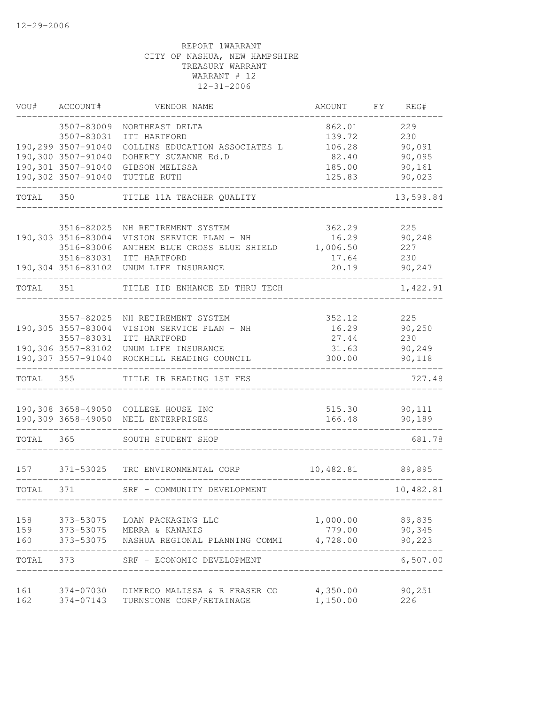| VOU#      | ACCOUNT#                         | VENDOR NAME                                                       | AMOUNT                             | FY | REG#       |
|-----------|----------------------------------|-------------------------------------------------------------------|------------------------------------|----|------------|
|           | 3507-83009                       | NORTHEAST DELTA                                                   | 862.01                             |    | 229        |
|           | 3507-83031                       | ITT HARTFORD                                                      | 139.72                             |    | 230        |
|           | 190,299 3507-91040               | COLLINS EDUCATION ASSOCIATES L                                    | 106.28                             |    | 90,091     |
|           | 190,300 3507-91040               | DOHERTY SUZANNE Ed.D                                              | 82.40                              |    | 90,095     |
|           |                                  | 190,301 3507-91040 GIBSON MELISSA                                 | 185.00                             |    | 90,161     |
|           | 190,302 3507-91040               | TUTTLE RUTH                                                       | 125.83                             |    | 90,023     |
| TOTAL 350 |                                  | TITLE 11A TEACHER QUALITY                                         |                                    |    | 13,599.84  |
|           |                                  |                                                                   |                                    |    |            |
|           | 3516-82025                       | NH RETIREMENT SYSTEM                                              | 362.29                             |    | 225        |
|           | 190,303 3516-83004<br>3516-83006 | VISION SERVICE PLAN - NH                                          | 16.29                              |    | 90, 248    |
|           |                                  | ANTHEM BLUE CROSS BLUE SHIELD 1,006.50<br>3516-83031 ITT HARTFORD |                                    |    | 227<br>230 |
|           |                                  | 190,304 3516-83102 UNUM LIFE INSURANCE                            | 17.64<br>20.19                     |    | 90,247     |
| TOTAL 351 |                                  | TITLE IID ENHANCE ED THRU TECH                                    |                                    |    | 1,422.91   |
|           |                                  |                                                                   |                                    |    |            |
|           | 3557-82025                       | NH RETIREMENT SYSTEM                                              | 352.12                             |    | 225        |
|           | 190,305 3557-83004               | VISION SERVICE PLAN - NH                                          | 16.29                              |    | 90, 250    |
|           | 3557-83031                       | ITT HARTFORD                                                      | 27.44                              |    | 230        |
|           |                                  | 190,306 3557-83102 UNUM LIFE INSURANCE                            | 31.63                              |    | 90,249     |
|           | 190,307 3557-91040               | ROCKHILL READING COUNCIL                                          | 300.00                             |    | 90,118     |
| TOTAL 355 |                                  | TITLE IB READING 1ST FES                                          |                                    |    | 727.48     |
|           |                                  |                                                                   |                                    |    |            |
|           |                                  | 190,308 3658-49050 COLLEGE HOUSE INC                              | 515.30                             |    | 90,111     |
|           |                                  | 190,309 3658-49050 NEIL ENTERPRISES                               | 166.48                             |    | 90,189     |
| TOTAL 365 |                                  | SOUTH STUDENT SHOP                                                |                                    |    | 681.78     |
|           |                                  |                                                                   |                                    |    |            |
| 157       |                                  | 371-53025 TRC ENVIRONMENTAL CORP                                  | 10,482.81 89,895                   |    |            |
| TOTAL 371 |                                  | SRF - COMMUNITY DEVELOPMENT                                       | __________________________________ |    | 10,482.81  |
|           |                                  |                                                                   |                                    |    |            |
| 158       |                                  | 373-53075 LOAN PACKAGING LLC                                      | 1,000.00                           |    | 89,835     |
| 159       |                                  | 373-53075 MERRA & KANAKIS                                         | 779.00                             |    | 90,345     |
| 160       |                                  | 373-53075 NASHUA REGIONAL PLANNING COMMI                          | 4,728.00                           |    | 90,223     |
| TOTAL     | 373                              | SRF - ECONOMIC DEVELOPMENT                                        |                                    |    | 6,507.00   |
|           |                                  |                                                                   |                                    |    |            |
| 161       | 374-07030                        | DIMERCO MALISSA & R FRASER CO                                     | 4,350.00                           |    | 90,251     |
| 162       | 374-07143                        | TURNSTONE CORP/RETAINAGE                                          | 1,150.00                           |    | 226        |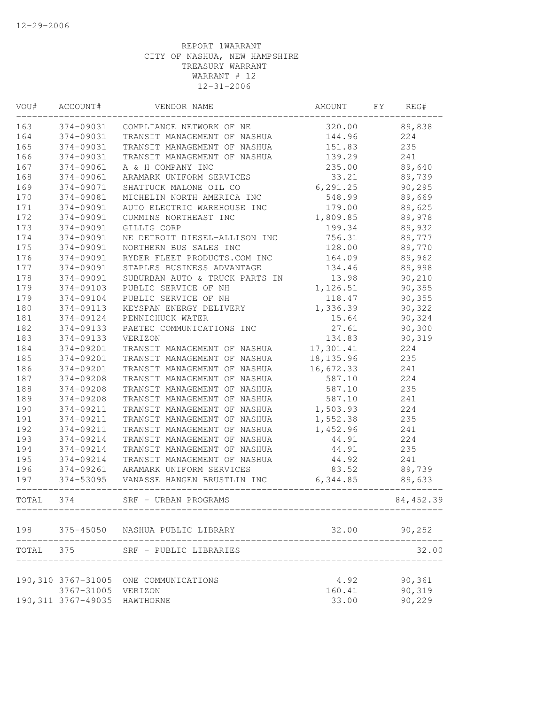| VOU#      | ACCOUNT#            | VENDOR NAME                                                 | AMOUNT     | FΥ | REG#       |
|-----------|---------------------|-------------------------------------------------------------|------------|----|------------|
| 163       | 374-09031           | COMPLIANCE NETWORK OF NE                                    | 320.00     |    | 89,838     |
| 164       | 374-09031           | TRANSIT MANAGEMENT OF NASHUA                                | 144.96     |    | 224        |
| 165       | 374-09031           | TRANSIT MANAGEMENT OF NASHUA                                | 151.83     |    | 235        |
| 166       | 374-09031           | TRANSIT MANAGEMENT OF NASHUA                                | 139.29     |    | 241        |
| 167       | 374-09061           | A & H COMPANY INC                                           | 235.00     |    | 89,640     |
| 168       | 374-09061           | ARAMARK UNIFORM SERVICES                                    | 33.21      |    | 89,739     |
| 169       | 374-09071           | SHATTUCK MALONE OIL CO                                      | 6, 291.25  |    | 90,295     |
| 170       | 374-09081           | MICHELIN NORTH AMERICA INC                                  | 548.99     |    | 89,669     |
| $1\,7\,1$ | 374-09091           | AUTO ELECTRIC WAREHOUSE INC                                 | 179.00     |    | 89,625     |
| 172       | 374-09091           | CUMMINS NORTHEAST INC                                       | 1,809.85   |    | 89,978     |
| 173       | 374-09091           | GILLIG CORP                                                 | 199.34     |    | 89,932     |
| 174       | 374-09091           | NE DETROIT DIESEL-ALLISON INC                               | 756.31     |    | 89,777     |
| 175       | 374-09091           | NORTHERN BUS SALES INC                                      | 128.00     |    | 89,770     |
| 176       | 374-09091           | RYDER FLEET PRODUCTS.COM INC                                | 164.09     |    | 89,962     |
| 177       | 374-09091           | STAPLES BUSINESS ADVANTAGE                                  | 134.46     |    | 89,998     |
| 178       | 374-09091           | SUBURBAN AUTO & TRUCK PARTS IN                              | 13.98      |    | 90,210     |
| 179       | 374-09103           | PUBLIC SERVICE OF NH                                        | 1,126.51   |    | 90,355     |
| 179       | 374-09104           | PUBLIC SERVICE OF NH                                        | 118.47     |    | 90, 355    |
| 180       | 374-09113           | KEYSPAN ENERGY DELIVERY                                     | 1,336.39   |    | 90,322     |
| 181       | 374-09124           | PENNICHUCK WATER                                            | 15.64      |    | 90,324     |
| 182       | 374-09133           | PAETEC COMMUNICATIONS INC                                   | 27.61      |    | 90,300     |
| 183       | 374-09133           | VERIZON                                                     | 134.83     |    | 90,319     |
| 184       | 374-09201           | TRANSIT MANAGEMENT OF NASHUA                                | 17,301.41  |    | 224        |
| 185       | 374-09201           | TRANSIT MANAGEMENT OF NASHUA                                | 18, 135.96 |    | 235        |
| 186       | 374-09201           | TRANSIT MANAGEMENT OF NASHUA                                | 16,672.33  |    | 241        |
| 187       | 374-09208           | TRANSIT MANAGEMENT OF NASHUA                                | 587.10     |    | 224        |
| 188       | 374-09208           | TRANSIT MANAGEMENT OF NASHUA                                | 587.10     |    | 235        |
| 189       | 374-09208           | TRANSIT MANAGEMENT OF NASHUA                                | 587.10     |    | 241        |
| 190       | 374-09211           | TRANSIT MANAGEMENT OF NASHUA                                | 1,503.93   |    | 224        |
| 191       | 374-09211           | TRANSIT MANAGEMENT OF NASHUA                                | 1,552.38   |    | 235        |
| 192       | 374-09211           | TRANSIT MANAGEMENT OF NASHUA                                | 1,452.96   |    | 241        |
| 193       | 374-09214           | TRANSIT MANAGEMENT OF NASHUA                                | 44.91      |    | 224        |
| 194       | 374-09214           |                                                             | 44.91      |    | 235        |
| 195       | 374-09214           | TRANSIT MANAGEMENT OF NASHUA                                |            |    |            |
|           |                     | TRANSIT MANAGEMENT OF NASHUA                                | 44.92      |    | 241        |
| 196       | 374-09261           | ARAMARK UNIFORM SERVICES                                    | 83.52      |    | 89,739     |
| 197       | 374-53095           | VANASSE HANGEN BRUSTLIN INC<br>____________________________ | 6,344.85   |    | 89,633     |
| TOTAL     | 374                 | SRF - URBAN PROGRAMS                                        |            |    | 84, 452.39 |
| 198       | 375-45050           | NASHUA PUBLIC LIBRARY                                       | 32.00      |    | 90,252     |
| TOTAL 375 |                     | SRF - PUBLIC LIBRARIES                                      |            |    | 32.00      |
|           |                     |                                                             |            |    |            |
|           | 190,310 3767-31005  | ONE COMMUNICATIONS                                          | 4.92       |    | 90,361     |
|           | 3767-31005          | VERIZON                                                     | 160.41     |    | 90,319     |
|           | 190, 311 3767-49035 | HAWTHORNE                                                   | 33.00      |    | 90,229     |
|           |                     |                                                             |            |    |            |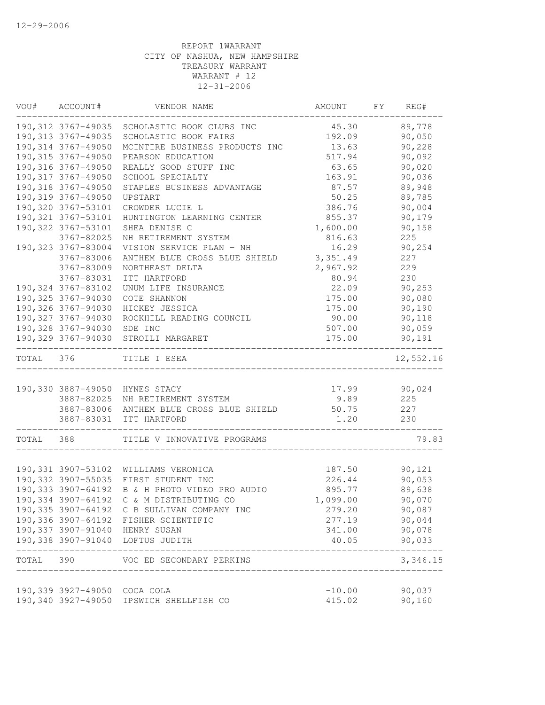|           | VOU# ACCOUNT#                | VENDOR NAME                                    | AMOUNT                                   | FY | REG#               |
|-----------|------------------------------|------------------------------------------------|------------------------------------------|----|--------------------|
|           |                              | 190,312 3767-49035 SCHOLASTIC BOOK CLUBS INC   | 45.30                                    |    | 89,778             |
|           | 190, 313 3767-49035          | SCHOLASTIC BOOK FAIRS                          | 192.09                                   |    | 90,050             |
|           | 190, 314 3767-49050          | MCINTIRE BUSINESS PRODUCTS INC                 | 13.63                                    |    | 90,228             |
|           | 190, 315 3767-49050          | PEARSON EDUCATION                              | 517.94                                   |    | 90,092             |
|           | 190,316 3767-49050           | REALLY GOOD STUFF INC                          | 63.65                                    |    | 90,020             |
|           | 190, 317 3767-49050          | SCHOOL SPECIALTY                               | 163.91                                   |    | 90,036             |
|           | 190,318 3767-49050           | STAPLES BUSINESS ADVANTAGE                     | 87.57                                    |    | 89,948             |
|           | 190,319 3767-49050           | UPSTART                                        | 50.25                                    |    | 89,785             |
|           | 190,320 3767-53101           | CROWDER LUCIE L                                | 386.76                                   |    | 90,004             |
|           | 190,321 3767-53101           | HUNTINGTON LEARNING CENTER                     | 855.37                                   |    | 90,179             |
|           | 190,322 3767-53101           | SHEA DENISE C                                  | 1,600.00                                 |    | 90,158             |
|           | 3767-82025                   | NH RETIREMENT SYSTEM                           | 816.63                                   |    | 225                |
|           | 190,323 3767-83004           | VISION SERVICE PLAN - NH                       | 16.29                                    |    | 90,254             |
|           | 3767-83006                   | ANTHEM BLUE CROSS BLUE SHIELD                  | 3,351.49                                 |    | 227                |
|           | 3767-83009                   | NORTHEAST DELTA                                | 2,967.92                                 |    | 229                |
|           | 3767-83031                   | ITT HARTFORD                                   | 80.94                                    |    | 230                |
|           | 190,324 3767-83102           | UNUM LIFE INSURANCE                            | 22.09                                    |    | 90,253             |
|           | 190,325 3767-94030           | COTE SHANNON                                   | 175.00                                   |    | 90,080             |
|           | 190,326 3767-94030           | HICKEY JESSICA                                 | 175.00                                   |    | 90,190             |
|           | 190,327 3767-94030           | ROCKHILL READING COUNCIL                       | 90.00                                    |    | 90,118             |
|           | 190,328 3767-94030           | SDE INC                                        | 507.00                                   |    | 90,059             |
|           | 190,329 3767-94030           | STROILI MARGARET                               | 175.00                                   |    | 90,191             |
| TOTAL 376 |                              | TITLE I ESEA                                   |                                          |    | 12,552.16          |
|           |                              |                                                |                                          |    |                    |
|           |                              | 190,330 3887-49050 HYNES STACY                 | 17.99<br>9.89                            |    | 90,024             |
|           |                              | 3887-82025 NH RETIREMENT SYSTEM                |                                          |    | 225                |
|           |                              | 3887-83006 ANTHEM BLUE CROSS BLUE SHIELD 50.75 |                                          |    | 227                |
|           |                              | 3887-83031 ITT HARTFORD                        | 1.20<br>-------------------------------- |    | 230                |
| TOTAL 388 |                              | TITLE V INNOVATIVE PROGRAMS                    |                                          |    | 79.83              |
|           |                              |                                                |                                          |    |                    |
|           |                              | 190,331 3907-53102 WILLIAMS VERONICA           | 187.50                                   |    | 90,121             |
|           |                              | 190,332 3907-55035 FIRST STUDENT INC           | 226.44                                   |    | 90,053             |
|           |                              | 190,333 3907-64192 B & H PHOTO VIDEO PRO AUDIO | 895.77                                   |    | 89,638             |
|           |                              | 190,334 3907-64192 C & M DISTRIBUTING CO       | 1,099.00                                 |    | 90,070             |
|           |                              | 190,335 3907-64192 C B SULLIVAN COMPANY INC    | 279.20                                   |    | 90,087             |
|           |                              | 190,336 3907-64192 FISHER SCIENTIFIC           | 277.19                                   |    | 90,044             |
|           |                              | 190,337 3907-91040 HENRY SUSAN                 | 341.00                                   |    | 90,078             |
|           | -----------------------      | 190,338 3907-91040 LOFTUS JUDITH               | 40.05                                    |    | 90,033<br>-------- |
| TOTAL 390 | -------------------          | VOC ED SECONDARY PERKINS                       |                                          |    | 3,346.15           |
|           |                              |                                                |                                          |    |                    |
|           | 190,339 3927-49050 COCA COLA |                                                | $-10.00$<br>415.02                       |    | 90,037             |
|           |                              | 190,340 3927-49050 IPSWICH SHELLFISH CO        |                                          |    | 90,160             |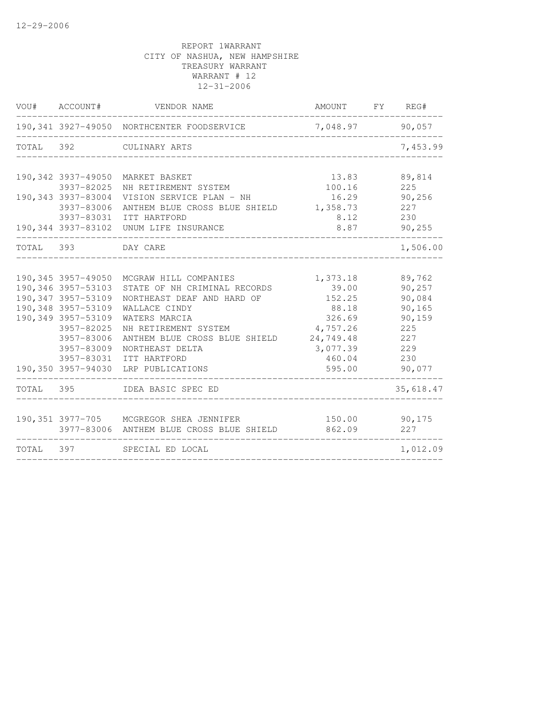|                     |                                                                                    |                                                                                                                                                                                                                                                                                                                                                                              | AMOUNT FY                                                                           | REG#               |
|---------------------|------------------------------------------------------------------------------------|------------------------------------------------------------------------------------------------------------------------------------------------------------------------------------------------------------------------------------------------------------------------------------------------------------------------------------------------------------------------------|-------------------------------------------------------------------------------------|--------------------|
|                     |                                                                                    |                                                                                                                                                                                                                                                                                                                                                                              |                                                                                     | 90,057             |
| 392                 | CULINARY ARTS                                                                      |                                                                                                                                                                                                                                                                                                                                                                              |                                                                                     | 7,453.99           |
|                     |                                                                                    |                                                                                                                                                                                                                                                                                                                                                                              |                                                                                     |                    |
| 190,342 3937-49050  | MARKET BASKET                                                                      | 13.83                                                                                                                                                                                                                                                                                                                                                                        |                                                                                     | 89,814<br>225      |
| 190,343 3937-83004  | VISION SERVICE PLAN - NH                                                           | 16.29<br>1,358.73                                                                                                                                                                                                                                                                                                                                                            |                                                                                     | 90, 256<br>227     |
|                     | UNUM LIFE INSURANCE                                                                | 8.12<br>8.87                                                                                                                                                                                                                                                                                                                                                                 |                                                                                     | 230<br>90,255      |
| 393                 | DAY CARE                                                                           |                                                                                                                                                                                                                                                                                                                                                                              |                                                                                     | 1,506.00           |
|                     |                                                                                    |                                                                                                                                                                                                                                                                                                                                                                              |                                                                                     |                    |
|                     | MCGRAW HILL COMPANIES                                                              | 1,373.18                                                                                                                                                                                                                                                                                                                                                                     |                                                                                     | 89,762             |
| 190, 347 3957-53109 | NORTHEAST DEAF AND HARD OF                                                         | 152.25                                                                                                                                                                                                                                                                                                                                                                       |                                                                                     | 90,257<br>90,084   |
| 190,348 3957-53109  | WALLACE CINDY                                                                      | 88.18                                                                                                                                                                                                                                                                                                                                                                        |                                                                                     | 90,165             |
|                     |                                                                                    |                                                                                                                                                                                                                                                                                                                                                                              |                                                                                     | 90,159<br>225      |
|                     |                                                                                    |                                                                                                                                                                                                                                                                                                                                                                              |                                                                                     | 227                |
| 3957-83009          | NORTHEAST DELTA                                                                    | 3,077.39                                                                                                                                                                                                                                                                                                                                                                     |                                                                                     | 229                |
| 3957-83031          | ITT HARTFORD                                                                       | 460.04                                                                                                                                                                                                                                                                                                                                                                       |                                                                                     | 230                |
| 190,350 3957-94030  | LRP PUBLICATIONS                                                                   | 595.00                                                                                                                                                                                                                                                                                                                                                                       |                                                                                     | 90,077             |
| TOTAL 395           | IDEA BASIC SPEC ED                                                                 |                                                                                                                                                                                                                                                                                                                                                                              |                                                                                     | 35,618.47          |
|                     |                                                                                    |                                                                                                                                                                                                                                                                                                                                                                              |                                                                                     |                    |
|                     |                                                                                    | 862.09                                                                                                                                                                                                                                                                                                                                                                       |                                                                                     | 90,175<br>227      |
| TOTAL 397           |                                                                                    |                                                                                                                                                                                                                                                                                                                                                                              |                                                                                     | 1,012.09           |
|                     | 3937-82025<br>190,346 3957-53103<br>190,349 3957-53109<br>3957-82025<br>3957-83006 | 190,341 3927-49050 NORTHCENTER FOODSERVICE<br>NH RETIREMENT SYSTEM<br>3937-83006<br>3937-83031 ITT HARTFORD<br>190,344 3937-83102<br>190,345 3957-49050<br>STATE OF NH CRIMINAL RECORDS<br>WATERS MARCIA<br>NH RETIREMENT SYSTEM<br>ANTHEM BLUE CROSS BLUE SHIELD<br>190,351 3977-705 MCGREGOR SHEA JENNIFER<br>3977-83006 ANTHEM BLUE CROSS BLUE SHIELD<br>SPECIAL ED LOCAL | 100.16<br>ANTHEM BLUE CROSS BLUE SHIELD<br>39.00<br>326.69<br>4,757.26<br>24,749.48 | 7,048.97<br>150.00 |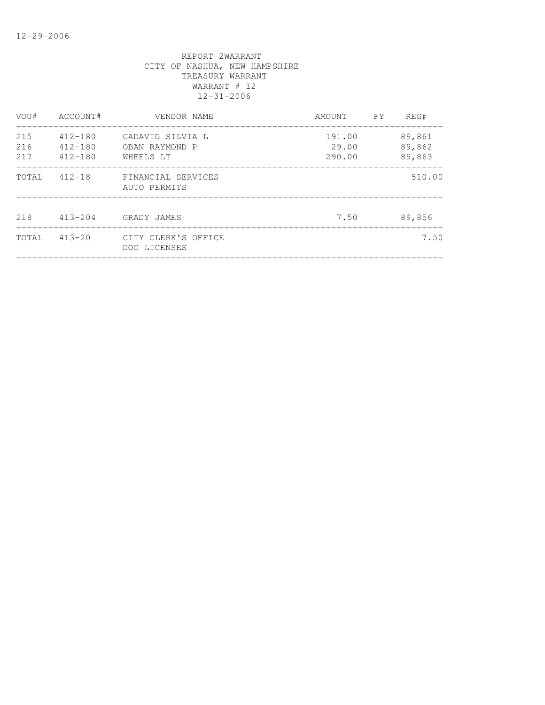| VOU#              | ACCOUNT#                                  | VENDOR NAME                                     | AMOUNT                    | FΥ | REG#                       |
|-------------------|-------------------------------------------|-------------------------------------------------|---------------------------|----|----------------------------|
| 215<br>216<br>217 | $412 - 180$<br>$412 - 180$<br>$412 - 180$ | CADAVID SILVIA L<br>OBAN RAYMOND P<br>WHEELS LT | 191.00<br>29.00<br>290.00 |    | 89,861<br>89,862<br>89,863 |
| TOTAL             | $412 - 18$                                | FINANCIAL SERVICES<br>AUTO PERMITS              |                           |    | 510.00                     |
| 218               | $413 - 204$                               | GRADY JAMES                                     | 7.50                      |    | 89,856                     |
| TOTAL             | $413 - 20$                                | CITY CLERK'S OFFICE<br>DOG LICENSES             |                           |    | 7.50                       |
|                   |                                           |                                                 |                           |    |                            |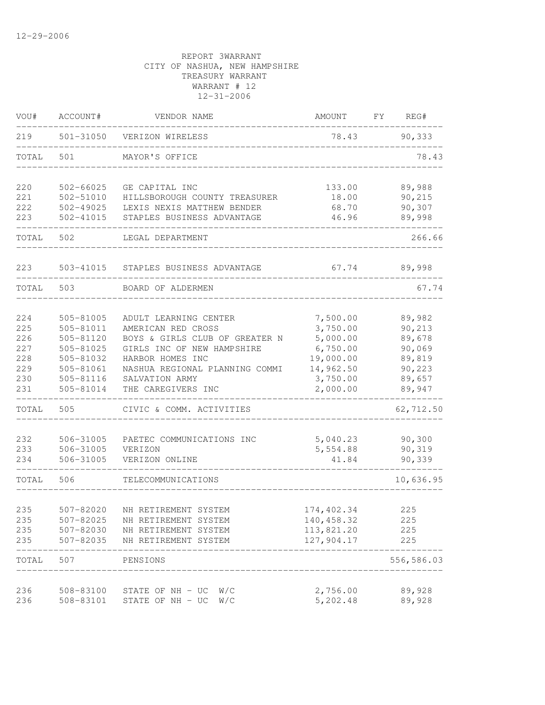| VOU#  | ACCOUNT#      | VENDOR NAME                    | AMOUNT     | FY | REG#       |
|-------|---------------|--------------------------------|------------|----|------------|
| 219   | 501-31050     | VERIZON WIRELESS               | 78.43      |    | 90,333     |
| TOTAL | 501           | MAYOR'S OFFICE                 |            |    | 78.43      |
| 220   | 502-66025     | GE CAPITAL INC                 | 133.00     |    | 89,988     |
| 221   | 502-51010     | HILLSBOROUGH COUNTY TREASURER  | 18.00      |    | 90,215     |
| 222   | 502-49025     | LEXIS NEXIS MATTHEW BENDER     | 68.70      |    | 90,307     |
| 223   | $502 - 41015$ | STAPLES BUSINESS ADVANTAGE     | 46.96      |    | 89,998     |
| TOTAL | 502           | LEGAL DEPARTMENT               |            |    | 266.66     |
| 223   | 503-41015     | STAPLES BUSINESS ADVANTAGE     | 67.74      |    | 89,998     |
| TOTAL | 503           | BOARD OF ALDERMEN              |            |    | 67.74      |
|       |               |                                |            |    |            |
| 224   | 505-81005     | ADULT LEARNING CENTER          | 7,500.00   |    | 89,982     |
| 225   | 505-81011     | AMERICAN RED CROSS             | 3,750.00   |    | 90,213     |
| 226   | 505-81120     | BOYS & GIRLS CLUB OF GREATER N | 5,000.00   |    | 89,678     |
| 227   | 505-81025     | GIRLS INC OF NEW HAMPSHIRE     | 6,750.00   |    | 90,069     |
| 228   | 505-81032     | HARBOR HOMES INC               | 19,000.00  |    | 89,819     |
| 229   | 505-81061     | NASHUA REGIONAL PLANNING COMMI | 14,962.50  |    | 90,223     |
| 230   | 505-81116     | SALVATION ARMY                 | 3,750.00   |    | 89,657     |
| 231   | 505-81014     | THE CAREGIVERS INC             | 2,000.00   |    | 89,947     |
| TOTAL | 505           | CIVIC & COMM. ACTIVITIES       |            |    | 62,712.50  |
| 232   | 506-31005     | PAETEC COMMUNICATIONS INC      | 5,040.23   |    | 90,300     |
| 233   | 506-31005     | VERIZON                        | 5,554.88   |    | 90,319     |
| 234   | 506-31005     | VERIZON ONLINE                 | 41.84      |    | 90,339     |
| TOTAL | 506           | TELECOMMUNICATIONS             |            |    | 10,636.95  |
| 235   | 507-82020     | NH RETIREMENT SYSTEM           | 174,402.34 |    | 225        |
| 235   | 507-82025     | NH RETIREMENT SYSTEM           | 140,458.32 |    | 225        |
| 235   | 507-82030     | NH RETIREMENT SYSTEM           | 113,821.20 |    | 225        |
| 235   | 507-82035     | NH RETIREMENT SYSTEM           | 127,904.17 |    | 225        |
| TOTAL | 507           | PENSIONS                       |            |    | 556,586.03 |
| 236   | 508-83100     | STATE OF NH - UC<br>W/C        | 2,756.00   |    | 89,928     |
| 236   | 508-83101     | STATE OF NH - UC<br>W/C        | 5,202.48   |    | 89,928     |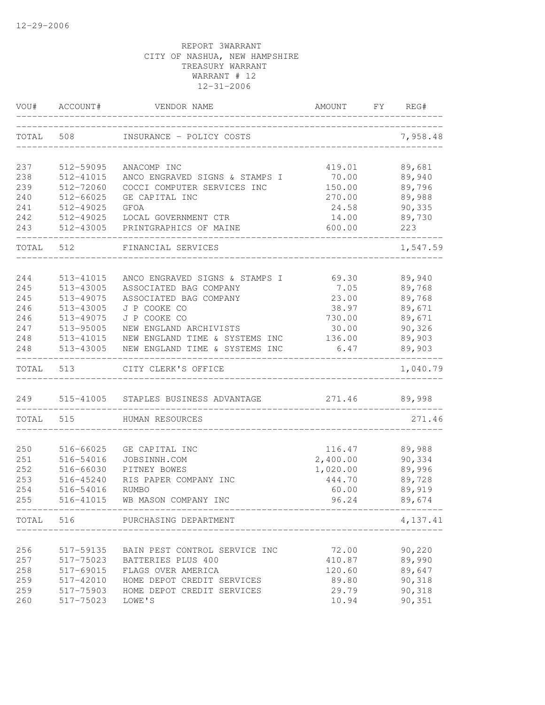| VOU#       | ACCOUNT#               | VENDOR NAME                                         | AMOUNT          | FY | REG#             |
|------------|------------------------|-----------------------------------------------------|-----------------|----|------------------|
| TOTAL      | 508                    | INSURANCE - POLICY COSTS                            |                 |    | 7,958.48         |
| 237        | 512-59095              | ANACOMP INC                                         | 419.01          |    | 89,681           |
| 238        | 512-41015              | ANCO ENGRAVED SIGNS & STAMPS I                      | 70.00           |    | 89,940           |
| 239        | 512-72060              | COCCI COMPUTER SERVICES INC                         | 150.00          |    | 89,796           |
| 240        | $512 - 66025$          | GE CAPITAL INC                                      | 270.00          |    | 89,988           |
| 241        | 512-49025              | <b>GFOA</b>                                         | 24.58           |    | 90,335           |
| 242        |                        | 512-49025 LOCAL GOVERNMENT CTR                      | 14.00           |    | 89,730           |
| 243        |                        | 512-43005 PRINTGRAPHICS OF MAINE                    | 600.00          |    | 223              |
| TOTAL      | 512                    | FINANCIAL SERVICES                                  |                 |    | 1,547.59         |
| 244        | 513-41015              | ANCO ENGRAVED SIGNS & STAMPS I                      | 69.30           |    | 89,940           |
| 245        | 513-43005              | ASSOCIATED BAG COMPANY                              | 7.05            |    | 89,768           |
| 245        | 513-49075              | ASSOCIATED BAG COMPANY                              | 23.00           |    | 89,768           |
| 246        | 513-43005              | J P COOKE CO                                        | 38.97           |    | 89,671           |
| 246        | 513-49075              | J P COOKE CO                                        | 730.00          |    | 89,671           |
| 247        | 513-95005              | NEW ENGLAND ARCHIVISTS                              | 30.00           |    | 90,326           |
| 248        |                        | 513-41015 NEW ENGLAND TIME & SYSTEMS INC            | 136.00          |    | 89,903           |
| 248        |                        | 513-43005 NEW ENGLAND TIME & SYSTEMS INC            | 6.47            |    | 89,903           |
| TOTAL 513  |                        | CITY CLERK'S OFFICE                                 |                 |    | 1,040.79         |
|            |                        | 249 515-41005 STAPLES BUSINESS ADVANTAGE            | 271.46          |    | 89,998           |
| TOTAL      | 515                    | HUMAN RESOURCES                                     |                 |    | 271.46           |
|            |                        |                                                     |                 |    |                  |
| 250        | 516-66025              | GE CAPITAL INC                                      | 116.47          |    | 89,988           |
| 251        | 516-54016              | JOBSINNH.COM                                        | 2,400.00        |    | 90,334           |
| 252        | 516-66030              | PITNEY BOWES                                        | 1,020.00        |    | 89,996           |
| 253        | 516-45240              | RIS PAPER COMPANY INC                               | 444.70          |    | 89,728           |
| 254        | 516-54016              | RUMBO                                               | 60.00           |    | 89,919           |
| 255        | 516-41015              | WB MASON COMPANY INC                                | 96.24           |    | 89,674           |
|            |                        | TOTAL 516 PURCHASING DEPARTMENT                     |                 |    | 4,137.41         |
|            |                        |                                                     |                 |    |                  |
| 256<br>257 | 517-59135              | BAIN PEST CONTROL SERVICE INC<br>BATTERIES PLUS 400 | 72.00<br>410.87 |    | 90,220<br>89,990 |
| 258        | 517-75023<br>517-69015 | FLAGS OVER AMERICA                                  | 120.60          |    | 89,647           |
| 259        | 517-42010              | HOME DEPOT CREDIT SERVICES                          | 89.80           |    | 90,318           |
| 259        | 517-75903              | HOME DEPOT CREDIT SERVICES                          | 29.79           |    | 90,318           |
| 260        | 517-75023              | LOWE'S                                              | 10.94           |    | 90,351           |
|            |                        |                                                     |                 |    |                  |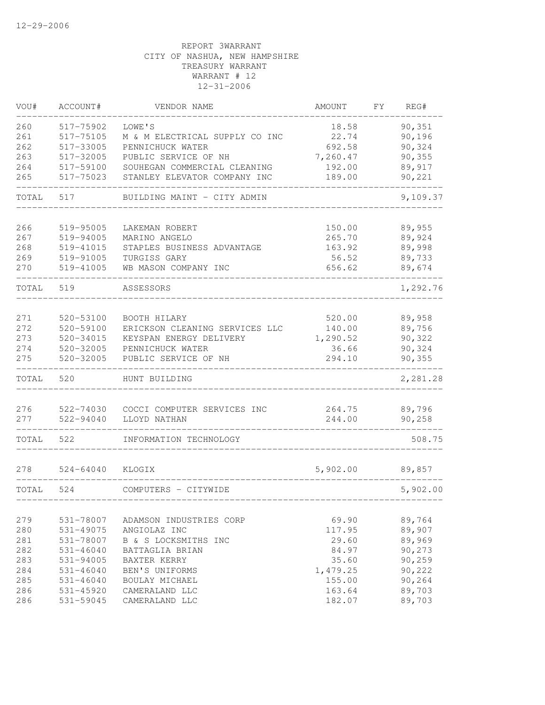| VOU#  | ACCOUNT#      | VENDOR NAME                    | AMOUNT   | FY. | REG#     |
|-------|---------------|--------------------------------|----------|-----|----------|
| 260   | 517-75902     | LOWE'S                         | 18.58    |     | 90,351   |
| 261   | 517-75105     | M & M ELECTRICAL SUPPLY CO INC | 22.74    |     | 90,196   |
| 262   | 517-33005     | PENNICHUCK WATER               | 692.58   |     | 90,324   |
| 263   | 517-32005     | PUBLIC SERVICE OF NH           | 7,260.47 |     | 90,355   |
| 264   | 517-59100     | SOUHEGAN COMMERCIAL CLEANING   | 192.00   |     | 89,917   |
| 265   | 517-75023     | STANLEY ELEVATOR COMPANY INC   | 189.00   |     | 90,221   |
| TOTAL | 517           | BUILDING MAINT - CITY ADMIN    |          |     | 9,109.37 |
| 266   | 519-95005     | LAKEMAN ROBERT                 | 150.00   |     | 89,955   |
| 267   | 519-94005     | MARINO ANGELO                  | 265.70   |     | 89,924   |
| 268   | 519-41015     | STAPLES BUSINESS ADVANTAGE     | 163.92   |     | 89,998   |
| 269   | 519-91005     | TURGISS GARY                   | 56.52    |     | 89,733   |
| 270   | 519-41005     | WB MASON COMPANY INC           | 656.62   |     | 89,674   |
| TOTAL | 519           | ASSESSORS                      |          |     | 1,292.76 |
|       |               |                                |          |     |          |
| 271   | 520-53100     | BOOTH HILARY                   | 520.00   |     | 89,958   |
| 272   | 520-59100     | ERICKSON CLEANING SERVICES LLC | 140.00   |     | 89,756   |
| 273   | 520-34015     | KEYSPAN ENERGY DELIVERY        | 1,290.52 |     | 90,322   |
| 274   | 520-32005     | PENNICHUCK WATER               | 36.66    |     | 90,324   |
| 275   | 520-32005     | PUBLIC SERVICE OF NH           | 294.10   |     | 90,355   |
| TOTAL | 520           | HUNT BUILDING                  |          |     | 2,281.28 |
|       |               |                                |          |     |          |
| 276   | 522-74030     | COCCI COMPUTER SERVICES INC    | 264.75   |     | 89,796   |
| 277   | 522-94040     | LLOYD NATHAN                   | 244.00   |     | 90,258   |
| TOTAL | 522           | INFORMATION TECHNOLOGY         |          |     | 508.75   |
| 278   | $524 - 64040$ | KLOGIX                         | 5,902.00 |     | 89,857   |
| TOTAL | 524           | COMPUTERS - CITYWIDE           |          |     | 5,902.00 |
|       |               |                                |          |     |          |
| 279   | 531-78007     | ADAMSON INDUSTRIES CORP        | 69.90    |     | 89,764   |
| 280   | 531-49075     | ANGIOLAZ INC                   | 117.95   |     | 89,907   |
| 281   | 531-78007     | B & S LOCKSMITHS INC           | 29.60    |     | 89,969   |
| 282   | $531 - 46040$ | BATTAGLIA BRIAN                | 84.97    |     | 90,273   |
| 283   | 531-94005     | <b>BAXTER KERRY</b>            | 35.60    |     | 90,259   |
| 284   | $531 - 46040$ | BEN'S UNIFORMS                 | 1,479.25 |     | 90,222   |
| 285   | $531 - 46040$ | BOULAY MICHAEL                 | 155.00   |     | 90,264   |
| 286   | 531-45920     | CAMERALAND LLC                 | 163.64   |     | 89,703   |
| 286   | 531-59045     | CAMERALAND LLC                 | 182.07   |     | 89,703   |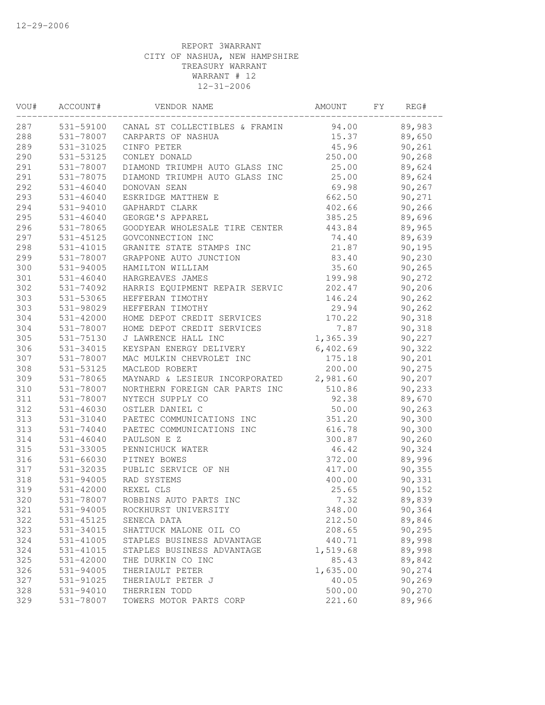| VOU# | ACCOUNT#      | VENDOR NAME                              | AMOUNT   | FΥ | REG#    |  |
|------|---------------|------------------------------------------|----------|----|---------|--|
| 287  |               | 531-59100 CANAL ST COLLECTIBLES & FRAMIN | 94.00    |    | 89,983  |  |
| 288  |               | 531-78007 CARPARTS OF NASHUA             | 15.37    |    | 89,650  |  |
| 289  | 531-31025     | CINFO PETER                              | 45.96    |    | 90,261  |  |
| 290  | 531-53125     | CONLEY DONALD                            | 250.00   |    | 90,268  |  |
| 291  | 531-78007     | DIAMOND TRIUMPH AUTO GLASS INC           | 25.00    |    | 89,624  |  |
| 291  | 531-78075     | DIAMOND TRIUMPH AUTO GLASS INC           | 25.00    |    | 89,624  |  |
| 292  | $531 - 46040$ | DONOVAN SEAN                             | 69.98    |    | 90,267  |  |
| 293  | $531 - 46040$ | ESKRIDGE MATTHEW E                       | 662.50   |    | 90,271  |  |
| 294  | 531-94010     | GAPHARDT CLARK                           | 402.66   |    | 90,266  |  |
| 295  | $531 - 46040$ | GEORGE'S APPAREL                         | 385.25   |    | 89,696  |  |
| 296  | 531-78065     | GOODYEAR WHOLESALE TIRE CENTER           | 443.84   |    | 89,965  |  |
| 297  | 531-45125     | GOVCONNECTION INC                        | 74.40    |    | 89,639  |  |
| 298  | 531-41015     | GRANITE STATE STAMPS INC                 | 21.87    |    | 90,195  |  |
| 299  | 531-78007     | GRAPPONE AUTO JUNCTION                   | 83.40    |    | 90,230  |  |
| 300  | 531-94005     | HAMILTON WILLIAM                         | 35.60    |    | 90,265  |  |
| 301  | 531-46040     | HARGREAVES JAMES                         | 199.98   |    | 90,272  |  |
| 302  | 531-74092     | HARRIS EQUIPMENT REPAIR SERVIC           | 202.47   |    | 90,206  |  |
| 303  | 531-53065     | HEFFERAN TIMOTHY                         | 146.24   |    | 90, 262 |  |
| 303  | 531-98029     | HEFFERAN TIMOTHY                         | 29.94    |    | 90, 262 |  |
| 304  | 531-42000     | HOME DEPOT CREDIT SERVICES               | 170.22   |    | 90,318  |  |
| 304  | 531-78007     | HOME DEPOT CREDIT SERVICES               | 7.87     |    | 90,318  |  |
| 305  | 531-75130     | J LAWRENCE HALL INC                      | 1,365.39 |    | 90,227  |  |
| 306  | 531-34015     | KEYSPAN ENERGY DELIVERY                  | 6,402.69 |    | 90,322  |  |
| 307  | 531-78007     | MAC MULKIN CHEVROLET INC                 | 175.18   |    | 90,201  |  |
| 308  | 531-53125     | MACLEOD ROBERT                           | 200.00   |    | 90,275  |  |
| 309  | 531-78065     | MAYNARD & LESIEUR INCORPORATED           | 2,981.60 |    | 90, 207 |  |
| 310  | 531-78007     | NORTHERN FOREIGN CAR PARTS INC           | 510.86   |    | 90,233  |  |
| 311  | 531-78007     | NYTECH SUPPLY CO                         | 92.38    |    | 89,670  |  |
| 312  | 531-46030     | OSTLER DANIEL C                          | 50.00    |    | 90, 263 |  |
| 313  | 531-31040     | PAETEC COMMUNICATIONS INC                | 351.20   |    | 90,300  |  |
| 313  | 531-74040     | PAETEC COMMUNICATIONS INC                | 616.78   |    | 90,300  |  |
| 314  | $531 - 46040$ | PAULSON E Z                              | 300.87   |    | 90, 260 |  |
| 315  | 531-33005     | PENNICHUCK WATER                         | 46.42    |    | 90,324  |  |
| 316  | 531-66030     | PITNEY BOWES                             | 372.00   |    | 89,996  |  |
| 317  | 531-32035     | PUBLIC SERVICE OF NH                     | 417.00   |    | 90, 355 |  |
| 318  | 531-94005     | RAD SYSTEMS                              | 400.00   |    | 90,331  |  |
| 319  | 531-42000     | REXEL CLS                                | 25.65    |    | 90, 152 |  |
| 320  | 531-78007     | ROBBINS AUTO PARTS INC                   | 7.32     |    | 89,839  |  |
| 321  | 531-94005     | ROCKHURST UNIVERSITY                     | 348.00   |    | 90,364  |  |
| 322  | 531-45125     | SENECA DATA                              | 212.50   |    | 89,846  |  |
| 323  | 531-34015     | SHATTUCK MALONE OIL CO                   | 208.65   |    | 90,295  |  |
| 324  | 531-41005     | STAPLES BUSINESS ADVANTAGE               | 440.71   |    | 89,998  |  |
| 324  | 531-41015     | STAPLES BUSINESS ADVANTAGE               | 1,519.68 |    | 89,998  |  |
| 325  | 531-42000     | THE DURKIN CO INC                        | 85.43    |    | 89,842  |  |
| 326  | 531-94005     | THERIAULT PETER                          | 1,635.00 |    | 90,274  |  |
| 327  | 531-91025     | THERIAULT PETER J                        | 40.05    |    | 90,269  |  |
| 328  | 531-94010     | THERRIEN TODD                            | 500.00   |    | 90,270  |  |
| 329  | 531-78007     | TOWERS MOTOR PARTS CORP                  | 221.60   |    | 89,966  |  |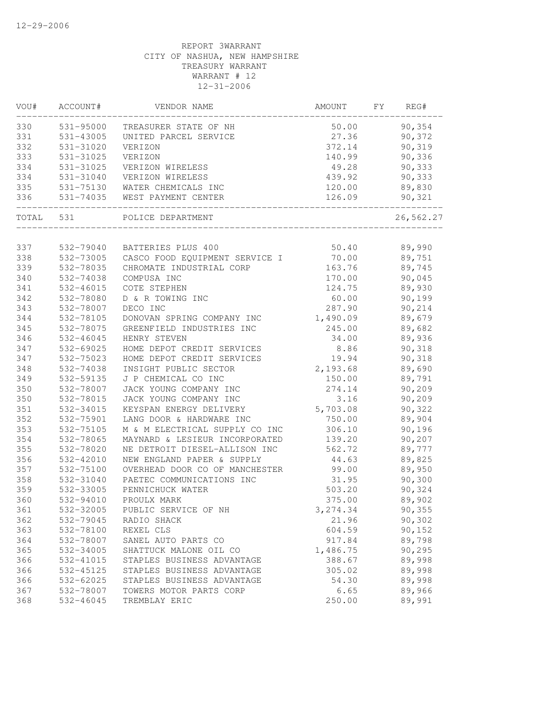| 531-95000<br>90,354<br>50.00<br>TREASURER STATE OF NH<br>531-43005<br>UNITED PARCEL SERVICE<br>27.36<br>90,372<br>90,319<br>531-31020<br>VERIZON<br>372.14<br>90,336<br>531-31025<br>VERIZON<br>140.99<br>49.28<br>90,333<br>531-31025<br>VERIZON WIRELESS<br>90,333<br>531-31040<br>439.92<br>VERIZON WIRELESS<br>120.00<br>89,830<br>531-75130<br>WATER CHEMICALS INC<br>126.09<br>90,321<br>531-74035<br>WEST PAYMENT CENTER<br>531<br>26,562.27<br>POLICE DEPARTMENT<br>337<br>50.40<br>89,990<br>532-79040<br>BATTERIES PLUS 400<br>338<br>532-73005<br>CASCO FOOD EQUIPMENT SERVICE I<br>70.00<br>89,751<br>89,745<br>339<br>532-78035<br>CHROMATE INDUSTRIAL CORP<br>163.76<br>340<br>532-74038<br>COMPUSA INC<br>170.00<br>90,045<br>89,930<br>341<br>532-46015<br>COTE STEPHEN<br>124.75<br>342<br>90,199<br>532-78080<br>D & R TOWING INC<br>60.00<br>343<br>532-78007<br>DECO INC<br>287.90<br>90,214<br>344<br>532-78105<br>DONOVAN SPRING COMPANY INC<br>89,679<br>1,490.09<br>345<br>532-78075<br>89,682<br>GREENFIELD INDUSTRIES INC<br>245.00<br>346<br>532-46045<br>HENRY STEVEN<br>34.00<br>89,936<br>347<br>8.86<br>90,318<br>532-69025<br>HOME DEPOT CREDIT SERVICES<br>347<br>532-75023<br>HOME DEPOT CREDIT SERVICES<br>19.94<br>90,318<br>2,193.68<br>348<br>532-74038<br>INSIGHT PUBLIC SECTOR<br>89,690<br>349<br>532-59135<br>J P CHEMICAL CO INC<br>150.00<br>89,791<br>350<br>532-78007<br>JACK YOUNG COMPANY INC<br>274.14<br>90,209<br>350<br>532-78015<br>JACK YOUNG COMPANY INC<br>90,209<br>3.16<br>351<br>532-34015<br>KEYSPAN ENERGY DELIVERY<br>5,703.08<br>90,322<br>352<br>532-75901<br>LANG DOOR & HARDWARE INC<br>750.00<br>89,904<br>353<br>M & M ELECTRICAL SUPPLY CO INC<br>306.10<br>90,196<br>532-75105<br>354<br>139.20<br>90,207<br>532-78065<br>MAYNARD & LESIEUR INCORPORATED<br>355<br>532-78020<br>NE DETROIT DIESEL-ALLISON INC<br>562.72<br>89,777<br>532-42010<br>NEW ENGLAND PAPER & SUPPLY<br>44.63<br>89,825<br>OVERHEAD DOOR CO OF MANCHESTER<br>99.00<br>89,950<br>532-75100<br>PAETEC COMMUNICATIONS INC<br>31.95<br>90,300<br>532-31040<br>532-33005<br>PENNICHUCK WATER<br>503.20<br>90,324<br>532-94010<br>PROULX MARK<br>375.00<br>89,902<br>3, 274.34<br>90,355<br>532-32005<br>PUBLIC SERVICE OF NH<br>21.96<br>532-79045<br>RADIO SHACK<br>90,302<br>604.59<br>90,152<br>532-78100<br>REXEL CLS<br>89,798<br>532-78007<br>SANEL AUTO PARTS CO<br>917.84<br>90,295<br>SHATTUCK MALONE OIL CO<br>1,486.75<br>532-34005<br>388.67<br>89,998<br>532-41015<br>STAPLES BUSINESS ADVANTAGE<br>89,998<br>366<br>532-45125<br>STAPLES BUSINESS ADVANTAGE<br>305.02<br>89,998<br>366<br>532-62025<br>STAPLES BUSINESS ADVANTAGE<br>54.30<br>367<br>532-78007<br>TOWERS MOTOR PARTS CORP<br>6.65<br>89,966<br>532-46045<br>TREMBLAY ERIC<br>250.00<br>89,991 | VOU#  | ACCOUNT# | VENDOR NAME | AMOUNT | FΥ | REG# |
|----------------------------------------------------------------------------------------------------------------------------------------------------------------------------------------------------------------------------------------------------------------------------------------------------------------------------------------------------------------------------------------------------------------------------------------------------------------------------------------------------------------------------------------------------------------------------------------------------------------------------------------------------------------------------------------------------------------------------------------------------------------------------------------------------------------------------------------------------------------------------------------------------------------------------------------------------------------------------------------------------------------------------------------------------------------------------------------------------------------------------------------------------------------------------------------------------------------------------------------------------------------------------------------------------------------------------------------------------------------------------------------------------------------------------------------------------------------------------------------------------------------------------------------------------------------------------------------------------------------------------------------------------------------------------------------------------------------------------------------------------------------------------------------------------------------------------------------------------------------------------------------------------------------------------------------------------------------------------------------------------------------------------------------------------------------------------------------------------------------------------------------------------------------------------------------------------------------------------------------------------------------------------------------------------------------------------------------------------------------------------------------------------------------------------------------------------------------------------------------------------------------------------------------------------------------------------------------------------------------------------------------------------------------------------------------------------------------------------------------------------------------------------------------------------------------------|-------|----------|-------------|--------|----|------|
|                                                                                                                                                                                                                                                                                                                                                                                                                                                                                                                                                                                                                                                                                                                                                                                                                                                                                                                                                                                                                                                                                                                                                                                                                                                                                                                                                                                                                                                                                                                                                                                                                                                                                                                                                                                                                                                                                                                                                                                                                                                                                                                                                                                                                                                                                                                                                                                                                                                                                                                                                                                                                                                                                                                                                                                                                      | 330   |          |             |        |    |      |
|                                                                                                                                                                                                                                                                                                                                                                                                                                                                                                                                                                                                                                                                                                                                                                                                                                                                                                                                                                                                                                                                                                                                                                                                                                                                                                                                                                                                                                                                                                                                                                                                                                                                                                                                                                                                                                                                                                                                                                                                                                                                                                                                                                                                                                                                                                                                                                                                                                                                                                                                                                                                                                                                                                                                                                                                                      | 331   |          |             |        |    |      |
|                                                                                                                                                                                                                                                                                                                                                                                                                                                                                                                                                                                                                                                                                                                                                                                                                                                                                                                                                                                                                                                                                                                                                                                                                                                                                                                                                                                                                                                                                                                                                                                                                                                                                                                                                                                                                                                                                                                                                                                                                                                                                                                                                                                                                                                                                                                                                                                                                                                                                                                                                                                                                                                                                                                                                                                                                      | 332   |          |             |        |    |      |
|                                                                                                                                                                                                                                                                                                                                                                                                                                                                                                                                                                                                                                                                                                                                                                                                                                                                                                                                                                                                                                                                                                                                                                                                                                                                                                                                                                                                                                                                                                                                                                                                                                                                                                                                                                                                                                                                                                                                                                                                                                                                                                                                                                                                                                                                                                                                                                                                                                                                                                                                                                                                                                                                                                                                                                                                                      | 333   |          |             |        |    |      |
|                                                                                                                                                                                                                                                                                                                                                                                                                                                                                                                                                                                                                                                                                                                                                                                                                                                                                                                                                                                                                                                                                                                                                                                                                                                                                                                                                                                                                                                                                                                                                                                                                                                                                                                                                                                                                                                                                                                                                                                                                                                                                                                                                                                                                                                                                                                                                                                                                                                                                                                                                                                                                                                                                                                                                                                                                      | 334   |          |             |        |    |      |
|                                                                                                                                                                                                                                                                                                                                                                                                                                                                                                                                                                                                                                                                                                                                                                                                                                                                                                                                                                                                                                                                                                                                                                                                                                                                                                                                                                                                                                                                                                                                                                                                                                                                                                                                                                                                                                                                                                                                                                                                                                                                                                                                                                                                                                                                                                                                                                                                                                                                                                                                                                                                                                                                                                                                                                                                                      | 334   |          |             |        |    |      |
|                                                                                                                                                                                                                                                                                                                                                                                                                                                                                                                                                                                                                                                                                                                                                                                                                                                                                                                                                                                                                                                                                                                                                                                                                                                                                                                                                                                                                                                                                                                                                                                                                                                                                                                                                                                                                                                                                                                                                                                                                                                                                                                                                                                                                                                                                                                                                                                                                                                                                                                                                                                                                                                                                                                                                                                                                      | 335   |          |             |        |    |      |
|                                                                                                                                                                                                                                                                                                                                                                                                                                                                                                                                                                                                                                                                                                                                                                                                                                                                                                                                                                                                                                                                                                                                                                                                                                                                                                                                                                                                                                                                                                                                                                                                                                                                                                                                                                                                                                                                                                                                                                                                                                                                                                                                                                                                                                                                                                                                                                                                                                                                                                                                                                                                                                                                                                                                                                                                                      | 336   |          |             |        |    |      |
|                                                                                                                                                                                                                                                                                                                                                                                                                                                                                                                                                                                                                                                                                                                                                                                                                                                                                                                                                                                                                                                                                                                                                                                                                                                                                                                                                                                                                                                                                                                                                                                                                                                                                                                                                                                                                                                                                                                                                                                                                                                                                                                                                                                                                                                                                                                                                                                                                                                                                                                                                                                                                                                                                                                                                                                                                      | TOTAL |          |             |        |    |      |
|                                                                                                                                                                                                                                                                                                                                                                                                                                                                                                                                                                                                                                                                                                                                                                                                                                                                                                                                                                                                                                                                                                                                                                                                                                                                                                                                                                                                                                                                                                                                                                                                                                                                                                                                                                                                                                                                                                                                                                                                                                                                                                                                                                                                                                                                                                                                                                                                                                                                                                                                                                                                                                                                                                                                                                                                                      |       |          |             |        |    |      |
|                                                                                                                                                                                                                                                                                                                                                                                                                                                                                                                                                                                                                                                                                                                                                                                                                                                                                                                                                                                                                                                                                                                                                                                                                                                                                                                                                                                                                                                                                                                                                                                                                                                                                                                                                                                                                                                                                                                                                                                                                                                                                                                                                                                                                                                                                                                                                                                                                                                                                                                                                                                                                                                                                                                                                                                                                      |       |          |             |        |    |      |
|                                                                                                                                                                                                                                                                                                                                                                                                                                                                                                                                                                                                                                                                                                                                                                                                                                                                                                                                                                                                                                                                                                                                                                                                                                                                                                                                                                                                                                                                                                                                                                                                                                                                                                                                                                                                                                                                                                                                                                                                                                                                                                                                                                                                                                                                                                                                                                                                                                                                                                                                                                                                                                                                                                                                                                                                                      |       |          |             |        |    |      |
|                                                                                                                                                                                                                                                                                                                                                                                                                                                                                                                                                                                                                                                                                                                                                                                                                                                                                                                                                                                                                                                                                                                                                                                                                                                                                                                                                                                                                                                                                                                                                                                                                                                                                                                                                                                                                                                                                                                                                                                                                                                                                                                                                                                                                                                                                                                                                                                                                                                                                                                                                                                                                                                                                                                                                                                                                      |       |          |             |        |    |      |
|                                                                                                                                                                                                                                                                                                                                                                                                                                                                                                                                                                                                                                                                                                                                                                                                                                                                                                                                                                                                                                                                                                                                                                                                                                                                                                                                                                                                                                                                                                                                                                                                                                                                                                                                                                                                                                                                                                                                                                                                                                                                                                                                                                                                                                                                                                                                                                                                                                                                                                                                                                                                                                                                                                                                                                                                                      |       |          |             |        |    |      |
|                                                                                                                                                                                                                                                                                                                                                                                                                                                                                                                                                                                                                                                                                                                                                                                                                                                                                                                                                                                                                                                                                                                                                                                                                                                                                                                                                                                                                                                                                                                                                                                                                                                                                                                                                                                                                                                                                                                                                                                                                                                                                                                                                                                                                                                                                                                                                                                                                                                                                                                                                                                                                                                                                                                                                                                                                      |       |          |             |        |    |      |
|                                                                                                                                                                                                                                                                                                                                                                                                                                                                                                                                                                                                                                                                                                                                                                                                                                                                                                                                                                                                                                                                                                                                                                                                                                                                                                                                                                                                                                                                                                                                                                                                                                                                                                                                                                                                                                                                                                                                                                                                                                                                                                                                                                                                                                                                                                                                                                                                                                                                                                                                                                                                                                                                                                                                                                                                                      |       |          |             |        |    |      |
|                                                                                                                                                                                                                                                                                                                                                                                                                                                                                                                                                                                                                                                                                                                                                                                                                                                                                                                                                                                                                                                                                                                                                                                                                                                                                                                                                                                                                                                                                                                                                                                                                                                                                                                                                                                                                                                                                                                                                                                                                                                                                                                                                                                                                                                                                                                                                                                                                                                                                                                                                                                                                                                                                                                                                                                                                      |       |          |             |        |    |      |
|                                                                                                                                                                                                                                                                                                                                                                                                                                                                                                                                                                                                                                                                                                                                                                                                                                                                                                                                                                                                                                                                                                                                                                                                                                                                                                                                                                                                                                                                                                                                                                                                                                                                                                                                                                                                                                                                                                                                                                                                                                                                                                                                                                                                                                                                                                                                                                                                                                                                                                                                                                                                                                                                                                                                                                                                                      |       |          |             |        |    |      |
|                                                                                                                                                                                                                                                                                                                                                                                                                                                                                                                                                                                                                                                                                                                                                                                                                                                                                                                                                                                                                                                                                                                                                                                                                                                                                                                                                                                                                                                                                                                                                                                                                                                                                                                                                                                                                                                                                                                                                                                                                                                                                                                                                                                                                                                                                                                                                                                                                                                                                                                                                                                                                                                                                                                                                                                                                      |       |          |             |        |    |      |
|                                                                                                                                                                                                                                                                                                                                                                                                                                                                                                                                                                                                                                                                                                                                                                                                                                                                                                                                                                                                                                                                                                                                                                                                                                                                                                                                                                                                                                                                                                                                                                                                                                                                                                                                                                                                                                                                                                                                                                                                                                                                                                                                                                                                                                                                                                                                                                                                                                                                                                                                                                                                                                                                                                                                                                                                                      |       |          |             |        |    |      |
|                                                                                                                                                                                                                                                                                                                                                                                                                                                                                                                                                                                                                                                                                                                                                                                                                                                                                                                                                                                                                                                                                                                                                                                                                                                                                                                                                                                                                                                                                                                                                                                                                                                                                                                                                                                                                                                                                                                                                                                                                                                                                                                                                                                                                                                                                                                                                                                                                                                                                                                                                                                                                                                                                                                                                                                                                      |       |          |             |        |    |      |
|                                                                                                                                                                                                                                                                                                                                                                                                                                                                                                                                                                                                                                                                                                                                                                                                                                                                                                                                                                                                                                                                                                                                                                                                                                                                                                                                                                                                                                                                                                                                                                                                                                                                                                                                                                                                                                                                                                                                                                                                                                                                                                                                                                                                                                                                                                                                                                                                                                                                                                                                                                                                                                                                                                                                                                                                                      |       |          |             |        |    |      |
|                                                                                                                                                                                                                                                                                                                                                                                                                                                                                                                                                                                                                                                                                                                                                                                                                                                                                                                                                                                                                                                                                                                                                                                                                                                                                                                                                                                                                                                                                                                                                                                                                                                                                                                                                                                                                                                                                                                                                                                                                                                                                                                                                                                                                                                                                                                                                                                                                                                                                                                                                                                                                                                                                                                                                                                                                      |       |          |             |        |    |      |
|                                                                                                                                                                                                                                                                                                                                                                                                                                                                                                                                                                                                                                                                                                                                                                                                                                                                                                                                                                                                                                                                                                                                                                                                                                                                                                                                                                                                                                                                                                                                                                                                                                                                                                                                                                                                                                                                                                                                                                                                                                                                                                                                                                                                                                                                                                                                                                                                                                                                                                                                                                                                                                                                                                                                                                                                                      |       |          |             |        |    |      |
|                                                                                                                                                                                                                                                                                                                                                                                                                                                                                                                                                                                                                                                                                                                                                                                                                                                                                                                                                                                                                                                                                                                                                                                                                                                                                                                                                                                                                                                                                                                                                                                                                                                                                                                                                                                                                                                                                                                                                                                                                                                                                                                                                                                                                                                                                                                                                                                                                                                                                                                                                                                                                                                                                                                                                                                                                      |       |          |             |        |    |      |
|                                                                                                                                                                                                                                                                                                                                                                                                                                                                                                                                                                                                                                                                                                                                                                                                                                                                                                                                                                                                                                                                                                                                                                                                                                                                                                                                                                                                                                                                                                                                                                                                                                                                                                                                                                                                                                                                                                                                                                                                                                                                                                                                                                                                                                                                                                                                                                                                                                                                                                                                                                                                                                                                                                                                                                                                                      |       |          |             |        |    |      |
|                                                                                                                                                                                                                                                                                                                                                                                                                                                                                                                                                                                                                                                                                                                                                                                                                                                                                                                                                                                                                                                                                                                                                                                                                                                                                                                                                                                                                                                                                                                                                                                                                                                                                                                                                                                                                                                                                                                                                                                                                                                                                                                                                                                                                                                                                                                                                                                                                                                                                                                                                                                                                                                                                                                                                                                                                      |       |          |             |        |    |      |
|                                                                                                                                                                                                                                                                                                                                                                                                                                                                                                                                                                                                                                                                                                                                                                                                                                                                                                                                                                                                                                                                                                                                                                                                                                                                                                                                                                                                                                                                                                                                                                                                                                                                                                                                                                                                                                                                                                                                                                                                                                                                                                                                                                                                                                                                                                                                                                                                                                                                                                                                                                                                                                                                                                                                                                                                                      |       |          |             |        |    |      |
|                                                                                                                                                                                                                                                                                                                                                                                                                                                                                                                                                                                                                                                                                                                                                                                                                                                                                                                                                                                                                                                                                                                                                                                                                                                                                                                                                                                                                                                                                                                                                                                                                                                                                                                                                                                                                                                                                                                                                                                                                                                                                                                                                                                                                                                                                                                                                                                                                                                                                                                                                                                                                                                                                                                                                                                                                      |       |          |             |        |    |      |
|                                                                                                                                                                                                                                                                                                                                                                                                                                                                                                                                                                                                                                                                                                                                                                                                                                                                                                                                                                                                                                                                                                                                                                                                                                                                                                                                                                                                                                                                                                                                                                                                                                                                                                                                                                                                                                                                                                                                                                                                                                                                                                                                                                                                                                                                                                                                                                                                                                                                                                                                                                                                                                                                                                                                                                                                                      |       |          |             |        |    |      |
|                                                                                                                                                                                                                                                                                                                                                                                                                                                                                                                                                                                                                                                                                                                                                                                                                                                                                                                                                                                                                                                                                                                                                                                                                                                                                                                                                                                                                                                                                                                                                                                                                                                                                                                                                                                                                                                                                                                                                                                                                                                                                                                                                                                                                                                                                                                                                                                                                                                                                                                                                                                                                                                                                                                                                                                                                      |       |          |             |        |    |      |
|                                                                                                                                                                                                                                                                                                                                                                                                                                                                                                                                                                                                                                                                                                                                                                                                                                                                                                                                                                                                                                                                                                                                                                                                                                                                                                                                                                                                                                                                                                                                                                                                                                                                                                                                                                                                                                                                                                                                                                                                                                                                                                                                                                                                                                                                                                                                                                                                                                                                                                                                                                                                                                                                                                                                                                                                                      | 356   |          |             |        |    |      |
|                                                                                                                                                                                                                                                                                                                                                                                                                                                                                                                                                                                                                                                                                                                                                                                                                                                                                                                                                                                                                                                                                                                                                                                                                                                                                                                                                                                                                                                                                                                                                                                                                                                                                                                                                                                                                                                                                                                                                                                                                                                                                                                                                                                                                                                                                                                                                                                                                                                                                                                                                                                                                                                                                                                                                                                                                      | 357   |          |             |        |    |      |
|                                                                                                                                                                                                                                                                                                                                                                                                                                                                                                                                                                                                                                                                                                                                                                                                                                                                                                                                                                                                                                                                                                                                                                                                                                                                                                                                                                                                                                                                                                                                                                                                                                                                                                                                                                                                                                                                                                                                                                                                                                                                                                                                                                                                                                                                                                                                                                                                                                                                                                                                                                                                                                                                                                                                                                                                                      | 358   |          |             |        |    |      |
|                                                                                                                                                                                                                                                                                                                                                                                                                                                                                                                                                                                                                                                                                                                                                                                                                                                                                                                                                                                                                                                                                                                                                                                                                                                                                                                                                                                                                                                                                                                                                                                                                                                                                                                                                                                                                                                                                                                                                                                                                                                                                                                                                                                                                                                                                                                                                                                                                                                                                                                                                                                                                                                                                                                                                                                                                      | 359   |          |             |        |    |      |
|                                                                                                                                                                                                                                                                                                                                                                                                                                                                                                                                                                                                                                                                                                                                                                                                                                                                                                                                                                                                                                                                                                                                                                                                                                                                                                                                                                                                                                                                                                                                                                                                                                                                                                                                                                                                                                                                                                                                                                                                                                                                                                                                                                                                                                                                                                                                                                                                                                                                                                                                                                                                                                                                                                                                                                                                                      | 360   |          |             |        |    |      |
|                                                                                                                                                                                                                                                                                                                                                                                                                                                                                                                                                                                                                                                                                                                                                                                                                                                                                                                                                                                                                                                                                                                                                                                                                                                                                                                                                                                                                                                                                                                                                                                                                                                                                                                                                                                                                                                                                                                                                                                                                                                                                                                                                                                                                                                                                                                                                                                                                                                                                                                                                                                                                                                                                                                                                                                                                      | 361   |          |             |        |    |      |
|                                                                                                                                                                                                                                                                                                                                                                                                                                                                                                                                                                                                                                                                                                                                                                                                                                                                                                                                                                                                                                                                                                                                                                                                                                                                                                                                                                                                                                                                                                                                                                                                                                                                                                                                                                                                                                                                                                                                                                                                                                                                                                                                                                                                                                                                                                                                                                                                                                                                                                                                                                                                                                                                                                                                                                                                                      | 362   |          |             |        |    |      |
|                                                                                                                                                                                                                                                                                                                                                                                                                                                                                                                                                                                                                                                                                                                                                                                                                                                                                                                                                                                                                                                                                                                                                                                                                                                                                                                                                                                                                                                                                                                                                                                                                                                                                                                                                                                                                                                                                                                                                                                                                                                                                                                                                                                                                                                                                                                                                                                                                                                                                                                                                                                                                                                                                                                                                                                                                      | 363   |          |             |        |    |      |
|                                                                                                                                                                                                                                                                                                                                                                                                                                                                                                                                                                                                                                                                                                                                                                                                                                                                                                                                                                                                                                                                                                                                                                                                                                                                                                                                                                                                                                                                                                                                                                                                                                                                                                                                                                                                                                                                                                                                                                                                                                                                                                                                                                                                                                                                                                                                                                                                                                                                                                                                                                                                                                                                                                                                                                                                                      | 364   |          |             |        |    |      |
|                                                                                                                                                                                                                                                                                                                                                                                                                                                                                                                                                                                                                                                                                                                                                                                                                                                                                                                                                                                                                                                                                                                                                                                                                                                                                                                                                                                                                                                                                                                                                                                                                                                                                                                                                                                                                                                                                                                                                                                                                                                                                                                                                                                                                                                                                                                                                                                                                                                                                                                                                                                                                                                                                                                                                                                                                      | 365   |          |             |        |    |      |
|                                                                                                                                                                                                                                                                                                                                                                                                                                                                                                                                                                                                                                                                                                                                                                                                                                                                                                                                                                                                                                                                                                                                                                                                                                                                                                                                                                                                                                                                                                                                                                                                                                                                                                                                                                                                                                                                                                                                                                                                                                                                                                                                                                                                                                                                                                                                                                                                                                                                                                                                                                                                                                                                                                                                                                                                                      | 366   |          |             |        |    |      |
|                                                                                                                                                                                                                                                                                                                                                                                                                                                                                                                                                                                                                                                                                                                                                                                                                                                                                                                                                                                                                                                                                                                                                                                                                                                                                                                                                                                                                                                                                                                                                                                                                                                                                                                                                                                                                                                                                                                                                                                                                                                                                                                                                                                                                                                                                                                                                                                                                                                                                                                                                                                                                                                                                                                                                                                                                      |       |          |             |        |    |      |
|                                                                                                                                                                                                                                                                                                                                                                                                                                                                                                                                                                                                                                                                                                                                                                                                                                                                                                                                                                                                                                                                                                                                                                                                                                                                                                                                                                                                                                                                                                                                                                                                                                                                                                                                                                                                                                                                                                                                                                                                                                                                                                                                                                                                                                                                                                                                                                                                                                                                                                                                                                                                                                                                                                                                                                                                                      |       |          |             |        |    |      |
|                                                                                                                                                                                                                                                                                                                                                                                                                                                                                                                                                                                                                                                                                                                                                                                                                                                                                                                                                                                                                                                                                                                                                                                                                                                                                                                                                                                                                                                                                                                                                                                                                                                                                                                                                                                                                                                                                                                                                                                                                                                                                                                                                                                                                                                                                                                                                                                                                                                                                                                                                                                                                                                                                                                                                                                                                      |       |          |             |        |    |      |
|                                                                                                                                                                                                                                                                                                                                                                                                                                                                                                                                                                                                                                                                                                                                                                                                                                                                                                                                                                                                                                                                                                                                                                                                                                                                                                                                                                                                                                                                                                                                                                                                                                                                                                                                                                                                                                                                                                                                                                                                                                                                                                                                                                                                                                                                                                                                                                                                                                                                                                                                                                                                                                                                                                                                                                                                                      | 368   |          |             |        |    |      |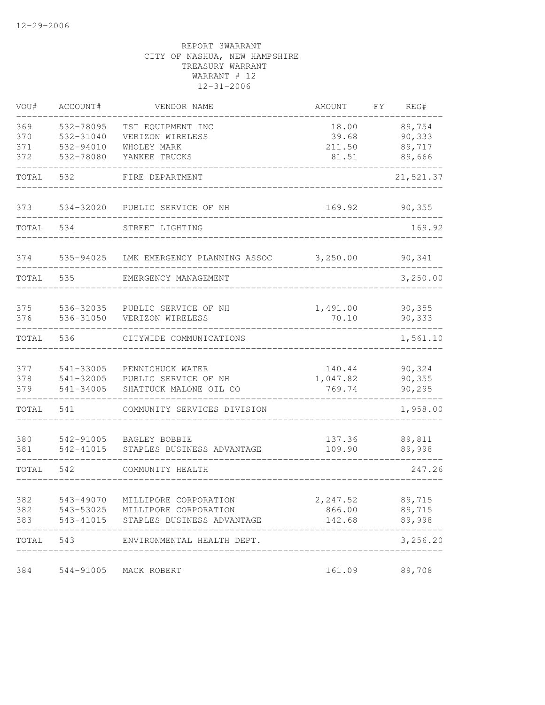| VOU#       | ACCOUNT#               | VENDOR NAME                                 | AMOUNT           | FY | REG#             |
|------------|------------------------|---------------------------------------------|------------------|----|------------------|
| 369        | 532-78095              | TST EQUIPMENT INC                           | 18.00            |    | 89,754           |
| 370        | 532-31040              | VERIZON WIRELESS                            | 39.68            |    | 90,333           |
| 371        | 532-94010              | WHOLEY MARK                                 | 211.50           |    | 89,717           |
| 372        | 532-78080              | YANKEE TRUCKS                               | 81.51            |    | 89,666           |
| TOTAL      | 532                    | FIRE DEPARTMENT                             |                  |    | 21,521.37        |
| 373        | 534-32020              | PUBLIC SERVICE OF NH                        | 169.92           |    | 90, 355          |
| TOTAL      | 534                    | STREET LIGHTING                             |                  |    | 169.92           |
| 374        | 535-94025              | LMK EMERGENCY PLANNING ASSOC                | 3,250.00         |    | 90,341           |
| TOTAL      | 535                    | EMERGENCY MANAGEMENT                        |                  |    | 3,250.00         |
| 375        | 536-32035              | PUBLIC SERVICE OF NH                        | 1,491.00         |    | 90, 355          |
| 376        | 536-31050              | VERIZON WIRELESS                            | 70.10            |    | 90,333           |
| TOTAL      | 536                    | CITYWIDE COMMUNICATIONS                     |                  |    | 1,561.10         |
| 377        | 541-33005              | PENNICHUCK WATER                            | 140.44           |    | 90,324           |
| 378        | 541-32005              | PUBLIC SERVICE OF NH                        | 1,047.82         |    | 90,355           |
| 379        | 541-34005              | SHATTUCK MALONE OIL CO                      | 769.74           |    | 90,295           |
| TOTAL      | 541                    | COMMUNITY SERVICES DIVISION                 |                  |    | 1,958.00         |
|            |                        |                                             |                  |    |                  |
| 380<br>381 | 542-91005<br>542-41015 | BAGLEY BOBBIE<br>STAPLES BUSINESS ADVANTAGE | 137.36<br>109.90 |    | 89,811<br>89,998 |
| TOTAL      | 542                    | COMMUNITY HEALTH                            |                  |    | 247.26           |
|            |                        |                                             |                  |    |                  |
| 382        | 543-49070              | MILLIPORE CORPORATION                       | 2,247.52         |    | 89,715           |
| 382        | 543-53025              | MILLIPORE CORPORATION                       | 866.00           |    | 89,715           |
| 383        |                        | 543-41015 STAPLES BUSINESS ADVANTAGE        | 142.68           |    | 89,998           |
| TOTAL      | 543                    | ENVIRONMENTAL HEALTH DEPT.                  |                  |    | 3,256.20         |
| 384        |                        | 544-91005 MACK ROBERT                       | 161.09           |    | 89,708           |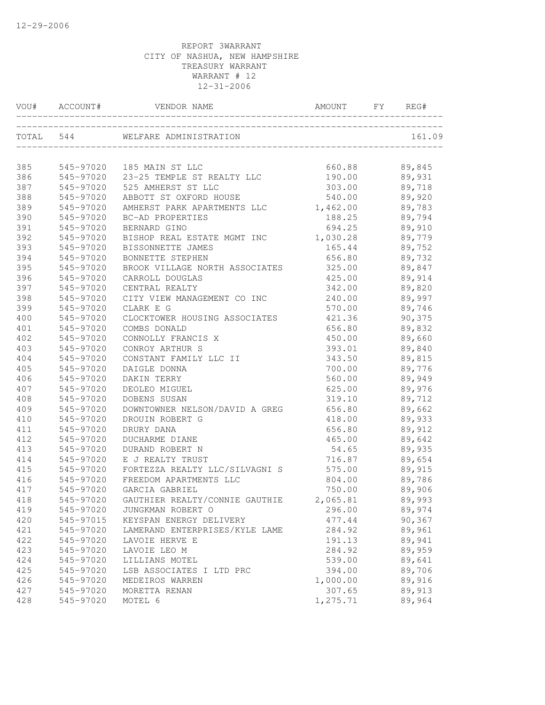| VOU#      | ACCOUNT#  | VENDOR NAME                    | AMOUNT   | FY | REG#   |
|-----------|-----------|--------------------------------|----------|----|--------|
| TOTAL 544 |           | WELFARE ADMINISTRATION         |          |    | 161.09 |
| 385       | 545-97020 | 185 MAIN ST LLC                | 660.88   |    | 89,845 |
| 386       | 545-97020 | 23-25 TEMPLE ST REALTY LLC     | 190.00   |    | 89,931 |
| 387       | 545-97020 | 525 AMHERST ST LLC             | 303.00   |    | 89,718 |
| 388       | 545-97020 | ABBOTT ST OXFORD HOUSE         | 540.00   |    | 89,920 |
| 389       | 545-97020 | AMHERST PARK APARTMENTS LLC    | 1,462.00 |    | 89,783 |
| 390       | 545-97020 | BC-AD PROPERTIES               | 188.25   |    | 89,794 |
| 391       | 545-97020 | BERNARD GINO                   | 694.25   |    | 89,910 |
| 392       | 545-97020 | BISHOP REAL ESTATE MGMT INC    | 1,030.28 |    | 89,779 |
| 393       | 545-97020 | BISSONNETTE JAMES              | 165.44   |    | 89,752 |
| 394       | 545-97020 | BONNETTE STEPHEN               | 656.80   |    | 89,732 |
| 395       | 545-97020 | BROOK VILLAGE NORTH ASSOCIATES | 325.00   |    | 89,847 |
| 396       | 545-97020 | CARROLL DOUGLAS                | 425.00   |    | 89,914 |
| 397       | 545-97020 | CENTRAL REALTY                 | 342.00   |    | 89,820 |
| 398       | 545-97020 | CITY VIEW MANAGEMENT CO INC    | 240.00   |    | 89,997 |
| 399       | 545-97020 | CLARK E G                      | 570.00   |    | 89,746 |
| 400       | 545-97020 | CLOCKTOWER HOUSING ASSOCIATES  | 421.36   |    | 90,375 |
| 401       | 545-97020 | COMBS DONALD                   | 656.80   |    | 89,832 |
| 402       | 545-97020 | CONNOLLY FRANCIS X             | 450.00   |    | 89,660 |
| 403       | 545-97020 | CONROY ARTHUR S                | 393.01   |    | 89,840 |
| 404       | 545-97020 | CONSTANT FAMILY LLC II         | 343.50   |    | 89,815 |
| 405       | 545-97020 | DAIGLE DONNA                   | 700.00   |    | 89,776 |
| 406       | 545-97020 | DAKIN TERRY                    | 560.00   |    | 89,949 |
| 407       | 545-97020 | DEOLEO MIGUEL                  | 625.00   |    | 89,976 |
| 408       | 545-97020 | DOBENS SUSAN                   | 319.10   |    | 89,712 |
| 409       | 545-97020 | DOWNTOWNER NELSON/DAVID A GREG | 656.80   |    | 89,662 |
| 410       | 545-97020 | DROUIN ROBERT G                | 418.00   |    | 89,933 |
| 411       | 545-97020 | DRURY DANA                     | 656.80   |    | 89,912 |
| 412       | 545-97020 | DUCHARME DIANE                 | 465.00   |    | 89,642 |
| 413       | 545-97020 | DURAND ROBERT N                | 54.65    |    | 89,935 |
| 414       | 545-97020 | E J REALTY TRUST               | 716.87   |    | 89,654 |
| 415       | 545-97020 | FORTEZZA REALTY LLC/SILVAGNI S | 575.00   |    | 89,915 |
| 416       | 545-97020 | FREEDOM APARTMENTS LLC         | 804.00   |    | 89,786 |
| 417       | 545-97020 | GARCIA GABRIEL                 | 750.00   |    | 89,906 |
| 418       | 545-97020 | GAUTHIER REALTY/CONNIE GAUTHIE | 2,065.81 |    | 89,993 |
| 419       | 545-97020 | JUNGKMAN ROBERT O              | 296.00   |    | 89,974 |
| 420       | 545-97015 | KEYSPAN ENERGY DELIVERY        | 477.44   |    | 90,367 |
| 421       | 545-97020 | LAMERAND ENTERPRISES/KYLE LAME | 284.92   |    | 89,961 |
| 422       | 545-97020 | LAVOIE HERVE E                 | 191.13   |    | 89,941 |
| 423       | 545-97020 | LAVOIE LEO M                   | 284.92   |    | 89,959 |
| 424       | 545-97020 | LILLIANS MOTEL                 | 539.00   |    | 89,641 |
| 425       | 545-97020 | LSB ASSOCIATES I LTD PRC       | 394.00   |    | 89,706 |
| 426       | 545-97020 | MEDEIROS WARREN                | 1,000.00 |    | 89,916 |
| 427       | 545-97020 | MORETTA RENAN                  | 307.65   |    | 89,913 |
| 428       | 545-97020 | MOTEL 6                        | 1,275.71 |    | 89,964 |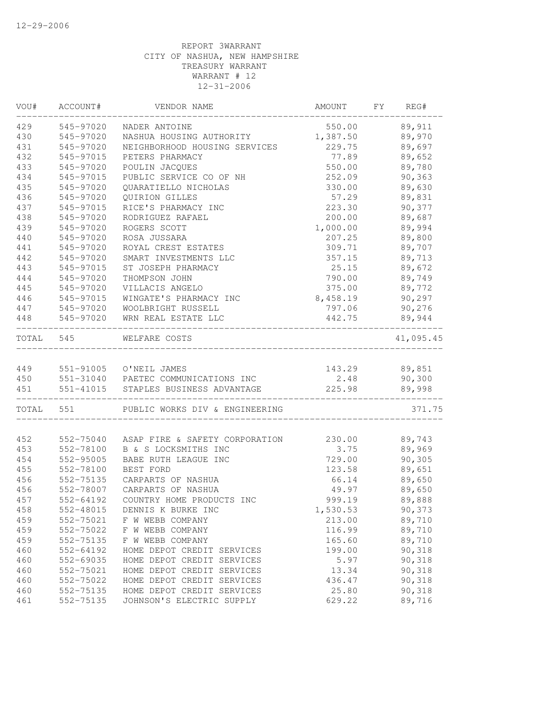| VOU#  | ACCOUNT#  | VENDOR NAME                          | AMOUNT   | FY | REG#      |
|-------|-----------|--------------------------------------|----------|----|-----------|
| 429   | 545-97020 | NADER ANTOINE                        | 550.00   |    | 89,911    |
| 430   | 545-97020 | NASHUA HOUSING AUTHORITY             | 1,387.50 |    | 89,970    |
| 431   | 545-97020 | NEIGHBORHOOD HOUSING SERVICES        | 229.75   |    | 89,697    |
| 432   | 545-97015 | PETERS PHARMACY                      | 77.89    |    | 89,652    |
| 433   | 545-97020 | POULIN JACQUES                       | 550.00   |    | 89,780    |
| 434   | 545-97015 | PUBLIC SERVICE CO OF NH              | 252.09   |    | 90,363    |
| 435   | 545-97020 | QUARATIELLO NICHOLAS                 | 330.00   |    | 89,630    |
| 436   | 545-97020 | QUIRION GILLES                       | 57.29    |    | 89,831    |
| 437   | 545-97015 | RICE'S PHARMACY INC                  | 223.30   |    | 90,377    |
| 438   | 545-97020 | RODRIGUEZ RAFAEL                     | 200.00   |    | 89,687    |
| 439   | 545-97020 | ROGERS SCOTT                         | 1,000.00 |    | 89,994    |
| 440   | 545-97020 | ROSA JUSSARA                         | 207.25   |    | 89,800    |
| 441   | 545-97020 | ROYAL CREST ESTATES                  | 309.71   |    | 89,707    |
| 442   | 545-97020 | SMART INVESTMENTS LLC                | 357.15   |    | 89,713    |
| 443   | 545-97015 | ST JOSEPH PHARMACY                   | 25.15    |    | 89,672    |
| 444   | 545-97020 | THOMPSON JOHN                        | 790.00   |    | 89,749    |
| 445   | 545-97020 | VILLACIS ANGELO                      | 375.00   |    | 89,772    |
| 446   | 545-97015 | WINGATE'S PHARMACY INC               | 8,458.19 |    | 90,297    |
| 447   | 545-97020 | WOOLBRIGHT RUSSELL                   | 797.06   |    | 90,276    |
| 448   | 545-97020 | WRN REAL ESTATE LLC                  | 442.75   |    | 89,944    |
| TOTAL | 545       | WELFARE COSTS                        |          |    | 41,095.45 |
| 449   |           | 551-91005 O'NEIL JAMES               | 143.29   |    | 89,851    |
| 450   |           | 551-31040 PAETEC COMMUNICATIONS INC  | 2.48     |    | 90,300    |
| 451   |           | 551-41015 STAPLES BUSINESS ADVANTAGE | 225.98   |    | 89,998    |
| TOTAL | 551       | PUBLIC WORKS DIV & ENGINEERING       |          |    | 371.75    |
| 452   | 552-75040 | ASAP FIRE & SAFETY CORPORATION       | 230.00   |    | 89,743    |
| 453   | 552-78100 | B & S LOCKSMITHS INC                 | 3.75     |    | 89,969    |
| 454   | 552-95005 | BABE RUTH LEAGUE INC                 | 729.00   |    | 90,305    |
| 455   | 552-78100 | BEST FORD                            | 123.58   |    | 89,651    |
| 456   | 552-75135 | CARPARTS OF NASHUA                   | 66.14    |    | 89,650    |
| 456   | 552-78007 | CARPARTS OF NASHUA                   | 49.97    |    | 89,650    |
| 457   | 552-64192 | COUNTRY HOME PRODUCTS INC            | 999.19   |    | 89,888    |
| 458   | 552-48015 | DENNIS K BURKE INC                   | 1,530.53 |    | 90,373    |
| 459   | 552-75021 | F W WEBB COMPANY                     | 213.00   |    | 89,710    |
| 459   | 552-75022 | F W WEBB COMPANY                     | 116.99   |    | 89,710    |
| 459   | 552-75135 | F W WEBB COMPANY                     | 165.60   |    | 89,710    |
| 460   | 552-64192 | HOME DEPOT CREDIT SERVICES           | 199.00   |    | 90,318    |
| 460   | 552-69035 | HOME DEPOT CREDIT SERVICES           | 5.97     |    | 90,318    |
| 460   | 552-75021 | HOME DEPOT CREDIT SERVICES           | 13.34    |    | 90,318    |
| 460   | 552-75022 | HOME DEPOT CREDIT SERVICES           | 436.47   |    | 90,318    |
| 460   | 552-75135 | HOME DEPOT CREDIT SERVICES           | 25.80    |    | 90,318    |
| 461   | 552-75135 | JOHNSON'S ELECTRIC SUPPLY            | 629.22   |    | 89,716    |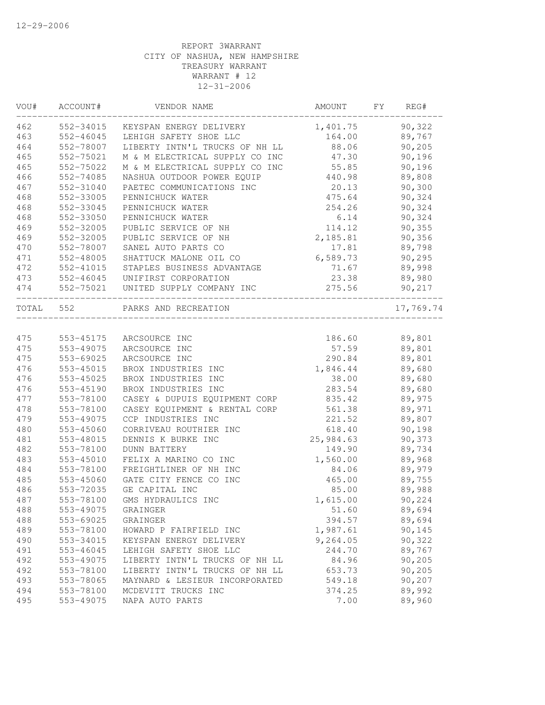| VOU#      | ACCOUNT#  | VENDOR NAME                         | AMOUNT    | FY | REG#      |
|-----------|-----------|-------------------------------------|-----------|----|-----------|
| 462       | 552-34015 | KEYSPAN ENERGY DELIVERY             | 1,401.75  |    | 90,322    |
| 463       | 552-46045 | LEHIGH SAFETY SHOE LLC              | 164.00    |    | 89,767    |
| 464       | 552-78007 | LIBERTY INTN'L TRUCKS OF NH LL      | 88.06     |    | 90, 205   |
| 465       | 552-75021 | M & M ELECTRICAL SUPPLY CO INC      | 47.30     |    | 90,196    |
| 465       | 552-75022 | M & M ELECTRICAL SUPPLY CO INC      | 55.85     |    | 90,196    |
| 466       | 552-74085 | NASHUA OUTDOOR POWER EQUIP          | 440.98    |    | 89,808    |
| 467       | 552-31040 | PAETEC COMMUNICATIONS INC           | 20.13     |    | 90,300    |
| 468       | 552-33005 | PENNICHUCK WATER                    | 475.64    |    | 90,324    |
| 468       | 552-33045 | PENNICHUCK WATER                    | 254.26    |    | 90,324    |
| 468       | 552-33050 | PENNICHUCK WATER                    | 6.14      |    | 90,324    |
| 469       | 552-32005 | PUBLIC SERVICE OF NH                | 114.12    |    | 90,355    |
| 469       | 552-32005 | PUBLIC SERVICE OF NH                | 2,185.81  |    | 90,356    |
| 470       | 552-78007 | SANEL AUTO PARTS CO                 | 17.81     |    | 89,798    |
| 471       | 552-48005 | SHATTUCK MALONE OIL CO              | 6,589.73  |    | 90, 295   |
| 472       | 552-41015 | STAPLES BUSINESS ADVANTAGE          | 71.67     |    | 89,998    |
| 473       |           | 552-46045 UNIFIRST CORPORATION      | 23.38     |    | 89,980    |
| 474       |           | 552-75021 UNITED SUPPLY COMPANY INC | 275.56    |    | 90,217    |
| TOTAL 552 |           | PARKS AND RECREATION                |           |    | 17,769.74 |
|           |           |                                     |           |    |           |
| 475       | 553-45175 | ARCSOURCE INC                       | 186.60    |    | 89,801    |
| 475       | 553-49075 | ARCSOURCE INC                       | 57.59     |    | 89,801    |
| 475       | 553-69025 | ARCSOURCE INC                       | 290.84    |    | 89,801    |
| 476       | 553-45015 | BROX INDUSTRIES INC                 | 1,846.44  |    | 89,680    |
| 476       | 553-45025 | BROX INDUSTRIES INC                 | 38.00     |    | 89,680    |
| 476       | 553-45190 | BROX INDUSTRIES INC                 | 283.54    |    | 89,680    |
| 477       | 553-78100 | CASEY & DUPUIS EQUIPMENT CORP       | 835.42    |    | 89,975    |
| 478       | 553-78100 | CASEY EQUIPMENT & RENTAL CORP       | 561.38    |    | 89,971    |
| 479       | 553-49075 | CCP INDUSTRIES INC                  | 221.52    |    | 89,807    |
| 480       | 553-45060 | CORRIVEAU ROUTHIER INC              | 618.40    |    | 90,198    |
| 481       | 553-48015 | DENNIS K BURKE INC                  | 25,984.63 |    | 90,373    |
| 482       | 553-78100 | <b>DUNN BATTERY</b>                 | 149.90    |    | 89,734    |
| 483       | 553-45010 | FELIX A MARINO CO INC               | 1,560.00  |    | 89,968    |
| 484       | 553-78100 | FREIGHTLINER OF NH INC              | 84.06     |    | 89,979    |
| 485       | 553-45060 | GATE CITY FENCE CO INC              | 465.00    |    | 89,755    |
| 486       | 553-72035 | GE CAPITAL INC                      | 85.00     |    | 89,988    |
| 487       | 553-78100 | GMS HYDRAULICS INC                  | 1,615.00  |    | 90,224    |
| 488       | 553-49075 | GRAINGER                            | 51.60     |    | 89,694    |
| 488       | 553-69025 | GRAINGER                            | 394.57    |    | 89,694    |
| 489       | 553-78100 | HOWARD P FAIRFIELD INC              | 1,987.61  |    | 90,145    |
| 490       | 553-34015 | KEYSPAN ENERGY DELIVERY             | 9,264.05  |    | 90,322    |
| 491       | 553-46045 | LEHIGH SAFETY SHOE LLC              | 244.70    |    | 89,767    |
| 492       | 553-49075 | LIBERTY INTN'L TRUCKS OF NH LL      | 84.96     |    | 90,205    |
| 492       | 553-78100 | LIBERTY INTN'L TRUCKS OF NH LL      | 653.73    |    | 90,205    |
| 493       | 553-78065 | MAYNARD & LESIEUR INCORPORATED      | 549.18    |    | 90,207    |
| 494       | 553-78100 | MCDEVITT TRUCKS INC                 | 374.25    |    | 89,992    |
| 495       | 553-49075 | NAPA AUTO PARTS                     | 7.00      |    | 89,960    |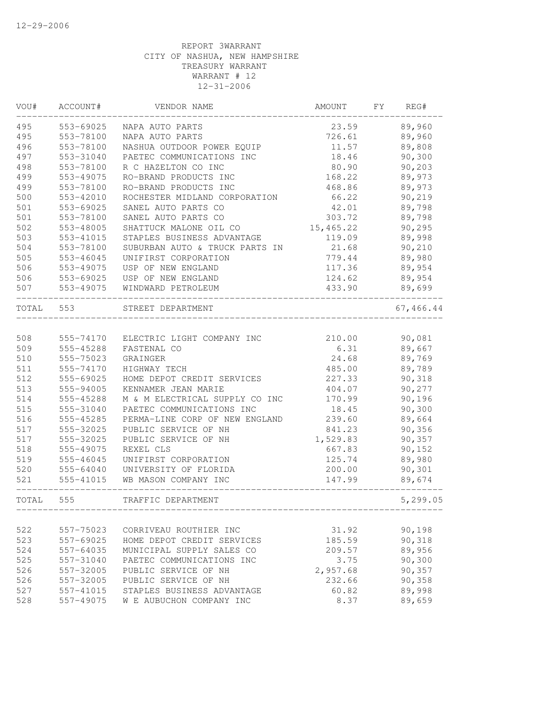| VOU#  | ACCOUNT#  | VENDOR NAME                    | AMOUNT    | FΥ | REG#      |
|-------|-----------|--------------------------------|-----------|----|-----------|
| 495   | 553-69025 | NAPA AUTO PARTS                | 23.59     |    | 89,960    |
| 495   | 553-78100 | NAPA AUTO PARTS                | 726.61    |    | 89,960    |
| 496   | 553-78100 | NASHUA OUTDOOR POWER EQUIP     | 11.57     |    | 89,808    |
| 497   | 553-31040 | PAETEC COMMUNICATIONS INC      | 18.46     |    | 90,300    |
| 498   | 553-78100 | R C HAZELTON CO INC            | 80.90     |    | 90,203    |
| 499   | 553-49075 | RO-BRAND PRODUCTS INC          | 168.22    |    | 89,973    |
| 499   | 553-78100 | RO-BRAND PRODUCTS INC          | 468.86    |    | 89,973    |
| 500   | 553-42010 | ROCHESTER MIDLAND CORPORATION  | 66.22     |    | 90,219    |
| 501   | 553-69025 | SANEL AUTO PARTS CO            | 42.01     |    | 89,798    |
| 501   | 553-78100 | SANEL AUTO PARTS CO            | 303.72    |    | 89,798    |
| 502   | 553-48005 | SHATTUCK MALONE OIL CO         | 15,465.22 |    | 90,295    |
| 503   | 553-41015 | STAPLES BUSINESS ADVANTAGE     | 119.09    |    | 89,998    |
| 504   | 553-78100 | SUBURBAN AUTO & TRUCK PARTS IN | 21.68     |    | 90,210    |
| 505   | 553-46045 | UNIFIRST CORPORATION           | 779.44    |    | 89,980    |
| 506   | 553-49075 | USP OF NEW ENGLAND             | 117.36    |    | 89,954    |
| 506   | 553-69025 | USP OF NEW ENGLAND             | 124.62    |    | 89,954    |
| 507   | 553-49075 | WINDWARD PETROLEUM             | 433.90    |    | 89,699    |
| TOTAL | 553       | STREET DEPARTMENT              |           |    | 67,466.44 |
|       |           |                                |           |    |           |
| 508   | 555-74170 | ELECTRIC LIGHT COMPANY INC     | 210.00    |    | 90,081    |
| 509   | 555-45288 | FASTENAL CO                    | 6.31      |    | 89,667    |
| 510   | 555-75023 | <b>GRAINGER</b>                | 24.68     |    | 89,769    |
| 511   | 555-74170 | HIGHWAY TECH                   | 485.00    |    | 89,789    |
| 512   | 555-69025 | HOME DEPOT CREDIT SERVICES     | 227.33    |    | 90,318    |
| 513   | 555-94005 | KENNAMER JEAN MARIE            | 404.07    |    | 90,277    |
| 514   | 555-45288 | M & M ELECTRICAL SUPPLY CO INC | 170.99    |    | 90,196    |
| 515   | 555-31040 | PAETEC COMMUNICATIONS INC      | 18.45     |    | 90,300    |
| 516   | 555-45285 | PERMA-LINE CORP OF NEW ENGLAND | 239.60    |    | 89,664    |
| 517   | 555-32025 | PUBLIC SERVICE OF NH           | 841.23    |    | 90,356    |
| 517   | 555-32025 | PUBLIC SERVICE OF NH           | 1,529.83  |    | 90,357    |
| 518   | 555-49075 | REXEL CLS                      | 667.83    |    | 90,152    |
| 519   | 555-46045 | UNIFIRST CORPORATION           | 125.74    |    | 89,980    |
| 520   | 555-64040 | UNIVERSITY OF FLORIDA          | 200.00    |    | 90,301    |
| 521   | 555-41015 | WB MASON COMPANY INC           | 147.99    |    | 89,674    |
| TOTAL | 555       | TRAFFIC DEPARTMENT             |           |    | 5,299.05  |
|       |           |                                |           |    |           |
| 522   | 557-75023 | CORRIVEAU ROUTHIER INC         | 31.92     |    | 90,198    |
| 523   | 557-69025 | HOME DEPOT CREDIT SERVICES     | 185.59    |    | 90,318    |
| 524   | 557-64035 | MUNICIPAL SUPPLY SALES CO      | 209.57    |    | 89,956    |
| 525   | 557-31040 | PAETEC COMMUNICATIONS INC      | 3.75      |    | 90,300    |
| 526   | 557-32005 | PUBLIC SERVICE OF NH           | 2,957.68  |    | 90,357    |
| 526   | 557-32005 | PUBLIC SERVICE OF NH           | 232.66    |    | 90,358    |
| 527   | 557-41015 | STAPLES BUSINESS ADVANTAGE     | 60.82     |    | 89,998    |
| 528   | 557-49075 | W E AUBUCHON COMPANY INC       | 8.37      |    | 89,659    |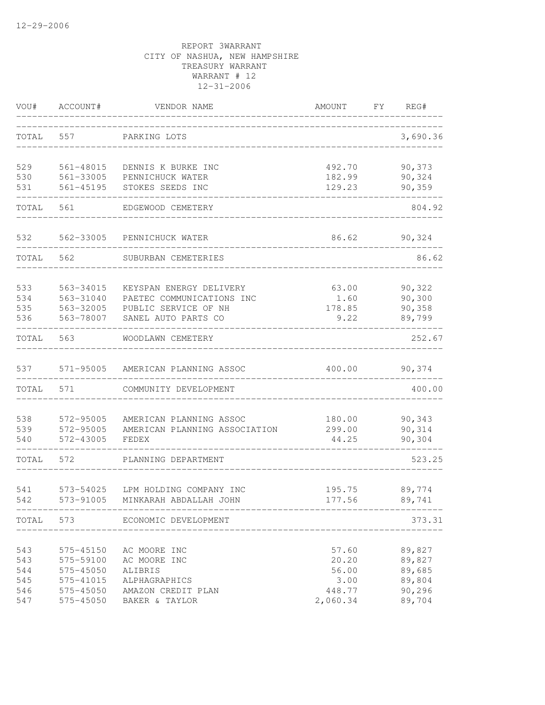| VOU#       | ACCOUNT#               | VENDOR NAME                                              | AMOUNT           | FY. | REG#             |
|------------|------------------------|----------------------------------------------------------|------------------|-----|------------------|
| TOTAL      | 557                    | PARKING LOTS                                             |                  |     | 3,690.36         |
| 529        | 561-48015              | DENNIS K BURKE INC                                       | 492.70           |     | 90,373           |
| 530<br>531 | 561-33005<br>561-45195 | PENNICHUCK WATER<br>STOKES SEEDS INC                     | 182.99<br>129.23 |     | 90,324<br>90,359 |
| TOTAL      | 561                    | EDGEWOOD CEMETERY                                        |                  |     | 804.92           |
|            |                        |                                                          |                  |     |                  |
| 532        | 562-33005              | PENNICHUCK WATER                                         | 86.62            |     | 90,324           |
| TOTAL      | 562                    | SUBURBAN CEMETERIES                                      |                  |     | 86.62            |
| 533        | 563-34015              | KEYSPAN ENERGY DELIVERY                                  | 63.00            |     | 90,322           |
| 534        | 563-31040              | PAETEC COMMUNICATIONS INC                                | 1.60             |     | 90,300<br>90,358 |
| 535<br>536 | 563-32005<br>563-78007 | PUBLIC SERVICE OF NH<br>SANEL AUTO PARTS CO              | 178.85<br>9.22   |     | 89,799           |
| TOTAL      | 563                    | WOODLAWN CEMETERY                                        |                  |     | 252.67           |
| 537        | 571-95005              | AMERICAN PLANNING ASSOC                                  | 400.00           |     | 90,374           |
| TOTAL      | 571                    | COMMUNITY DEVELOPMENT                                    |                  |     | 400.00           |
|            |                        |                                                          |                  |     |                  |
| 538<br>539 | 572-95005<br>572-95005 | AMERICAN PLANNING ASSOC<br>AMERICAN PLANNING ASSOCIATION | 180.00<br>299.00 |     | 90,343<br>90,314 |
| 540        | 572-43005              | FEDEX                                                    | 44.25            |     | 90,304           |
| TOTAL      | 572                    | PLANNING DEPARTMENT                                      |                  |     | 523.25           |
| 541        | 573-54025              | LPM HOLDING COMPANY INC                                  | 195.75           |     | 89,774           |
| 542        | 573-91005              | MINKARAH ABDALLAH JOHN                                   | 177.56           |     | 89,741           |
|            |                        | TOTAL 573 ECONOMIC DEVELOPMENT                           |                  |     | 373.31           |
| 543        | 575-45150              | AC MOORE INC                                             | 57.60            |     | 89,827           |
| 543        | 575-59100              | AC MOORE INC                                             | 20.20            |     | 89,827           |
| 544        | 575-45050              | ALIBRIS                                                  | 56.00            |     | 89,685           |
| 545        | 575-41015              | ALPHAGRAPHICS                                            | 3.00             |     | 89,804           |
| 546        | 575-45050              | AMAZON CREDIT PLAN                                       | 448.77           |     | 90,296           |
| 547        | 575-45050              | BAKER & TAYLOR                                           | 2,060.34         |     | 89,704           |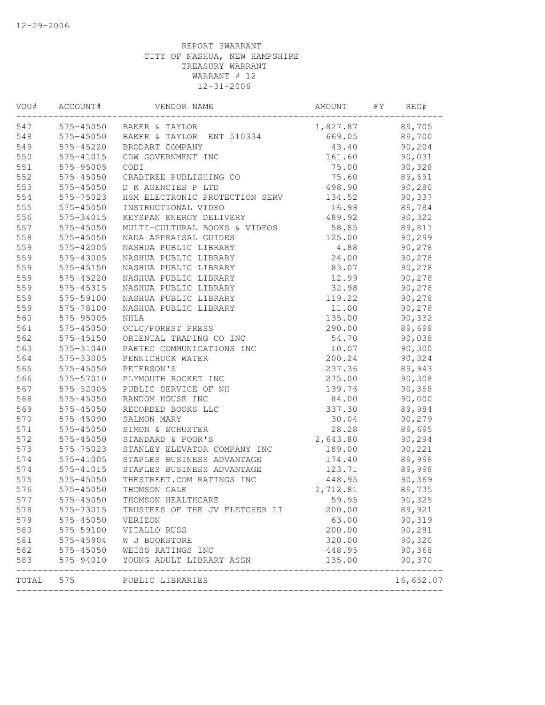| VOU#  | ACCOUNT#      | VENDOR NAME                        | AMOUNT   | FΥ | REG#                 |
|-------|---------------|------------------------------------|----------|----|----------------------|
| 547   | 575-45050     | BAKER & TAYLOR                     | 1,827.87 |    | 89,705               |
| 548   | 575-45050     | BAKER & TAYLOR ENT 510334          | 669.05   |    | 89,700               |
| 549   | 575-45220     | BRODART COMPANY                    | 43.40    |    | 90,204               |
| 550   | 575-41015     | CDW GOVERNMENT INC                 | 161.60   |    | 90,031               |
| 551   | 575-95005     | CODI                               | 75.00    |    | 90,328               |
| 552   | 575-45050     | CRABTREE PUBLISHING CO             | 75.60    |    | 89,691               |
| 553   | 575-45050     | D K AGENCIES P LTD                 | 498.90   |    | 90,280               |
| 554   | 575-75023     | HSM ELECTRONIC PROTECTION SERV     | 134.52   |    | 90,337               |
| 555   | 575-45050     | INSTRUCTIONAL VIDEO                | 16.99    |    | 89,784               |
| 556   | 575-34015     | KEYSPAN ENERGY DELIVERY            | 489.92   |    | 90,322               |
| 557   | 575-45050     | MULTI-CULTURAL BOOKS & VIDEOS      | 58.85    |    | 89,817               |
| 558   | 575-45050     | NADA APPRAISAL GUIDES              | 125.00   |    | 90,299               |
| 559   | 575-42005     | NASHUA PUBLIC LIBRARY              | 4.88     |    | 90,278               |
| 559   | 575-43005     | NASHUA PUBLIC LIBRARY              | 24.00    |    | 90,278               |
| 559   | 575-45150     | NASHUA PUBLIC LIBRARY              | 83.07    |    | 90,278               |
| 559   | 575-45220     | NASHUA PUBLIC LIBRARY              | 12.99    |    | 90,278               |
| 559   | 575-45315     | NASHUA PUBLIC LIBRARY              | 32.98    |    | 90,278               |
| 559   | 575-59100     | NASHUA PUBLIC LIBRARY              | 119.22   |    | 90,278               |
| 559   | 575-78100     | NASHUA PUBLIC LIBRARY              | 11.00    |    | 90,278               |
| 560   | 575-95005     | <b>NHLA</b>                        | 135.00   |    | 90,332               |
| 561   | 575-45050     | OCLC/FOREST PRESS                  | 290.00   |    | 89,698               |
| 562   | 575-45150     | ORIENTAL TRADING CO INC            | 54.70    |    | 90,038               |
| 563   | 575-31040     | PAETEC COMMUNICATIONS INC          | 10.07    |    | 90,300               |
| 564   | 575-33005     | PENNICHUCK WATER                   | 200.24   |    | 90,324               |
| 565   | 575-45050     | PETERSON'S                         | 237.36   |    | 89,943               |
| 566   | 575-57010     | PLYMOUTH ROCKET INC                | 275.00   |    | 90,308               |
| 567   | 575-32005     | PUBLIC SERVICE OF NH               | 139.76   |    | 90,358               |
| 568   | 575-45050     | RANDOM HOUSE INC                   | 84.00    |    | 90,000               |
| 569   | 575-45050     | RECORDED BOOKS LLC                 | 337.30   |    | 89,984               |
| 570   | 575-45090     | SALMON MARY                        | 30.04    |    | 90,279               |
| 571   | 575-45050     | SIMON & SCHUSTER                   | 28.28    |    | 89,695               |
| 572   | 575-45050     | STANDARD & POOR'S                  | 2,643.80 |    | 90,294               |
| 573   | 575-75023     | STANLEY ELEVATOR COMPANY INC       | 189.00   |    | 90,221               |
| 574   | 575-41005     | STAPLES BUSINESS ADVANTAGE         | 174.40   |    | 89,998               |
| 574   | 575-41015     | STAPLES BUSINESS ADVANTAGE         | 123.71   |    | 89,998               |
| 575   | 575-45050     | THESTREET.COM RATINGS INC          | 448.95   |    | 90,369               |
| 576   | 575-45050     | THOMSON GALE                       | 2,712.81 |    | 89,735               |
| 577   | 575-45050     | THOMSON HEALTHCARE                 | 59.95    |    | 90,325               |
| 578   | 575-73015     | TRUSTEES OF THE JV FLETCHER LI     | 200.00   |    | 89,921               |
| 579   | 575-45050     | VERIZON                            | 63.00    |    | 90,319               |
| 580   | 575-59100     | VITALLO RUSS                       | 200.00   |    | 90,281               |
| 581   | 575-45904     | W J BOOKSTORE                      | 320.00   |    | 90,320               |
| 582   | $575 - 45050$ | WEISS RATINGS INC                  | 448.95   |    | 90,368               |
| 583   |               | 575-94010 YOUNG ADULT LIBRARY ASSN | 135.00   |    | 90,370               |
| TOTAL | 575           | PUBLIC LIBRARIES                   |          |    | -------<br>16,652.07 |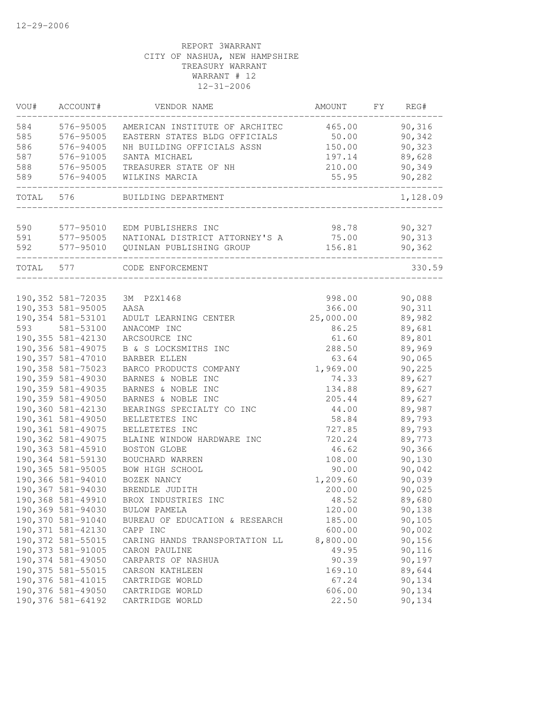| VOU#      | ACCOUNT#           | VENDOR NAME                                    | AMOUNT                              | FY | REG#     |
|-----------|--------------------|------------------------------------------------|-------------------------------------|----|----------|
| 584       | 576-95005          | AMERICAN INSTITUTE OF ARCHITEC                 | 465.00                              |    | 90,316   |
| 585       | 576-95005          | EASTERN STATES BLDG OFFICIALS                  | 50.00                               |    | 90,342   |
| 586       | 576-94005          | NH BUILDING OFFICIALS ASSN                     | 150.00                              |    | 90,323   |
| 587       | 576-91005          | SANTA MICHAEL                                  | 197.14                              |    | 89,628   |
| 588       | 576-95005          | TREASURER STATE OF NH                          | 210.00                              |    | 90,349   |
| 589       | 576-94005          | WILKINS MARCIA                                 | 55.95<br>__________________________ |    | 90,282   |
| TOTAL 576 |                    | BUILDING DEPARTMENT                            |                                     |    | 1,128.09 |
| 590       | 577-95010          | EDM PUBLISHERS INC                             | 98.78                               |    | 90,327   |
| 591       |                    | 577-95005 NATIONAL DISTRICT ATTORNEY'S A 75.00 |                                     |    | 90,313   |
| 592       | 577-95010          | QUINLAN PUBLISHING GROUP                       | 156.81                              |    | 90,362   |
| TOTAL 577 |                    | CODE ENFORCEMENT                               |                                     |    | 330.59   |
|           |                    |                                                |                                     |    |          |
|           | 190,352 581-72035  | 3M PZX1468                                     | 998.00                              |    | 90,088   |
|           | 190,353 581-95005  | AASA                                           | 366.00                              |    | 90,311   |
|           | 190,354 581-53101  | ADULT LEARNING CENTER                          | 25,000.00                           |    | 89,982   |
| 593       | 581-53100          | ANACOMP INC                                    | 86.25                               |    | 89,681   |
|           | 190,355 581-42130  | ARCSOURCE INC                                  | 61.60                               |    | 89,801   |
|           | 190, 356 581-49075 | B & S LOCKSMITHS INC                           | 288.50                              |    | 89,969   |
|           | 190,357 581-47010  | BARBER ELLEN                                   | 63.64                               |    | 90,065   |
|           | 190,358 581-75023  | BARCO PRODUCTS COMPANY                         | 1,969.00                            |    | 90,225   |
|           | 190,359 581-49030  | BARNES & NOBLE INC                             | 74.33                               |    | 89,627   |
|           | 190,359 581-49035  | BARNES & NOBLE INC                             | 134.88                              |    | 89,627   |
|           | 190,359 581-49050  | BARNES & NOBLE INC                             | 205.44                              |    | 89,627   |
|           | 190,360 581-42130  | BEARINGS SPECIALTY CO INC                      | 44.00                               |    | 89,987   |
|           | 190,361 581-49050  | BELLETETES INC                                 | 58.84                               |    | 89,793   |
|           | 190,361 581-49075  | BELLETETES INC                                 | 727.85                              |    | 89,793   |
|           | 190,362 581-49075  | BLAINE WINDOW HARDWARE INC                     | 720.24                              |    | 89,773   |
|           | 190,363 581-45910  | BOSTON GLOBE                                   | 46.62                               |    | 90,366   |
|           | 190,364 581-59130  | BOUCHARD WARREN                                | 108.00                              |    | 90,130   |
|           | 190,365 581-95005  | BOW HIGH SCHOOL                                | 90.00                               |    | 90,042   |
|           | 190,366 581-94010  | BOZEK NANCY                                    | 1,209.60                            |    | 90,039   |
|           | 190,367 581-94030  | BRENDLE JUDITH                                 | 200.00                              |    | 90,025   |
|           | 190,368 581-49910  | BROX INDUSTRIES INC                            | 48.52                               |    | 89,680   |
|           | 190,369 581-94030  | BULOW PAMELA                                   | 120.00                              |    | 90,138   |
|           | 190,370 581-91040  | BUREAU OF EDUCATION & RESEARCH                 | 185.00                              |    | 90, 105  |
|           | 190, 371 581-42130 | CAPP INC                                       | 600.00                              |    | 90,002   |
|           | 190,372 581-55015  | CARING HANDS TRANSPORTATION LL                 | 8,800.00                            |    | 90,156   |
|           | 190,373 581-91005  | CARON PAULINE                                  | 49.95                               |    | 90,116   |
|           | 190,374 581-49050  | CARPARTS OF NASHUA                             | 90.39                               |    | 90,197   |
|           | 190,375 581-55015  | CARSON KATHLEEN                                | 169.10                              |    | 89,644   |
|           | 190,376 581-41015  | CARTRIDGE WORLD                                | 67.24                               |    | 90,134   |
|           | 190,376 581-49050  | CARTRIDGE WORLD                                | 606.00                              |    | 90,134   |
|           | 190,376 581-64192  | CARTRIDGE WORLD                                | 22.50                               |    | 90,134   |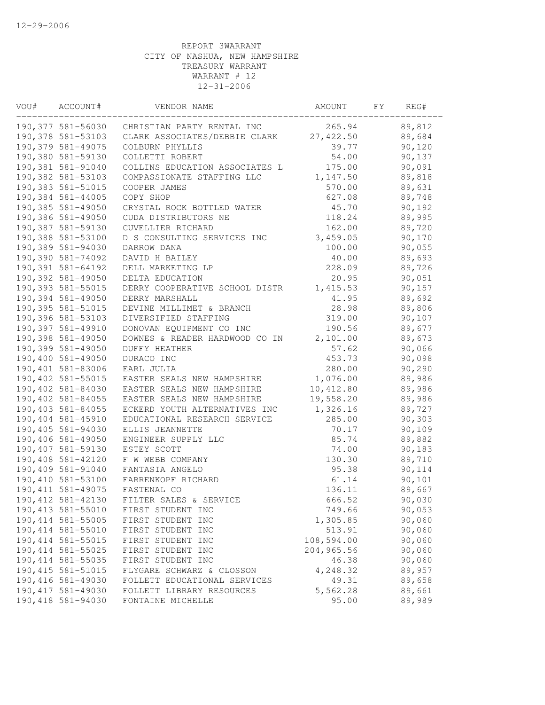| VOU# | ACCOUNT#           | VENDOR NAME                    | AMOUNT     | FY | REG#    |
|------|--------------------|--------------------------------|------------|----|---------|
|      | 190,377 581-56030  | CHRISTIAN PARTY RENTAL INC     | 265.94     |    | 89,812  |
|      | 190,378 581-53103  | CLARK ASSOCIATES/DEBBIE CLARK  | 27, 422.50 |    | 89,684  |
|      | 190,379 581-49075  | COLBURN PHYLLIS                | 39.77      |    | 90,120  |
|      | 190,380 581-59130  | COLLETTI ROBERT                | 54.00      |    | 90,137  |
|      | 190,381 581-91040  | COLLINS EDUCATION ASSOCIATES L | 175.00     |    | 90,091  |
|      | 190,382 581-53103  | COMPASSIONATE STAFFING LLC     | 1,147.50   |    | 89,818  |
|      | 190,383 581-51015  | COOPER JAMES                   | 570.00     |    | 89,631  |
|      | 190,384 581-44005  | COPY SHOP                      | 627.08     |    | 89,748  |
|      | 190,385 581-49050  | CRYSTAL ROCK BOTTLED WATER     | 45.70      |    | 90,192  |
|      | 190,386 581-49050  | CUDA DISTRIBUTORS NE           | 118.24     |    | 89,995  |
|      | 190,387 581-59130  | CUVELLIER RICHARD              | 162.00     |    | 89,720  |
|      | 190,388 581-53100  | D S CONSULTING SERVICES INC    | 3,459.05   |    | 90,170  |
|      | 190,389 581-94030  | DARROW DANA                    | 100.00     |    | 90,055  |
|      | 190,390 581-74092  | DAVID H BAILEY                 | 40.00      |    | 89,693  |
|      | 190,391 581-64192  | DELL MARKETING LP              | 228.09     |    | 89,726  |
|      | 190,392 581-49050  | DELTA EDUCATION                | 20.95      |    | 90,051  |
|      | 190,393 581-55015  | DERRY COOPERATIVE SCHOOL DISTR | 1,415.53   |    | 90, 157 |
|      | 190,394 581-49050  | DERRY MARSHALL                 | 41.95      |    | 89,692  |
|      | 190,395 581-51015  | DEVINE MILLIMET & BRANCH       | 28.98      |    | 89,806  |
|      | 190,396 581-53103  | DIVERSIFIED STAFFING           | 319.00     |    | 90,107  |
|      | 190,397 581-49910  | DONOVAN EQUIPMENT CO INC       | 190.56     |    | 89,677  |
|      | 190,398 581-49050  | DOWNES & READER HARDWOOD CO IN | 2,101.00   |    | 89,673  |
|      | 190,399 581-49050  | <b>DUFFY HEATHER</b>           | 57.62      |    | 90,066  |
|      | 190,400 581-49050  | DURACO INC                     | 453.73     |    | 90,098  |
|      | 190,401 581-83006  | EARL JULIA                     | 280.00     |    | 90,290  |
|      | 190,402 581-55015  | EASTER SEALS NEW HAMPSHIRE     | 1,076.00   |    | 89,986  |
|      | 190,402 581-84030  | EASTER SEALS NEW HAMPSHIRE     | 10,412.80  |    | 89,986  |
|      | 190,402 581-84055  | EASTER SEALS NEW HAMPSHIRE     | 19,558.20  |    | 89,986  |
|      | 190,403 581-84055  | ECKERD YOUTH ALTERNATIVES INC  | 1,326.16   |    | 89,727  |
|      | 190,404 581-45910  | EDUCATIONAL RESEARCH SERVICE   | 285.00     |    | 90,303  |
|      | 190,405 581-94030  | ELLIS JEANNETTE                | 70.17      |    | 90,109  |
|      | 190,406 581-49050  | ENGINEER SUPPLY LLC            | 85.74      |    | 89,882  |
|      | 190,407 581-59130  | ESTEY SCOTT                    | 74.00      |    | 90,183  |
|      | 190,408 581-42120  | F W WEBB COMPANY               | 130.30     |    | 89,710  |
|      | 190,409 581-91040  | FANTASIA ANGELO                | 95.38      |    | 90,114  |
|      | 190,410 581-53100  | FARRENKOPF RICHARD             | 61.14      |    | 90,101  |
|      | 190, 411 581-49075 | FASTENAL CO                    | 136.11     |    | 89,667  |
|      | 190, 412 581-42130 | FILTER SALES & SERVICE         | 666.52     |    | 90,030  |
|      | 190, 413 581-55010 | FIRST STUDENT INC              | 749.66     |    | 90,053  |
|      | 190, 414 581-55005 | FIRST STUDENT INC              | 1,305.85   |    | 90,060  |
|      | 190,414 581-55010  | FIRST STUDENT INC              | 513.91     |    | 90,060  |
|      | 190, 414 581-55015 | FIRST STUDENT INC              | 108,594.00 |    | 90,060  |
|      | 190, 414 581-55025 | FIRST STUDENT INC              | 204,965.56 |    | 90,060  |
|      | 190, 414 581-55035 | FIRST STUDENT INC              | 46.38      |    | 90,060  |
|      | 190, 415 581-51015 | FLYGARE SCHWARZ & CLOSSON      | 4,248.32   |    | 89,957  |
|      | 190, 416 581-49030 | FOLLETT EDUCATIONAL SERVICES   | 49.31      |    | 89,658  |
|      | 190, 417 581-49030 | FOLLETT LIBRARY RESOURCES      | 5,562.28   |    | 89,661  |
|      | 190,418 581-94030  | FONTAINE MICHELLE              | 95.00      |    | 89,989  |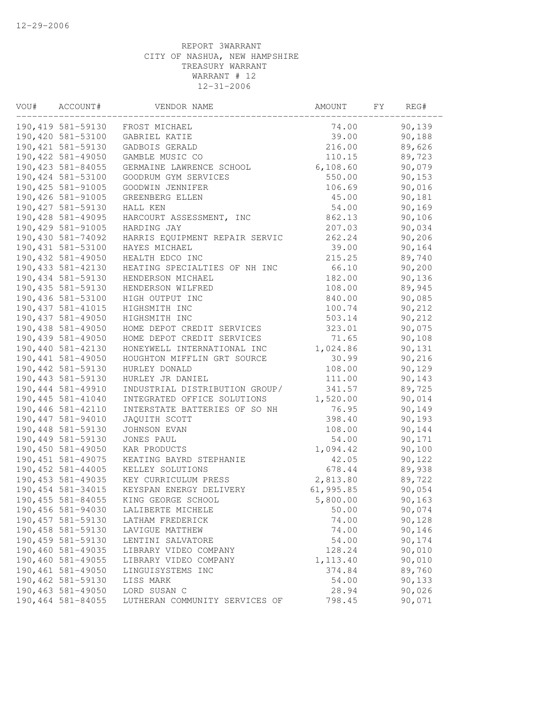| VOU# | ACCOUNT#           | VENDOR NAME                    | AMOUNT    | FY | REG#    |
|------|--------------------|--------------------------------|-----------|----|---------|
|      | 190,419 581-59130  | FROST MICHAEL                  | 74.00     |    | 90,139  |
|      | 190,420 581-53100  | GABRIEL KATIE                  | 39.00     |    | 90,188  |
|      | 190, 421 581-59130 | GADBOIS GERALD                 | 216.00    |    | 89,626  |
|      | 190,422 581-49050  | GAMBLE MUSIC CO                | 110.15    |    | 89,723  |
|      | 190, 423 581-84055 | GERMAINE LAWRENCE SCHOOL       | 6,108.60  |    | 90,079  |
|      | 190,424 581-53100  | GOODRUM GYM SERVICES           | 550.00    |    | 90,153  |
|      | 190,425 581-91005  | GOODWIN JENNIFER               | 106.69    |    | 90,016  |
|      | 190,426 581-91005  | GREENBERG ELLEN                | 45.00     |    | 90,181  |
|      | 190, 427 581-59130 | HALL KEN                       | 54.00     |    | 90,169  |
|      | 190,428 581-49095  | HARCOURT ASSESSMENT, INC       | 862.13    |    | 90,106  |
|      | 190,429 581-91005  | HARDING JAY                    | 207.03    |    | 90,034  |
|      | 190,430 581-74092  | HARRIS EQUIPMENT REPAIR SERVIC | 262.24    |    | 90, 206 |
|      | 190, 431 581-53100 | HAYES MICHAEL                  | 39.00     |    | 90,164  |
|      | 190,432 581-49050  | HEALTH EDCO INC                | 215.25    |    | 89,740  |
|      | 190,433 581-42130  | HEATING SPECIALTIES OF NH INC  | 66.10     |    | 90,200  |
|      | 190,434 581-59130  | HENDERSON MICHAEL              | 182.00    |    | 90,136  |
|      | 190,435 581-59130  | HENDERSON WILFRED              | 108.00    |    | 89,945  |
|      | 190,436 581-53100  | HIGH OUTPUT INC                | 840.00    |    | 90,085  |
|      | 190, 437 581-41015 | HIGHSMITH INC                  | 100.74    |    | 90,212  |
|      | 190,437 581-49050  | HIGHSMITH INC                  | 503.14    |    | 90,212  |
|      | 190,438 581-49050  | HOME DEPOT CREDIT SERVICES     | 323.01    |    | 90,075  |
|      | 190,439 581-49050  | HOME DEPOT CREDIT SERVICES     | 71.65     |    | 90,108  |
|      | 190,440 581-42130  | HONEYWELL INTERNATIONAL INC    | 1,024.86  |    | 90,131  |
|      | 190,441 581-49050  | HOUGHTON MIFFLIN GRT SOURCE    | 30.99     |    | 90,216  |
|      | 190,442 581-59130  | HURLEY DONALD                  | 108.00    |    | 90,129  |
|      | 190,443 581-59130  | HURLEY JR DANIEL               | 111.00    |    | 90,143  |
|      | 190,444 581-49910  | INDUSTRIAL DISTRIBUTION GROUP/ | 341.57    |    | 89,725  |
|      | 190, 445 581-41040 | INTEGRATED OFFICE SOLUTIONS    | 1,520.00  |    | 90,014  |
|      | 190,446 581-42110  | INTERSTATE BATTERIES OF SO NH  | 76.95     |    | 90,149  |
|      | 190,447 581-94010  | JAQUITH SCOTT                  | 398.40    |    | 90, 193 |
|      | 190,448 581-59130  | JOHNSON EVAN                   | 108.00    |    | 90,144  |
|      | 190,449 581-59130  | JONES PAUL                     | 54.00     |    | 90,171  |
|      | 190,450 581-49050  | KAR PRODUCTS                   | 1,094.42  |    | 90,100  |
|      | 190, 451 581-49075 | KEATING BAYRD STEPHANIE        | 42.05     |    | 90,122  |
|      | 190,452 581-44005  | KELLEY SOLUTIONS               | 678.44    |    | 89,938  |
|      | 190,453 581-49035  | KEY CURRICULUM PRESS           | 2,813.80  |    | 89,722  |
|      | 190,454 581-34015  | KEYSPAN ENERGY DELIVERY        | 61,995.85 |    | 90,054  |
|      | 190, 455 581-84055 | KING GEORGE SCHOOL             | 5,800.00  |    | 90,163  |
|      | 190,456 581-94030  | LALIBERTE MICHELE              | 50.00     |    | 90,074  |
|      | 190, 457 581-59130 | LATHAM FREDERICK               | 74.00     |    | 90,128  |
|      | 190,458 581-59130  | LAVIGUE MATTHEW                | 74.00     |    | 90,146  |
|      | 190,459 581-59130  | LENTINI SALVATORE              | 54.00     |    | 90,174  |
|      | 190,460 581-49035  | LIBRARY VIDEO COMPANY          | 128.24    |    | 90,010  |
|      | 190,460 581-49055  | LIBRARY VIDEO COMPANY          | 1, 113.40 |    | 90,010  |
|      | 190,461 581-49050  | LINGUISYSTEMS INC              | 374.84    |    | 89,760  |
|      | 190,462 581-59130  | LISS MARK                      | 54.00     |    | 90,133  |
|      | 190,463 581-49050  | LORD SUSAN C                   | 28.94     |    | 90,026  |
|      | 190,464 581-84055  | LUTHERAN COMMUNITY SERVICES OF | 798.45    |    | 90,071  |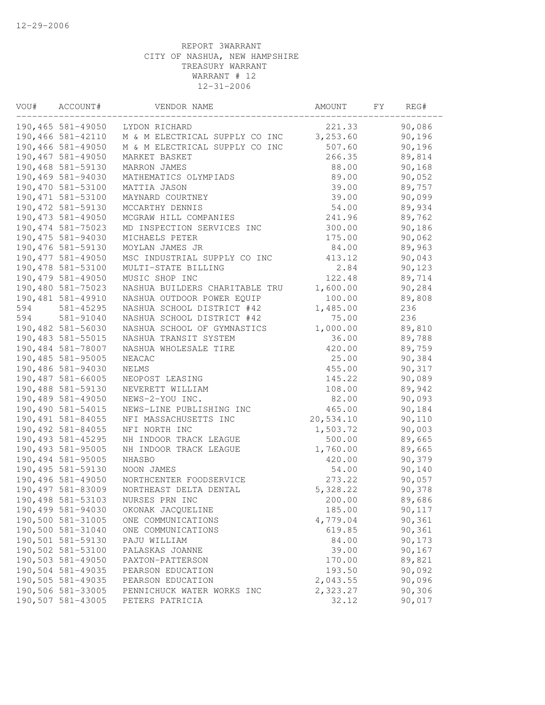| VOU# | ACCOUNT#           | VENDOR NAME                    | AMOUNT    | FY | REG#   |  |
|------|--------------------|--------------------------------|-----------|----|--------|--|
|      | 190,465 581-49050  | LYDON RICHARD                  | 221.33    |    | 90,086 |  |
|      | 190,466 581-42110  | M & M ELECTRICAL SUPPLY CO INC | 3,253.60  |    | 90,196 |  |
|      | 190,466 581-49050  | M & M ELECTRICAL SUPPLY CO INC | 507.60    |    | 90,196 |  |
|      | 190,467 581-49050  | MARKET BASKET                  | 266.35    |    | 89,814 |  |
|      | 190,468 581-59130  | MARRON JAMES                   | 88.00     |    | 90,168 |  |
|      | 190,469 581-94030  | MATHEMATICS OLYMPIADS          | 89.00     |    | 90,052 |  |
|      | 190,470 581-53100  | MATTIA JASON                   | 39.00     |    | 89,757 |  |
|      | 190, 471 581-53100 | MAYNARD COURTNEY               | 39.00     |    | 90,099 |  |
|      | 190, 472 581-59130 | MCCARTHY DENNIS                | 54.00     |    | 89,934 |  |
|      | 190, 473 581-49050 | MCGRAW HILL COMPANIES          | 241.96    |    | 89,762 |  |
|      | 190, 474 581-75023 | MD INSPECTION SERVICES INC     | 300.00    |    | 90,186 |  |
|      | 190, 475 581-94030 | MICHAELS PETER                 | 175.00    |    | 90,062 |  |
|      | 190,476 581-59130  | MOYLAN JAMES JR                | 84.00     |    | 89,963 |  |
|      | 190, 477 581-49050 | MSC INDUSTRIAL SUPPLY CO INC   | 413.12    |    | 90,043 |  |
|      | 190,478 581-53100  | MULTI-STATE BILLING            | 2.84      |    | 90,123 |  |
|      | 190,479 581-49050  | MUSIC SHOP INC                 | 122.48    |    | 89,714 |  |
|      | 190,480 581-75023  | NASHUA BUILDERS CHARITABLE TRU | 1,600.00  |    | 90,284 |  |
|      | 190,481 581-49910  | NASHUA OUTDOOR POWER EQUIP     | 100.00    |    | 89,808 |  |
| 594  | 581-45295          | NASHUA SCHOOL DISTRICT #42     | 1,485.00  |    | 236    |  |
| 594  | 581-91040          | NASHUA SCHOOL DISTRICT #42     | 75.00     |    | 236    |  |
|      | 190,482 581-56030  | NASHUA SCHOOL OF GYMNASTICS    | 1,000.00  |    | 89,810 |  |
|      | 190, 483 581-55015 | NASHUA TRANSIT SYSTEM          | 36.00     |    | 89,788 |  |
|      | 190,484 581-78007  | NASHUA WHOLESALE TIRE          | 420.00    |    | 89,759 |  |
|      | 190,485 581-95005  | NEACAC                         | 25.00     |    | 90,384 |  |
|      | 190,486 581-94030  | NELMS                          | 455.00    |    | 90,317 |  |
|      | 190,487 581-66005  | NEOPOST LEASING                | 145.22    |    | 90,089 |  |
|      | 190,488 581-59130  | NEVERETT WILLIAM               | 108.00    |    | 89,942 |  |
|      | 190,489 581-49050  | NEWS-2-YOU INC.                | 82.00     |    | 90,093 |  |
|      | 190,490 581-54015  | NEWS-LINE PUBLISHING INC       | 465.00    |    | 90,184 |  |
|      | 190,491 581-84055  |                                |           |    |        |  |
|      |                    | NFI MASSACHUSETTS INC          | 20,534.10 |    | 90,110 |  |
|      | 190,492 581-84055  | NFI NORTH INC                  | 1,503.72  |    | 90,003 |  |
|      | 190, 493 581-45295 | NH INDOOR TRACK LEAGUE         | 500.00    |    | 89,665 |  |
|      | 190,493 581-95005  | NH INDOOR TRACK LEAGUE         | 1,760.00  |    | 89,665 |  |
|      | 190,494 581-95005  | NHASBO                         | 420.00    |    | 90,379 |  |
|      | 190,495 581-59130  | NOON JAMES                     | 54.00     |    | 90,140 |  |
|      | 190,496 581-49050  | NORTHCENTER FOODSERVICE        | 273.22    |    | 90,057 |  |
|      | 190,497 581-83009  | NORTHEAST DELTA DENTAL         | 5,328.22  |    | 90,378 |  |
|      | 190,498 581-53103  | NURSES PRN INC                 | 200.00    |    | 89,686 |  |
|      | 190,499 581-94030  | OKONAK JACQUELINE              | 185.00    |    | 90,117 |  |
|      | 190,500 581-31005  | ONE COMMUNICATIONS             | 4,779.04  |    | 90,361 |  |
|      | 190,500 581-31040  | ONE COMMUNICATIONS             | 619.85    |    | 90,361 |  |
|      | 190,501 581-59130  | PAJU WILLIAM                   | 84.00     |    | 90,173 |  |
|      | 190,502 581-53100  | PALASKAS JOANNE                | 39.00     |    | 90,167 |  |
|      | 190,503 581-49050  | PAXTON-PATTERSON               | 170.00    |    | 89,821 |  |
|      | 190,504 581-49035  | PEARSON EDUCATION              | 193.50    |    | 90,092 |  |
|      | 190,505 581-49035  | PEARSON EDUCATION              | 2,043.55  |    | 90,096 |  |
|      | 190,506 581-33005  | PENNICHUCK WATER WORKS INC     | 2,323.27  |    | 90,306 |  |
|      | 190,507 581-43005  | PETERS PATRICIA                | 32.12     |    | 90,017 |  |
|      |                    |                                |           |    |        |  |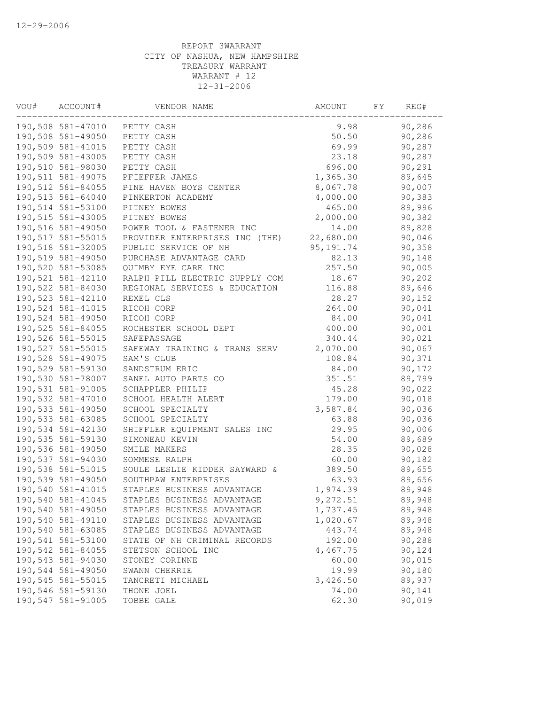| VOU# | ACCOUNT#           | VENDOR NAME                    | AMOUNT     | FΥ | REG#    |  |
|------|--------------------|--------------------------------|------------|----|---------|--|
|      | 190,508 581-47010  | PETTY CASH                     | 9.98       |    | 90,286  |  |
|      | 190,508 581-49050  | PETTY CASH                     | 50.50      |    | 90,286  |  |
|      | 190,509 581-41015  | PETTY CASH                     | 69.99      |    | 90,287  |  |
|      | 190,509 581-43005  | PETTY CASH                     | 23.18      |    | 90,287  |  |
|      | 190,510 581-98030  | PETTY CASH                     | 696.00     |    | 90,291  |  |
|      | 190, 511 581-49075 | PFIEFFER JAMES                 | 1,365.30   |    | 89,645  |  |
|      | 190,512 581-84055  | PINE HAVEN BOYS CENTER         | 8,067.78   |    | 90,007  |  |
|      | 190,513 581-64040  | PINKERTON ACADEMY              | 4,000.00   |    | 90,383  |  |
|      | 190,514 581-53100  | PITNEY BOWES                   | 465.00     |    | 89,996  |  |
|      | 190,515 581-43005  | PITNEY BOWES                   | 2,000.00   |    | 90,382  |  |
|      | 190,516 581-49050  | POWER TOOL & FASTENER INC      | 14.00      |    | 89,828  |  |
|      | 190, 517 581-55015 | PROVIDER ENTERPRISES INC (THE) | 22,680.00  |    | 90,046  |  |
|      | 190,518 581-32005  | PUBLIC SERVICE OF NH           | 95, 191.74 |    | 90,358  |  |
|      | 190,519 581-49050  | PURCHASE ADVANTAGE CARD        | 82.13      |    | 90,148  |  |
|      | 190,520 581-53085  | QUIMBY EYE CARE INC            | 257.50     |    | 90,005  |  |
|      | 190,521 581-42110  | RALPH PILL ELECTRIC SUPPLY COM | 18.67      |    | 90,202  |  |
|      | 190,522 581-84030  | REGIONAL SERVICES & EDUCATION  | 116.88     |    | 89,646  |  |
|      | 190,523 581-42110  | REXEL CLS                      | 28.27      |    | 90, 152 |  |
|      | 190,524 581-41015  | RICOH CORP                     | 264.00     |    | 90,041  |  |
|      | 190,524 581-49050  | RICOH CORP                     | 84.00      |    | 90,041  |  |
|      | 190,525 581-84055  | ROCHESTER SCHOOL DEPT          | 400.00     |    | 90,001  |  |
|      | 190,526 581-55015  | SAFEPASSAGE                    | 340.44     |    | 90,021  |  |
|      | 190,527 581-55015  | SAFEWAY TRAINING & TRANS SERV  | 2,070.00   |    | 90,067  |  |
|      | 190,528 581-49075  | SAM'S CLUB                     | 108.84     |    | 90,371  |  |
|      | 190,529 581-59130  | SANDSTRUM ERIC                 | 84.00      |    | 90,172  |  |
|      | 190,530 581-78007  | SANEL AUTO PARTS CO            | 351.51     |    | 89,799  |  |
|      | 190,531 581-91005  | SCHAPPLER PHILIP               | 45.28      |    | 90,022  |  |
|      | 190,532 581-47010  | SCHOOL HEALTH ALERT            | 179.00     |    | 90,018  |  |
|      | 190,533 581-49050  | SCHOOL SPECIALTY               | 3,587.84   |    | 90,036  |  |
|      | 190,533 581-63085  | SCHOOL SPECIALTY               | 63.88      |    | 90,036  |  |
|      | 190,534 581-42130  | SHIFFLER EQUIPMENT SALES INC   | 29.95      |    | 90,006  |  |
|      | 190,535 581-59130  | SIMONEAU KEVIN                 | 54.00      |    | 89,689  |  |
|      | 190,536 581-49050  | SMILE MAKERS                   | 28.35      |    | 90,028  |  |
|      | 190,537 581-94030  | SOMMESE RALPH                  | 60.00      |    | 90,182  |  |
|      | 190,538 581-51015  | SOULE LESLIE KIDDER SAYWARD &  | 389.50     |    | 89,655  |  |
|      | 190,539 581-49050  | SOUTHPAW ENTERPRISES           | 63.93      |    | 89,656  |  |
|      | 190,540 581-41015  | STAPLES BUSINESS ADVANTAGE     | 1,974.39   |    | 89,948  |  |
|      | 190,540 581-41045  | STAPLES BUSINESS ADVANTAGE     | 9,272.51   |    | 89,948  |  |
|      | 190,540 581-49050  | STAPLES BUSINESS ADVANTAGE     | 1,737.45   |    | 89,948  |  |
|      | 190,540 581-49110  | STAPLES BUSINESS ADVANTAGE     | 1,020.67   |    | 89,948  |  |
|      | 190,540 581-63085  | STAPLES BUSINESS ADVANTAGE     | 443.74     |    | 89,948  |  |
|      | 190,541 581-53100  | STATE OF NH CRIMINAL RECORDS   | 192.00     |    | 90,288  |  |
|      | 190,542 581-84055  | STETSON SCHOOL INC             | 4,467.75   |    | 90,124  |  |
|      | 190,543 581-94030  | STONEY CORINNE                 | 60.00      |    | 90,015  |  |
|      | 190,544 581-49050  | SWANN CHERRIE                  | 19.99      |    | 90,180  |  |
|      | 190,545 581-55015  | TANCRETI MICHAEL               | 3,426.50   |    | 89,937  |  |
|      | 190,546 581-59130  | THONE JOEL                     | 74.00      |    | 90,141  |  |
|      | 190,547 581-91005  | TOBBE GALE                     | 62.30      |    | 90,019  |  |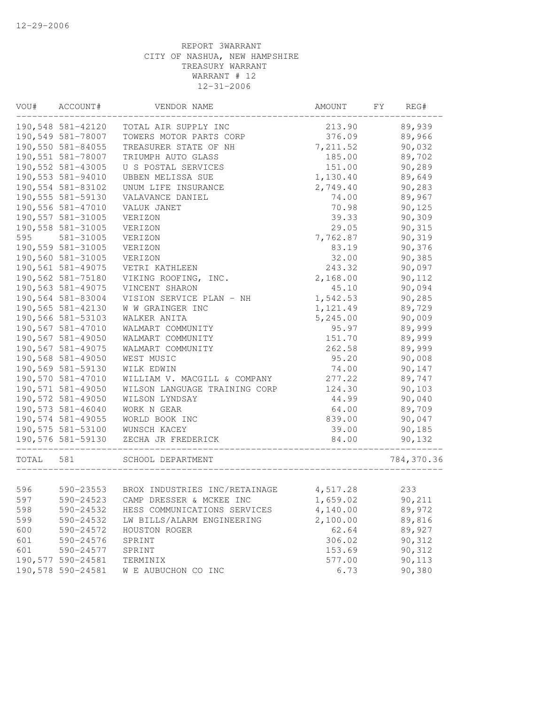| VOU#      | ACCOUNT#          | VENDOR NAME                                                                | AMOUNT   | FY<br>REG# |  |
|-----------|-------------------|----------------------------------------------------------------------------|----------|------------|--|
|           | 190,548 581-42120 | TOTAL AIR SUPPLY INC                                                       | 213.90   | 89,939     |  |
|           | 190,549 581-78007 | TOWERS MOTOR PARTS CORP                                                    | 376.09   | 89,966     |  |
|           | 190,550 581-84055 | TREASURER STATE OF NH                                                      | 7,211.52 | 90,032     |  |
|           | 190,551 581-78007 | TRIUMPH AUTO GLASS                                                         | 185.00   | 89,702     |  |
|           | 190,552 581-43005 | U S POSTAL SERVICES                                                        | 151.00   | 90,289     |  |
|           | 190,553 581-94010 | UBBEN MELISSA SUE                                                          | 1,130.40 | 89,649     |  |
|           | 190,554 581-83102 | UNUM LIFE INSURANCE                                                        | 2,749.40 | 90,283     |  |
|           | 190,555 581-59130 | VALAVANCE DANIEL                                                           | 74.00    | 89,967     |  |
|           | 190,556 581-47010 | VALUK JANET                                                                | 70.98    | 90,125     |  |
|           | 190,557 581-31005 | VERIZON                                                                    | 39.33    | 90,309     |  |
|           | 190,558 581-31005 | VERIZON                                                                    | 29.05    | 90,315     |  |
| 595       | 581-31005         | VERIZON                                                                    | 7,762.87 | 90,319     |  |
|           | 190,559 581-31005 | VERIZON                                                                    | 83.19    | 90,376     |  |
|           | 190,560 581-31005 | VERIZON                                                                    | 32.00    | 90,385     |  |
|           | 190,561 581-49075 | VETRI KATHLEEN                                                             | 243.32   | 90,097     |  |
|           | 190,562 581-75180 | VIKING ROOFING, INC.                                                       | 2,168.00 | 90,112     |  |
|           | 190,563 581-49075 | VINCENT SHARON                                                             | 45.10    | 90,094     |  |
|           | 190,564 581-83004 | VISION SERVICE PLAN - NH                                                   | 1,542.53 | 90,285     |  |
|           | 190,565 581-42130 | W W GRAINGER INC                                                           | 1,121.49 | 89,729     |  |
|           | 190,566 581-53103 | WALKER ANITA                                                               | 5,245.00 | 90,009     |  |
|           | 190,567 581-47010 | WALMART COMMUNITY                                                          | 95.97    | 89,999     |  |
|           | 190,567 581-49050 | WALMART COMMUNITY                                                          | 151.70   | 89,999     |  |
|           | 190,567 581-49075 | WALMART COMMUNITY                                                          | 262.58   | 89,999     |  |
|           | 190,568 581-49050 | WEST MUSIC                                                                 | 95.20    | 90,008     |  |
|           | 190,569 581-59130 | WILK EDWIN                                                                 | 74.00    | 90,147     |  |
|           | 190,570 581-47010 | WILLIAM V. MACGILL & COMPANY                                               | 277.22   | 89,747     |  |
|           | 190,571 581-49050 | WILSON LANGUAGE TRAINING CORP                                              | 124.30   | 90,103     |  |
|           | 190,572 581-49050 | WILSON LYNDSAY                                                             | 44.99    | 90,040     |  |
|           | 190,573 581-46040 | WORK N GEAR                                                                | 64.00    | 89,709     |  |
|           | 190,574 581-49055 | WORLD BOOK INC                                                             | 839.00   | 90,047     |  |
|           | 190,575 581-53100 | WUNSCH KACEY                                                               | 39.00    | 90,185     |  |
|           | 190,576 581-59130 | ZECHA JR FREDERICK<br>_____________________<br>___________________________ | 84.00    | 90,132     |  |
| TOTAL 581 |                   | SCHOOL DEPARTMENT                                                          |          | 784,370.36 |  |
|           |                   |                                                                            |          |            |  |
| 596       |                   | 590-23553 BROX INDUSTRIES INC/RETAINAGE                                    | 4,517.28 | 233        |  |
| 597       |                   | 590-24523 CAMP DRESSER & MCKEE INC                                         | 1,659.02 | 90,211     |  |
| 598       | 590-24532         | HESS COMMUNICATIONS SERVICES                                               | 4,140.00 | 89,972     |  |
| 599       | 590-24532         | LW BILLS/ALARM ENGINEERING                                                 | 2,100.00 | 89,816     |  |
| 600       | 590-24572         | HOUSTON ROGER                                                              | 62.64    | 89,927     |  |
| 601       | 590-24576         | SPRINT                                                                     | 306.02   | 90,312     |  |
| 601       | 590-24577         | SPRINT                                                                     | 153.69   | 90,312     |  |
|           | 190,577 590-24581 | TERMINIX                                                                   | 577.00   | 90,113     |  |
|           | 190,578 590-24581 | W E AUBUCHON CO INC                                                        | 6.73     | 90,380     |  |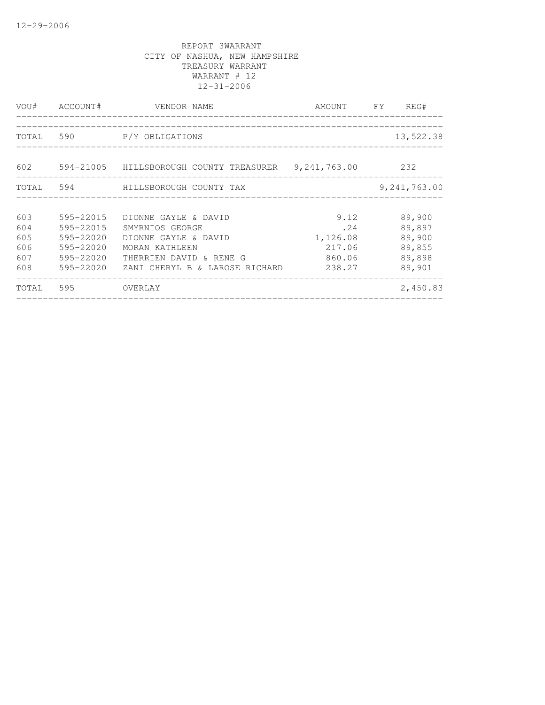|                                        |                                                                            | VOU# ACCOUNT# VENDOR NAME                                                                                                                      | AMOUNT FY                                             | REG#                                                     |
|----------------------------------------|----------------------------------------------------------------------------|------------------------------------------------------------------------------------------------------------------------------------------------|-------------------------------------------------------|----------------------------------------------------------|
|                                        |                                                                            | TOTAL 590 P/Y OBLIGATIONS                                                                                                                      |                                                       | 13,522.38                                                |
|                                        |                                                                            | 602 594-21005 HILLSBOROUGH COUNTY TREASURER 9,241,763.00 232                                                                                   |                                                       |                                                          |
|                                        |                                                                            | TOTAL 594 HILLSBOROUGH COUNTY TAX                                                                                                              |                                                       | 9,241,763.00                                             |
| 603<br>604<br>605<br>606<br>607<br>608 | 595-22015<br>595-22015<br>595-22020<br>595-22020<br>595-22020<br>595-22020 | DIONNE GAYLE & DAVID<br>SMYRNIOS GEORGE<br>DIONNE GAYLE & DAVID<br>MORAN KATHLEEN<br>THERRIEN DAVID & RENE G<br>ZANI CHERYL B & LAROSE RICHARD | 9.12<br>.24<br>1,126.08<br>217.06<br>860.06<br>238.27 | 89,900<br>89,897<br>89,900<br>89,855<br>89,898<br>89,901 |
| TOTAL 595                              |                                                                            | OVERLAY                                                                                                                                        |                                                       | 2,450.83                                                 |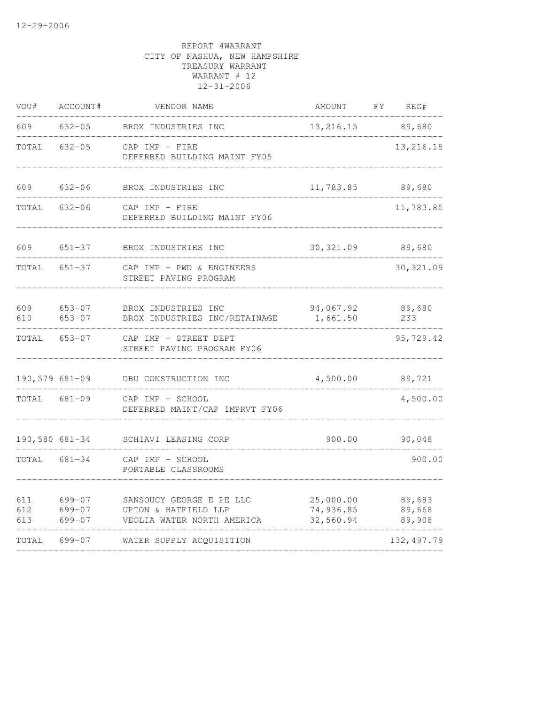| VOU#              | ACCOUNT#                   | VENDOR NAME                                                                    | AMOUNT                              | FY | REG#                       |
|-------------------|----------------------------|--------------------------------------------------------------------------------|-------------------------------------|----|----------------------------|
| 609               | $632 - 05$                 | BROX INDUSTRIES INC                                                            | 13,216.15                           |    | 89,680                     |
| TOTAL             | $632 - 05$                 | $CAP$ IMP - FIRE<br>DEFERRED BUILDING MAINT FY05                               |                                     |    | 13, 216.15                 |
| 609               | $632 - 06$                 | BROX INDUSTRIES INC                                                            | 11,783.85                           |    | 89,680                     |
| TOTAL             | $632 - 06$                 | CAP IMP - FIRE<br>DEFERRED BUILDING MAINT FY06                                 |                                     |    | 11,783.85                  |
| 609               | $651 - 37$                 | BROX INDUSTRIES INC                                                            | 30, 321.09                          |    | 89,680                     |
| TOTAL             | $651 - 37$                 | CAP IMP - PWD & ENGINEERS<br>STREET PAVING PROGRAM                             |                                     |    | 30, 321.09                 |
| 609<br>610        | $653 - 07$<br>$653 - 07$   | BROX INDUSTRIES INC<br>BROX INDUSTRIES INC/RETAINAGE                           | 94,067.92<br>1,661.50               |    | 89,680<br>233              |
| TOTAL             | $653 - 07$                 | CAP IMP - STREET DEPT<br>STREET PAVING PROGRAM FY06                            |                                     |    | 95,729.42                  |
| 190,579 681-09    |                            | DBU CONSTRUCTION INC                                                           | 4,500.00                            |    | 89,721                     |
| TOTAL             | $681 - 09$                 | CAP IMP - SCHOOL<br>DEFERRED MAINT/CAP IMPRVT FY06                             |                                     |    | 4,500.00                   |
| 190,580 681-34    |                            | SCHIAVI LEASING CORP                                                           | 900.00                              |    | 90,048                     |
| TOTAL             | $681 - 34$                 | CAP IMP - SCHOOL<br>PORTABLE CLASSROOMS                                        |                                     |    | 900.00                     |
| 611<br>612<br>613 | 699-07<br>699-07<br>699-07 | SANSOUCY GEORGE E PE LLC<br>UPTON & HATFIELD LLP<br>VEOLIA WATER NORTH AMERICA | 25,000.00<br>74,936.85<br>32,560.94 |    | 89,683<br>89,668<br>89,908 |
| TOTAL             | 699-07                     | WATER SUPPLY ACQUISITION                                                       |                                     |    | 132, 497.79                |
|                   |                            |                                                                                |                                     |    |                            |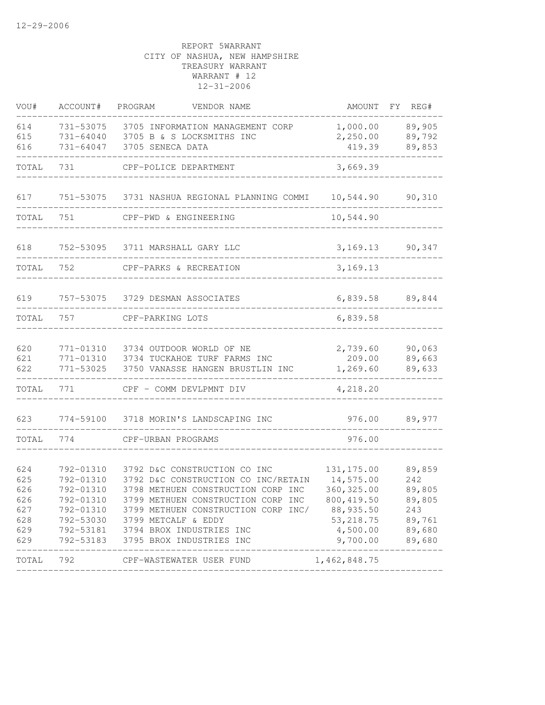| VOU#       | ACCOUNT#               | PROGRAM<br>VENDOR NAME                                   | AMOUNT             | FY REG#          |
|------------|------------------------|----------------------------------------------------------|--------------------|------------------|
| 614        | 731-53075              | 3705 INFORMATION MANAGEMENT CORP                         | 1,000.00           | 89,905           |
| 615        | 731-64040              | 3705 B & S LOCKSMITHS INC                                | 2,250.00           | 89,792           |
| 616        | 731-64047              | 3705 SENECA DATA                                         | 419.39             | 89,853           |
| TOTAL      | 731                    | CPF-POLICE DEPARTMENT                                    | 3,669.39           |                  |
| 617        | 751-53075              | 3731 NASHUA REGIONAL PLANNING COMMI                      | 10,544.90          | 90,310           |
| TOTAL      | 751                    | CPF-PWD & ENGINEERING                                    | 10,544.90          |                  |
| 618        | 752-53095              | 3711 MARSHALL GARY LLC                                   | 3, 169. 13         | 90,347           |
| TOTAL      | 752                    | CPF-PARKS & RECREATION                                   | 3,169.13           |                  |
| 619        |                        | 757-53075 3729 DESMAN ASSOCIATES                         | 6,839.58           | 89,844           |
|            |                        |                                                          |                    |                  |
| TOTAL      | 757                    | CPF-PARKING LOTS                                         | 6,839.58           |                  |
|            |                        |                                                          |                    |                  |
| 620<br>621 | 771-01310<br>771-01310 | 3734 OUTDOOR WORLD OF NE<br>3734 TUCKAHOE TURF FARMS INC | 2,739.60<br>209.00 | 90,063<br>89,663 |
| 622        | 771-53025              | 3750 VANASSE HANGEN BRUSTLIN INC                         | 1,269.60           | 89,633           |
| TOTAL      | 771                    | CPF - COMM DEVLPMNT DIV                                  | 4,218.20           |                  |
| 623        | 774-59100              | 3718 MORIN'S LANDSCAPING INC                             | 976.00             | 89,977           |
| TOTAL      | 774                    | CPF-URBAN PROGRAMS                                       | 976.00             |                  |
|            |                        |                                                          |                    |                  |
| 624        | 792-01310              | 3792 D&C CONSTRUCTION CO INC                             | 131, 175.00        | 89,859           |
| 625        | 792-01310              | 3792 D&C CONSTRUCTION CO INC/RETAIN                      | 14,575.00          | 242              |
| 626        | 792-01310              | 3798 METHUEN CONSTRUCTION CORP INC                       | 360, 325.00        | 89,805           |
| 626        | 792-01310              | 3799 METHUEN CONSTRUCTION CORP INC                       | 800, 419.50        | 89,805           |
| 627        | 792-01310              | 3799 METHUEN CONSTRUCTION CORP INC/                      | 88,935.50          | 243              |
| 628        |                        | 792-53030 3799 METCALF & EDDY                            | 53, 218.75         | 89,761           |
| 629        |                        | 792-53181 3794 BROX INDUSTRIES INC                       | 4,500.00           | 89,680           |
| 629        | 792-53183              | 3795 BROX INDUSTRIES INC                                 | 9,700.00           | 89,680           |
| TOTAL      | 792                    | CPF-WASTEWATER USER FUND                                 | 1,462,848.75       |                  |
|            |                        |                                                          |                    |                  |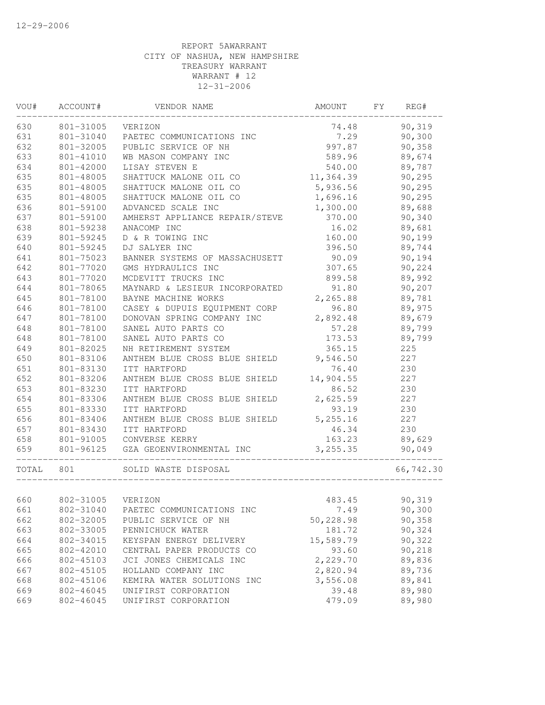| VOU#  | ACCOUNT#  | VENDOR NAME                    | AMOUNT    | FY | REG#      |
|-------|-----------|--------------------------------|-----------|----|-----------|
| 630   | 801-31005 | VERIZON                        | 74.48     |    | 90,319    |
| 631   | 801-31040 | PAETEC COMMUNICATIONS INC      | 7.29      |    | 90,300    |
| 632   | 801-32005 | PUBLIC SERVICE OF NH           | 997.87    |    | 90,358    |
| 633   | 801-41010 | WB MASON COMPANY INC           | 589.96    |    | 89,674    |
| 634   | 801-42000 | LISAY STEVEN E                 | 540.00    |    | 89,787    |
| 635   | 801-48005 | SHATTUCK MALONE OIL CO         | 11,364.39 |    | 90,295    |
| 635   | 801-48005 | SHATTUCK MALONE OIL CO         | 5,936.56  |    | 90,295    |
| 635   | 801-48005 | SHATTUCK MALONE OIL CO         | 1,696.16  |    | 90, 295   |
| 636   | 801-59100 | ADVANCED SCALE INC             | 1,300.00  |    | 89,688    |
| 637   | 801-59100 | AMHERST APPLIANCE REPAIR/STEVE | 370.00    |    | 90,340    |
| 638   | 801-59238 | ANACOMP INC                    | 16.02     |    | 89,681    |
| 639   | 801-59245 | D & R TOWING INC               | 160.00    |    | 90,199    |
| 640   | 801-59245 | DJ SALYER INC                  | 396.50    |    | 89,744    |
| 641   | 801-75023 | BANNER SYSTEMS OF MASSACHUSETT | 90.09     |    | 90,194    |
| 642   | 801-77020 | GMS HYDRAULICS INC             | 307.65    |    | 90,224    |
| 643   | 801-77020 | MCDEVITT TRUCKS INC            | 899.58    |    | 89,992    |
| 644   | 801-78065 | MAYNARD & LESIEUR INCORPORATED | 91.80     |    | 90,207    |
| 645   | 801-78100 | BAYNE MACHINE WORKS            | 2,265.88  |    | 89,781    |
| 646   | 801-78100 | CASEY & DUPUIS EQUIPMENT CORP  | 96.80     |    | 89,975    |
| 647   | 801-78100 | DONOVAN SPRING COMPANY INC     | 2,892.48  |    | 89,679    |
| 648   | 801-78100 | SANEL AUTO PARTS CO            | 57.28     |    | 89,799    |
| 648   | 801-78100 | SANEL AUTO PARTS CO            | 173.53    |    | 89,799    |
| 649   | 801-82025 | NH RETIREMENT SYSTEM           | 365.15    |    | 225       |
| 650   | 801-83106 | ANTHEM BLUE CROSS BLUE SHIELD  | 9,546.50  |    | 227       |
| 651   | 801-83130 | ITT HARTFORD                   | 76.40     |    | 230       |
| 652   | 801-83206 | ANTHEM BLUE CROSS BLUE SHIELD  | 14,904.55 |    | 227       |
| 653   | 801-83230 | ITT HARTFORD                   | 86.52     |    | 230       |
| 654   | 801-83306 | ANTHEM BLUE CROSS BLUE SHIELD  | 2,625.59  |    | 227       |
| 655   | 801-83330 | ITT HARTFORD                   | 93.19     |    | 230       |
| 656   | 801-83406 | ANTHEM BLUE CROSS BLUE SHIELD  | 5, 255.16 |    | 227       |
| 657   | 801-83430 | ITT HARTFORD                   | 46.34     |    | 230       |
| 658   | 801-91005 | CONVERSE KERRY                 | 163.23    |    | 89,629    |
| 659   | 801-96125 | GZA GEOENVIRONMENTAL INC       | 3, 255.35 |    | 90,049    |
| TOTAL | 801       | SOLID WASTE DISPOSAL           |           |    | 66,742.30 |
|       |           |                                |           |    |           |
| 660   | 802-31005 | VERIZON                        | 483.45    |    | 90,319    |
| 661   | 802-31040 | PAETEC COMMUNICATIONS INC      | 7.49      |    | 90,300    |
| 662   | 802-32005 | PUBLIC SERVICE OF NH           | 50,228.98 |    | 90,358    |
| 663   | 802-33005 | PENNICHUCK WATER               | 181.72    |    | 90,324    |
| 664   | 802-34015 | KEYSPAN ENERGY DELIVERY        | 15,589.79 |    | 90,322    |
| 665   | 802-42010 | CENTRAL PAPER PRODUCTS CO      | 93.60     |    | 90,218    |
| 666   | 802-45103 | JCI JONES CHEMICALS INC        | 2,229.70  |    | 89,836    |
| 667   | 802-45105 | HOLLAND COMPANY INC            | 2,820.94  |    | 89,736    |
| 668   | 802-45106 | KEMIRA WATER SOLUTIONS INC     | 3,556.08  |    | 89,841    |
| 669   | 802-46045 | UNIFIRST CORPORATION           | 39.48     |    | 89,980    |
| 669   | 802-46045 | UNIFIRST CORPORATION           | 479.09    |    | 89,980    |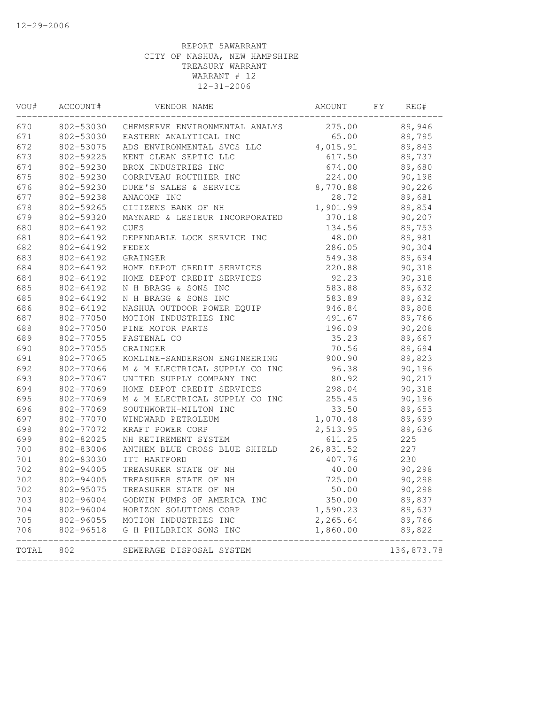| VOU#  | ACCOUNT#  | VENDOR NAME                    | AMOUNT    | FY<br>REG# |  |
|-------|-----------|--------------------------------|-----------|------------|--|
| 670   | 802-53030 | CHEMSERVE ENVIRONMENTAL ANALYS | 275.00    | 89,946     |  |
| 671   | 802-53030 | EASTERN ANALYTICAL INC         | 65.00     | 89,795     |  |
| 672   | 802-53075 | ADS ENVIRONMENTAL SVCS LLC     | 4,015.91  | 89,843     |  |
| 673   | 802-59225 | KENT CLEAN SEPTIC LLC          | 617.50    | 89,737     |  |
| 674   | 802-59230 | BROX INDUSTRIES INC            | 674.00    | 89,680     |  |
| 675   | 802-59230 | CORRIVEAU ROUTHIER INC         | 224.00    | 90,198     |  |
| 676   | 802-59230 | DUKE'S SALES & SERVICE         | 8,770.88  | 90,226     |  |
| 677   | 802-59238 | ANACOMP INC                    | 28.72     | 89,681     |  |
| 678   | 802-59265 | CITIZENS BANK OF NH            | 1,901.99  | 89,854     |  |
| 679   | 802-59320 | MAYNARD & LESIEUR INCORPORATED | 370.18    | 90,207     |  |
| 680   | 802-64192 | <b>CUES</b>                    | 134.56    | 89,753     |  |
| 681   | 802-64192 | DEPENDABLE LOCK SERVICE INC    | 48.00     | 89,981     |  |
| 682   | 802-64192 | FEDEX                          | 286.05    | 90,304     |  |
| 683   | 802-64192 | GRAINGER                       | 549.38    | 89,694     |  |
| 684   | 802-64192 | HOME DEPOT CREDIT SERVICES     | 220.88    | 90,318     |  |
| 684   | 802-64192 | HOME DEPOT CREDIT SERVICES     | 92.23     | 90,318     |  |
| 685   | 802-64192 | N H BRAGG & SONS INC           | 583.88    | 89,632     |  |
| 685   | 802-64192 | N H BRAGG & SONS INC           | 583.89    | 89,632     |  |
| 686   | 802-64192 | NASHUA OUTDOOR POWER EQUIP     | 946.84    | 89,808     |  |
| 687   | 802-77050 | MOTION INDUSTRIES INC          | 491.67    | 89,766     |  |
| 688   | 802-77050 | PINE MOTOR PARTS               | 196.09    | 90,208     |  |
| 689   | 802-77055 | FASTENAL CO                    | 35.23     | 89,667     |  |
| 690   | 802-77055 | GRAINGER                       | 70.56     | 89,694     |  |
| 691   | 802-77065 | KOMLINE-SANDERSON ENGINEERING  | 900.90    | 89,823     |  |
| 692   | 802-77066 | M & M ELECTRICAL SUPPLY CO INC | 96.38     | 90,196     |  |
| 693   | 802-77067 | UNITED SUPPLY COMPANY INC      | 80.92     | 90,217     |  |
| 694   | 802-77069 | HOME DEPOT CREDIT SERVICES     | 298.04    | 90,318     |  |
| 695   | 802-77069 | M & M ELECTRICAL SUPPLY CO INC | 255.45    | 90,196     |  |
| 696   | 802-77069 | SOUTHWORTH-MILTON INC          | 33.50     | 89,653     |  |
| 697   | 802-77070 | WINDWARD PETROLEUM             | 1,070.48  | 89,699     |  |
| 698   | 802-77072 | KRAFT POWER CORP               | 2,513.95  | 89,636     |  |
| 699   | 802-82025 | NH RETIREMENT SYSTEM           | 611.25    | 225        |  |
| 700   | 802-83006 | ANTHEM BLUE CROSS BLUE SHIELD  | 26,831.52 | 227        |  |
| 701   | 802-83030 | ITT HARTFORD                   | 407.76    | 230        |  |
| 702   | 802-94005 | TREASURER STATE OF NH          | 40.00     | 90,298     |  |
| 702   | 802-94005 | TREASURER STATE OF NH          | 725.00    | 90,298     |  |
| 702   | 802-95075 | TREASURER STATE OF NH          | 50.00     | 90,298     |  |
| 703   | 802-96004 | GODWIN PUMPS OF AMERICA INC    | 350.00    | 89,837     |  |
| 704   | 802-96004 | HORIZON SOLUTIONS CORP         | 1,590.23  | 89,637     |  |
| 705   | 802-96055 | MOTION INDUSTRIES INC          | 2,265.64  | 89,766     |  |
| 706   | 802-96518 | G H PHILBRICK SONS INC         | 1,860.00  | 89,822     |  |
| TOTAL | 802       | SEWERAGE DISPOSAL SYSTEM       |           | 136,873.78 |  |
|       |           |                                |           |            |  |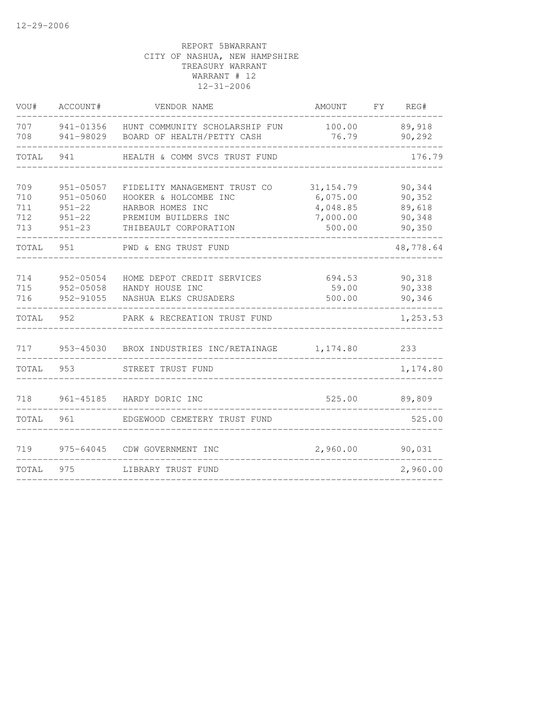| VOU#                            | ACCOUNT#                                                             | VENDOR NAME                                                                                                                | AMOUNT                                                   | FY | REG#                                           |
|---------------------------------|----------------------------------------------------------------------|----------------------------------------------------------------------------------------------------------------------------|----------------------------------------------------------|----|------------------------------------------------|
| 707<br>708                      | 941-01356<br>941-98029                                               | HUNT COMMUNITY SCHOLARSHIP FUN<br>BOARD OF HEALTH/PETTY CASH                                                               | 100.00<br>76.79                                          |    | 89,918<br>90,292                               |
| TOTAL                           | 941                                                                  | HEALTH & COMM SVCS TRUST FUND                                                                                              |                                                          |    | 176.79                                         |
| 709<br>710<br>711<br>712<br>713 | $951 - 05057$<br>951-05060<br>$951 - 22$<br>$951 - 22$<br>$951 - 23$ | FIDELITY MANAGEMENT TRUST CO<br>HOOKER & HOLCOMBE INC<br>HARBOR HOMES INC<br>PREMIUM BUILDERS INC<br>THIBEAULT CORPORATION | 31, 154.79<br>6,075.00<br>4,048.85<br>7,000.00<br>500.00 |    | 90,344<br>90,352<br>89,618<br>90,348<br>90,350 |
| TOTAL                           | 951                                                                  | PWD & ENG TRUST FUND                                                                                                       |                                                          |    | 48,778.64                                      |
| 714<br>715<br>716               | 952-05054<br>952-05058<br>952-91055                                  | HOME DEPOT CREDIT SERVICES<br>HANDY HOUSE INC<br>NASHUA ELKS CRUSADERS                                                     | 694.53<br>59.00<br>500.00                                |    | 90,318<br>90,338<br>90,346                     |
| TOTAL                           | 952                                                                  | PARK & RECREATION TRUST FUND                                                                                               |                                                          |    | 1,253.53                                       |
| 717                             |                                                                      | 953-45030 BROX INDUSTRIES INC/RETAINAGE                                                                                    | 1,174.80                                                 |    | 233                                            |
| TOTAL                           | 953                                                                  | STREET TRUST FUND                                                                                                          |                                                          |    | 1,174.80                                       |
| 718                             |                                                                      | 961-45185 HARDY DORIC INC                                                                                                  | 525.00                                                   |    | 89,809                                         |
| TOTAL                           | 961                                                                  | EDGEWOOD CEMETERY TRUST FUND                                                                                               |                                                          |    | 525.00                                         |
| 719                             | 975-64045                                                            | CDW GOVERNMENT INC                                                                                                         | 2,960.00                                                 |    | 90,031                                         |
| TOTAL                           | 975                                                                  | LIBRARY TRUST FUND                                                                                                         |                                                          |    | 2,960.00                                       |
|                                 |                                                                      |                                                                                                                            |                                                          |    |                                                |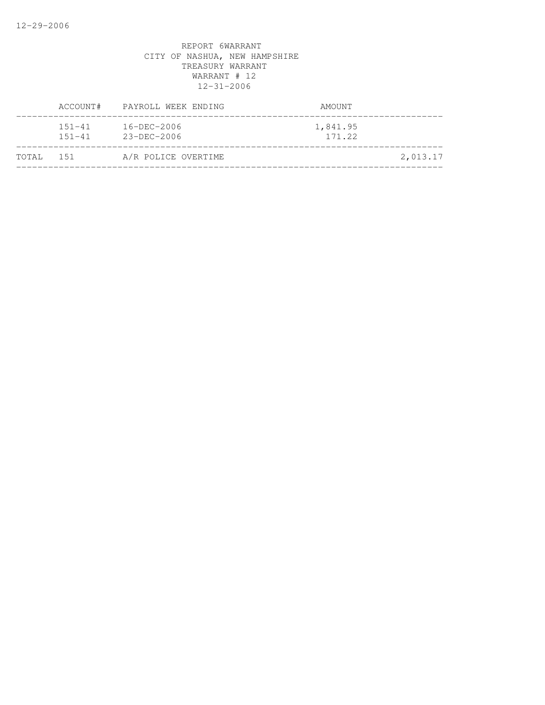|           | ACCOUNT#                 | PAYROLL WEEK ENDING                    | AMOUNT             |          |
|-----------|--------------------------|----------------------------------------|--------------------|----------|
|           | $151 - 41$<br>$151 - 41$ | $16 - DEC - 2006$<br>$23 - DEC - 2006$ | 1,841.95<br>171.22 |          |
| TOTAL 151 |                          | A/R POLICE OVERTIME                    |                    | 2,013.17 |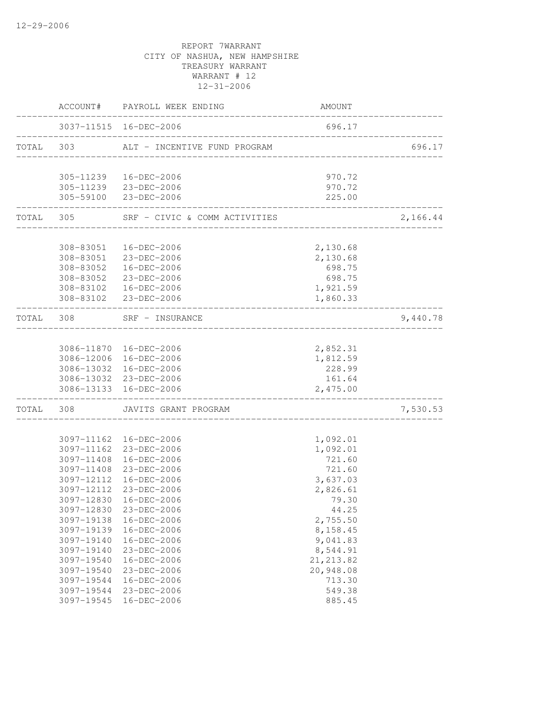|       |                          | ACCOUNT# PAYROLL WEEK ENDING                     | AMOUNT                  |          |
|-------|--------------------------|--------------------------------------------------|-------------------------|----------|
|       |                          | 3037-11515 16-DEC-2006                           | 696.17                  |          |
|       | TOTAL 303                | ALT - INCENTIVE FUND PROGRAM                     | _______________________ | 696.17   |
|       |                          | 305-11239  16-DEC-2006                           | 970.72                  |          |
|       |                          | 305-11239 23-DEC-2006                            | 970.72                  |          |
|       |                          | 305-59100 23-DEC-2006                            | 225.00                  |          |
|       | TOTAL 305                | SRF - CIVIC & COMM ACTIVITIES                    |                         | 2,166.44 |
|       |                          | 308-83051  16-DEC-2006                           | 2,130.68                |          |
|       |                          | 308-83051 23-DEC-2006                            | 2,130.68                |          |
|       | 308-83052                | 16-DEC-2006                                      | 698.75                  |          |
|       | 308-83052                | 23-DEC-2006                                      | 698.75                  |          |
|       |                          | 308-83102  16-DEC-2006                           | 1,921.59                |          |
|       |                          | 308-83102 23-DEC-2006                            | 1,860.33                |          |
|       | TOTAL 308                | SRF - INSURANCE<br>_____________________         |                         | 9,440.78 |
|       |                          |                                                  |                         |          |
|       |                          | 3086-11870  16-DEC-2006                          | 2,852.31                |          |
|       |                          | 3086-12006 16-DEC-2006                           | 1,812.59                |          |
|       |                          | 3086-13032 16-DEC-2006                           | 228.99                  |          |
|       |                          | 3086-13032 23-DEC-2006<br>3086-13133 16-DEC-2006 | 161.64<br>2,475.00      |          |
| TOTAL | 308                      | JAVITS GRANT PROGRAM                             |                         | 7,530.53 |
|       |                          |                                                  |                         |          |
|       | 3097-11162               | 16-DEC-2006                                      | 1,092.01                |          |
|       |                          | 3097-11162 23-DEC-2006                           | 1,092.01                |          |
|       | 3097-11408               | 16-DEC-2006                                      | 721.60                  |          |
|       | 3097-11408               | 23-DEC-2006                                      | 721.60                  |          |
|       | 3097-12112               | 16-DEC-2006                                      | 3,637.03                |          |
|       | 3097-12112               | 23-DEC-2006                                      | 2,826.61                |          |
|       |                          | 3097-12830 16-DEC-2006                           | 79.30                   |          |
|       | 3097-12830<br>3097-19138 | 23-DEC-2006                                      | 44.25<br>2,755.50       |          |
|       | 3097-19139               | 16-DEC-2006<br>16-DEC-2006                       | 8,158.45                |          |
|       | 3097-19140               | 16-DEC-2006                                      | 9,041.83                |          |
|       | 3097-19140               | 23-DEC-2006                                      | 8,544.91                |          |
|       | 3097-19540               | 16-DEC-2006                                      | 21, 213.82              |          |
|       | 3097-19540               | 23-DEC-2006                                      | 20,948.08               |          |
|       | 3097-19544               | $16 - DEC - 2006$                                | 713.30                  |          |
|       | 3097-19544               | 23-DEC-2006                                      | 549.38                  |          |
|       | 3097-19545               | 16-DEC-2006                                      | 885.45                  |          |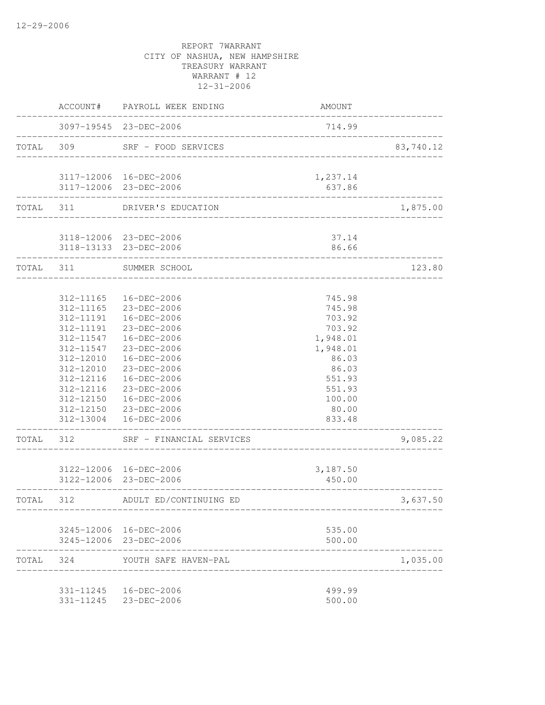|           |           | ACCOUNT# PAYROLL WEEK ENDING                              | AMOUNT          |           |
|-----------|-----------|-----------------------------------------------------------|-----------------|-----------|
|           |           | 3097-19545 23-DEC-2006                                    | 714.99          |           |
| TOTAL 309 |           | SRF - FOOD SERVICES                                       |                 | 83,740.12 |
|           |           | 3117-12006 16-DEC-2006                                    | 1,237.14        |           |
|           |           | 3117-12006 23-DEC-2006                                    | 637.86          |           |
|           |           | TOTAL 311 DRIVER'S EDUCATION<br>_________________________ |                 | 1,875.00  |
|           |           | 3118-12006 23-DEC-2006                                    | 37.14           |           |
|           |           | 3118-13133 23-DEC-2006<br>--------------------------      | 86.66           |           |
| TOTAL 311 |           | SUMMER SCHOOL<br>_______________________                  |                 | 123.80    |
|           | 312-11165 | 16-DEC-2006                                               | 745.98          |           |
|           | 312-11165 | 23-DEC-2006                                               | 745.98          |           |
|           | 312-11191 | 16-DEC-2006                                               | 703.92          |           |
|           | 312-11191 | 23-DEC-2006                                               | 703.92          |           |
|           | 312-11547 | 16-DEC-2006                                               | 1,948.01        |           |
|           | 312-11547 | 23-DEC-2006                                               | 1,948.01        |           |
|           | 312-12010 | 16-DEC-2006                                               | 86.03           |           |
|           | 312-12010 | 23-DEC-2006                                               | 86.03           |           |
|           | 312-12116 | 16-DEC-2006                                               | 551.93          |           |
|           | 312-12116 | 23-DEC-2006                                               | 551.93          |           |
|           |           | 312-12150  16-DEC-2006                                    | 100.00          |           |
|           |           | 312-12150 23-DEC-2006<br>312-13004  16-DEC-2006           | 80.00<br>833.48 |           |
| TOTAL 312 |           | SRF - FINANCIAL SERVICES                                  |                 | 9,085.22  |
|           |           | 3122-12006 16-DEC-2006                                    | 3,187.50        |           |
|           |           | 3122-12006 23-DEC-2006                                    | 450.00          |           |
| TOTAL 312 |           | ADULT ED/CONTINUING ED                                    |                 | 3,637.50  |
|           |           | 3245-12006 16-DEC-2006                                    | 535.00          |           |
|           |           | 3245-12006 23-DEC-2006                                    | 500.00          |           |
| TOTAL 324 |           | YOUTH SAFE HAVEN-PAL                                      |                 | 1,035.00  |
|           |           | 331-11245  16-DEC-2006                                    | 499.99          |           |
|           |           | 331-11245 23-DEC-2006                                     | 500.00          |           |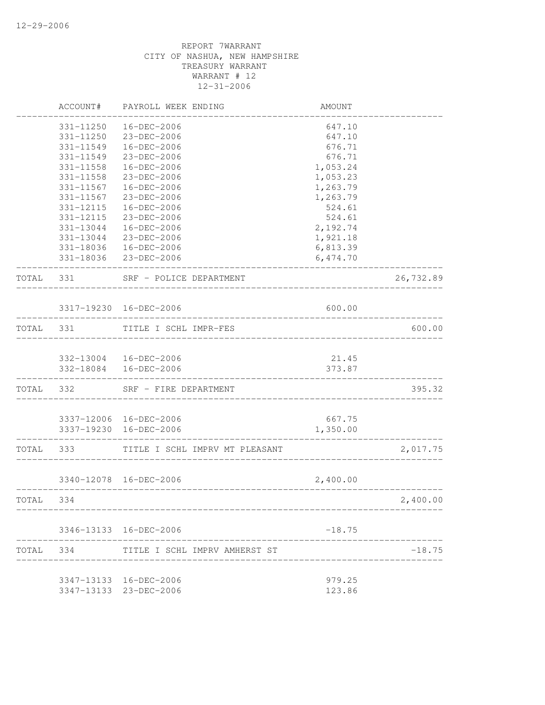|           | ACCOUNT#  | PAYROLL WEEK ENDING            | AMOUNT   |           |
|-----------|-----------|--------------------------------|----------|-----------|
|           | 331-11250 | 16-DEC-2006                    | 647.10   |           |
|           | 331-11250 | 23-DEC-2006                    | 647.10   |           |
|           | 331-11549 | 16-DEC-2006                    | 676.71   |           |
|           | 331-11549 | 23-DEC-2006                    | 676.71   |           |
|           | 331-11558 | 16-DEC-2006                    | 1,053.24 |           |
|           | 331-11558 | 23-DEC-2006                    | 1,053.23 |           |
|           | 331-11567 | 16-DEC-2006                    | 1,263.79 |           |
|           | 331-11567 | 23-DEC-2006                    | 1,263.79 |           |
|           | 331-12115 | 16-DEC-2006                    | 524.61   |           |
|           | 331-12115 | 23-DEC-2006                    | 524.61   |           |
|           |           | 331-13044  16-DEC-2006         | 2,192.74 |           |
|           |           | 331-13044 23-DEC-2006          | 1,921.18 |           |
|           |           | 331-18036  16-DEC-2006         | 6,813.39 |           |
|           |           | 331-18036 23-DEC-2006          | 6,474.70 |           |
| TOTAL 331 |           | SRF - POLICE DEPARTMENT        |          | 26,732.89 |
|           |           | 3317-19230 16-DEC-2006         | 600.00   |           |
| TOTAL 331 |           | TITLE I SCHL IMPR-FES          |          | 600.00    |
|           |           |                                |          |           |
|           |           | 332-13004 16-DEC-2006          | 21.45    |           |
|           |           | 332-18084  16-DEC-2006         | 373.87   |           |
| TOTAL 332 |           | SRF - FIRE DEPARTMENT          |          | 395.32    |
|           |           | 3337-12006 16-DEC-2006         | 667.75   |           |
|           |           | 3337-19230 16-DEC-2006         | 1,350.00 |           |
| TOTAL     | 333       | TITLE I SCHL IMPRV MT PLEASANT |          | 2,017.75  |
|           |           | 3340-12078 16-DEC-2006         | 2,400.00 |           |
| TOTAL 334 |           | ______________________         |          |           |
|           |           |                                |          | 2,400.00  |
|           |           | 3346-13133 16-DEC-2006         | $-18.75$ |           |
| TOTAL     | 334       | TITLE I SCHL IMPRV AMHERST ST  |          | $-18.75$  |
|           |           |                                |          |           |
|           |           | 3347-13133  16-DEC-2006        | 979.25   |           |
|           |           | 3347-13133 23-DEC-2006         | 123.86   |           |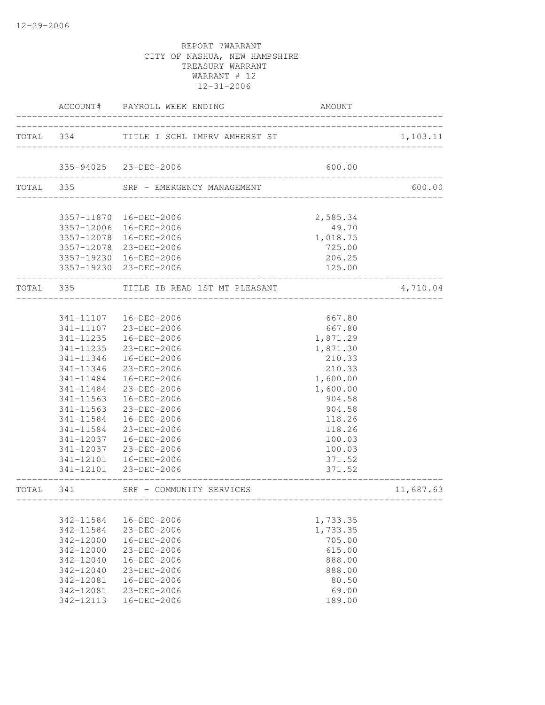|           | ACCOUNT#                           | PAYROLL WEEK ENDING                     | AMOUNT                 |           |
|-----------|------------------------------------|-----------------------------------------|------------------------|-----------|
|           |                                    | TOTAL 334 TITLE I SCHL IMPRV AMHERST ST |                        | 1,103.11  |
|           |                                    | 335-94025 23-DEC-2006                   | 600.00                 |           |
|           |                                    | __________________________________      |                        |           |
| TOTAL 335 |                                    | SRF - EMERGENCY MANAGEMENT              |                        | 600.00    |
|           |                                    | 3357-11870  16-DEC-2006                 | 2,585.34               |           |
|           |                                    | 3357-12006 16-DEC-2006                  | 49.70                  |           |
|           |                                    | 3357-12078 16-DEC-2006                  | 1,018.75               |           |
|           |                                    | 3357-12078 23-DEC-2006                  | 725.00                 |           |
|           |                                    | 3357-19230 16-DEC-2006                  | 206.25                 |           |
|           |                                    | 3357-19230 23-DEC-2006                  | 125.00<br>____________ |           |
| TOTAL 335 |                                    | TITLE IB READ 1ST MT PLEASANT           |                        | 4,710.04  |
|           |                                    |                                         |                        |           |
|           |                                    | 341-11107  16-DEC-2006                  | 667.80                 |           |
|           |                                    | 341-11107 23-DEC-2006                   | 667.80                 |           |
|           |                                    | 341-11235  16-DEC-2006                  | 1,871.29               |           |
|           | 341-11235                          | 23-DEC-2006                             | 1,871.30               |           |
|           | 341-11346                          | 16-DEC-2006                             | 210.33                 |           |
|           | 341-11346                          | 23-DEC-2006                             | 210.33                 |           |
|           | 341-11484                          | 16-DEC-2006                             | 1,600.00               |           |
|           | 341-11484                          | 23-DEC-2006                             | 1,600.00               |           |
|           | 341-11563                          | 16-DEC-2006                             | 904.58                 |           |
|           | 341-11563                          | 23-DEC-2006                             | 904.58                 |           |
|           | 341-11584                          | 16-DEC-2006                             | 118.26                 |           |
|           | 341-11584                          | 23-DEC-2006                             | 118.26                 |           |
|           | 341-12037                          | 16-DEC-2006                             | 100.03                 |           |
|           | 341-12037                          | 23-DEC-2006                             | 100.03                 |           |
|           | 341-12101                          | 16-DEC-2006                             | 371.52                 |           |
|           |                                    | 341-12101 23-DEC-2006                   | 371.52                 |           |
| TOTAL     | 341<br>--------------------------- | SRF - COMMUNITY SERVICES                |                        | 11,687.63 |
|           |                                    |                                         |                        |           |
|           | 342-11584                          | 16-DEC-2006                             | 1,733.35               |           |
|           | 342-11584                          | 23-DEC-2006                             | 1,733.35               |           |
|           | 342-12000                          | 16-DEC-2006                             | 705.00                 |           |
|           | 342-12000                          | 23-DEC-2006                             | 615.00                 |           |
|           | $342 - 12040$                      | 16-DEC-2006                             | 888.00                 |           |
|           | $342 - 12040$                      | 23-DEC-2006                             | 888.00                 |           |
|           | 342-12081                          | 16-DEC-2006                             | 80.50                  |           |
|           | 342-12081                          | 23-DEC-2006                             | 69.00                  |           |
|           | 342-12113                          | 16-DEC-2006                             | 189.00                 |           |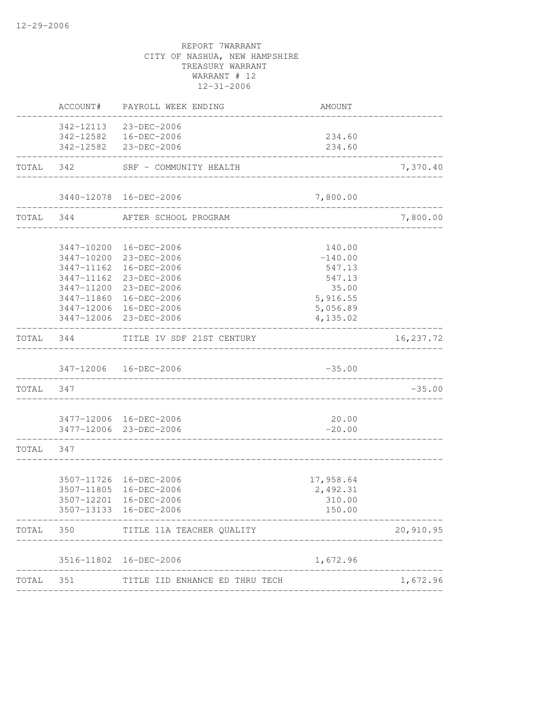| AMOUNT   | PAYROLL WEEK ENDING                                                                                                  | ACCOUNT#   |                                                                                                                                                                                                                                                                                                                                                                                                                                                                                                                                                                                                                                    |
|----------|----------------------------------------------------------------------------------------------------------------------|------------|------------------------------------------------------------------------------------------------------------------------------------------------------------------------------------------------------------------------------------------------------------------------------------------------------------------------------------------------------------------------------------------------------------------------------------------------------------------------------------------------------------------------------------------------------------------------------------------------------------------------------------|
|          |                                                                                                                      |            |                                                                                                                                                                                                                                                                                                                                                                                                                                                                                                                                                                                                                                    |
| 234.60   |                                                                                                                      |            |                                                                                                                                                                                                                                                                                                                                                                                                                                                                                                                                                                                                                                    |
| 234.60   |                                                                                                                      |            |                                                                                                                                                                                                                                                                                                                                                                                                                                                                                                                                                                                                                                    |
|          |                                                                                                                      |            |                                                                                                                                                                                                                                                                                                                                                                                                                                                                                                                                                                                                                                    |
| 7,800.00 |                                                                                                                      |            |                                                                                                                                                                                                                                                                                                                                                                                                                                                                                                                                                                                                                                    |
|          |                                                                                                                      |            | TOTAL 344                                                                                                                                                                                                                                                                                                                                                                                                                                                                                                                                                                                                                          |
|          |                                                                                                                      |            |                                                                                                                                                                                                                                                                                                                                                                                                                                                                                                                                                                                                                                    |
|          |                                                                                                                      |            |                                                                                                                                                                                                                                                                                                                                                                                                                                                                                                                                                                                                                                    |
|          |                                                                                                                      |            |                                                                                                                                                                                                                                                                                                                                                                                                                                                                                                                                                                                                                                    |
|          |                                                                                                                      |            |                                                                                                                                                                                                                                                                                                                                                                                                                                                                                                                                                                                                                                    |
|          |                                                                                                                      |            |                                                                                                                                                                                                                                                                                                                                                                                                                                                                                                                                                                                                                                    |
|          |                                                                                                                      |            |                                                                                                                                                                                                                                                                                                                                                                                                                                                                                                                                                                                                                                    |
|          |                                                                                                                      |            |                                                                                                                                                                                                                                                                                                                                                                                                                                                                                                                                                                                                                                    |
| 4,135.02 |                                                                                                                      |            |                                                                                                                                                                                                                                                                                                                                                                                                                                                                                                                                                                                                                                    |
|          |                                                                                                                      |            |                                                                                                                                                                                                                                                                                                                                                                                                                                                                                                                                                                                                                                    |
| $-35.00$ |                                                                                                                      |            |                                                                                                                                                                                                                                                                                                                                                                                                                                                                                                                                                                                                                                    |
|          |                                                                                                                      |            | TOTAL 347                                                                                                                                                                                                                                                                                                                                                                                                                                                                                                                                                                                                                          |
|          |                                                                                                                      |            |                                                                                                                                                                                                                                                                                                                                                                                                                                                                                                                                                                                                                                    |
| $-20.00$ |                                                                                                                      |            |                                                                                                                                                                                                                                                                                                                                                                                                                                                                                                                                                                                                                                    |
|          |                                                                                                                      |            | TOTAL 347                                                                                                                                                                                                                                                                                                                                                                                                                                                                                                                                                                                                                          |
|          |                                                                                                                      |            |                                                                                                                                                                                                                                                                                                                                                                                                                                                                                                                                                                                                                                    |
|          |                                                                                                                      |            |                                                                                                                                                                                                                                                                                                                                                                                                                                                                                                                                                                                                                                    |
|          |                                                                                                                      |            |                                                                                                                                                                                                                                                                                                                                                                                                                                                                                                                                                                                                                                    |
| 150.00   |                                                                                                                      |            |                                                                                                                                                                                                                                                                                                                                                                                                                                                                                                                                                                                                                                    |
|          | TITLE 11A TEACHER QUALITY                                                                                            | 350        | TOTAL                                                                                                                                                                                                                                                                                                                                                                                                                                                                                                                                                                                                                              |
| 1,672.96 |                                                                                                                      | 3516-11802 |                                                                                                                                                                                                                                                                                                                                                                                                                                                                                                                                                                                                                                    |
|          | TITLE IID ENHANCE ED THRU TECH                                                                                       |            | TOTAL                                                                                                                                                                                                                                                                                                                                                                                                                                                                                                                                                                                                                              |
|          | 140.00<br>$-140.00$<br>547.13<br>547.13<br>35.00<br>5,916.55<br>5,056.89<br>20.00<br>17,958.64<br>2,492.31<br>310.00 | ---------- | 342-12113 23-DEC-2006<br>342-12582  16-DEC-2006<br>342-12582 23-DEC-2006<br>TOTAL 342 SRF - COMMUNITY HEALTH<br>3440-12078 16-DEC-2006<br>AFTER SCHOOL PROGRAM<br>3447-10200 16-DEC-2006<br>3447-10200 23-DEC-2006<br>3447-11162  16-DEC-2006<br>3447-11162 23-DEC-2006<br>3447-11200 23-DEC-2006<br>3447-11860 16-DEC-2006<br>3447-12006 16-DEC-2006<br>3447-12006 23-DEC-2006<br>TOTAL 344 TITLE IV SDF 21ST CENTURY<br>347-12006  16-DEC-2006<br>3477-12006 16-DEC-2006<br>3477-12006 23-DEC-2006<br>3507-11726 16-DEC-2006<br>3507-11805 16-DEC-2006<br>3507-12201 16-DEC-2006<br>3507-13133 16-DEC-2006<br>16-DEC-2006<br>351 |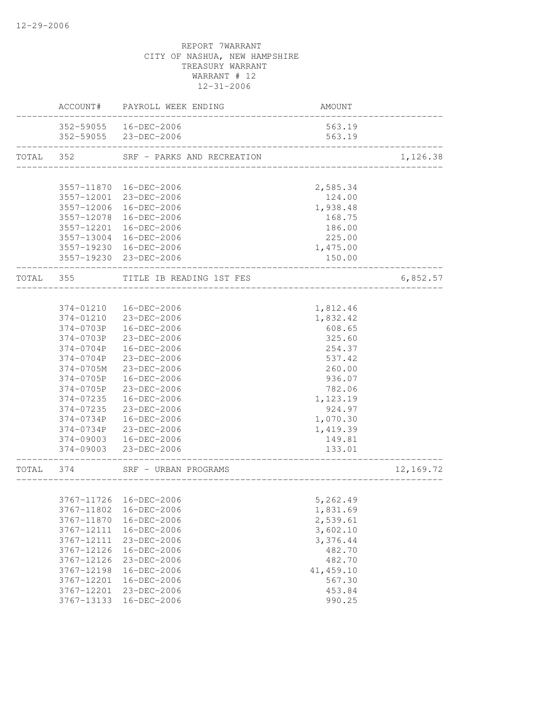|           |            | ACCOUNT# PAYROLL WEEK ENDING                     | AMOUNT                             |           |
|-----------|------------|--------------------------------------------------|------------------------------------|-----------|
|           |            | 352-59055  16-DEC-2006                           | 563.19                             |           |
|           |            | 352-59055 23-DEC-2006                            | 563.19                             |           |
| TOTAL 352 |            | SRF - PARKS AND RECREATION                       |                                    | 1,126.38  |
|           |            |                                                  |                                    |           |
|           |            | 3557-11870 16-DEC-2006                           | 2,585.34                           |           |
|           | 3557-12006 | 3557-12001 23-DEC-2006<br>16-DEC-2006            | 124.00                             |           |
|           |            |                                                  | 1,938.48                           |           |
|           | 3557-12078 | 16-DEC-2006                                      | 168.75                             |           |
|           |            | 3557-12201 16-DEC-2006                           | 186.00                             |           |
|           |            | 3557-13004 16-DEC-2006                           | 225.00                             |           |
|           |            | 3557-19230 16-DEC-2006<br>3557-19230 23-DEC-2006 | 1,475.00<br>150.00                 |           |
|           |            | TOTAL 355 TITLE IB READING 1ST FES               |                                    | 6,852.57  |
|           |            |                                                  |                                    |           |
|           | 374-01210  | 16-DEC-2006                                      | 1,812.46                           |           |
|           |            | 374-01210 23-DEC-2006                            | 1,832.42                           |           |
|           | 374-0703P  | 16-DEC-2006                                      | 608.65                             |           |
|           | 374-0703P  | 23-DEC-2006                                      | 325.60                             |           |
|           | 374-0704P  | 16-DEC-2006                                      | 254.37                             |           |
|           | 374-0704P  | 23-DEC-2006                                      | 537.42                             |           |
|           | 374-0705M  | 23-DEC-2006                                      | 260.00                             |           |
|           | 374-0705P  | 16-DEC-2006                                      | 936.07                             |           |
|           | 374-0705P  | 23-DEC-2006                                      | 782.06                             |           |
|           | 374-07235  | 16-DEC-2006                                      | 1,123.19                           |           |
|           | 374-07235  | 23-DEC-2006                                      | 924.97                             |           |
|           | 374-0734P  | 16-DEC-2006                                      | 1,070.30                           |           |
|           | 374-0734P  | 23-DEC-2006                                      | 1,419.39                           |           |
|           | 374-09003  | 16-DEC-2006                                      | 149.81                             |           |
|           |            | 374-09003 23-DEC-2006                            | 133.01<br>-----------------------  |           |
|           | TOTAL 374  | SRF - URBAN PROGRAMS                             | __________________________________ | 12,169.72 |
|           |            |                                                  | 5,262.49                           |           |
|           | 3767-11802 | 3767-11726 16-DEC-2006<br>16-DEC-2006            |                                    |           |
|           | 3767-11870 | 16-DEC-2006                                      | 1,831.69<br>2,539.61               |           |
|           | 3767-12111 | 16-DEC-2006                                      | 3,602.10                           |           |
|           | 3767-12111 | 23-DEC-2006                                      | 3,376.44                           |           |
|           | 3767-12126 | 16-DEC-2006                                      | 482.70                             |           |
|           | 3767-12126 | 23-DEC-2006                                      | 482.70                             |           |
|           | 3767-12198 | 16-DEC-2006                                      | 41, 459.10                         |           |
|           | 3767-12201 | $16 - DEC - 2006$                                | 567.30                             |           |
|           | 3767-12201 | 23-DEC-2006                                      | 453.84                             |           |
|           | 3767-13133 | 16-DEC-2006                                      | 990.25                             |           |
|           |            |                                                  |                                    |           |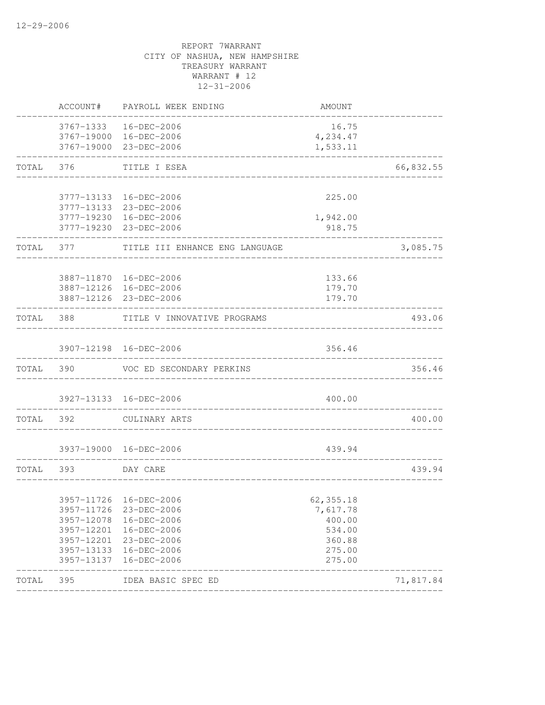|           | ACCOUNT#                 | PAYROLL WEEK ENDING                              | AMOUNT           |           |
|-----------|--------------------------|--------------------------------------------------|------------------|-----------|
|           |                          | 3767-1333  16-DEC-2006                           | 16.75            |           |
|           |                          | 3767-19000 16-DEC-2006                           | 4,234.47         |           |
|           |                          | 3767-19000 23-DEC-2006                           | 1,533.11         |           |
| TOTAL     | 376                      | TITLE I ESEA                                     |                  | 66,832.55 |
|           |                          |                                                  |                  |           |
|           |                          | 3777-13133 16-DEC-2006<br>3777-13133 23-DEC-2006 | 225.00           |           |
|           |                          | 3777-19230 16-DEC-2006                           | 1,942.00         |           |
|           |                          | 3777-19230 23-DEC-2006                           | 918.75           |           |
| TOTAL 377 |                          | TITLE III ENHANCE ENG LANGUAGE                   |                  | 3,085.75  |
|           |                          |                                                  |                  |           |
|           |                          | 3887-11870  16-DEC-2006                          | 133.66           |           |
|           |                          | 3887-12126 16-DEC-2006                           | 179.70           |           |
|           |                          | 3887-12126 23-DEC-2006                           | 179.70           |           |
|           |                          | TOTAL 388 TITLE V INNOVATIVE PROGRAMS            |                  | 493.06    |
|           |                          |                                                  |                  |           |
|           |                          | 3907-12198 16-DEC-2006                           | 356.46           |           |
|           | TOTAL 390                | VOC ED SECONDARY PERKINS                         |                  | 356.46    |
|           |                          |                                                  |                  |           |
|           |                          | 3927-13133 16-DEC-2006                           | 400.00           |           |
| TOTAL 392 |                          | CULINARY ARTS                                    |                  | 400.00    |
|           |                          | 3937-19000 16-DEC-2006                           | 439.94           |           |
|           |                          | ___________________________                      |                  |           |
| TOTAL 393 |                          | DAY CARE                                         |                  | 439.94    |
|           |                          |                                                  |                  |           |
|           |                          | 3957-11726 16-DEC-2006                           | 62, 355.18       |           |
|           | 3957-11726               | 23-DEC-2006                                      | 7,617.78         |           |
|           | 3957-12078               | 16-DEC-2006                                      | 400.00           |           |
|           | 3957-12201               | 16-DEC-2006                                      | 534.00           |           |
|           | 3957-12201               | 23-DEC-2006                                      | 360.88           |           |
|           | 3957-13133<br>3957-13137 | 16-DEC-2006<br>16-DEC-2006                       | 275.00<br>275.00 |           |
| TOTAL     | 395                      | IDEA BASIC SPEC ED                               |                  | 71,817.84 |
|           |                          |                                                  |                  |           |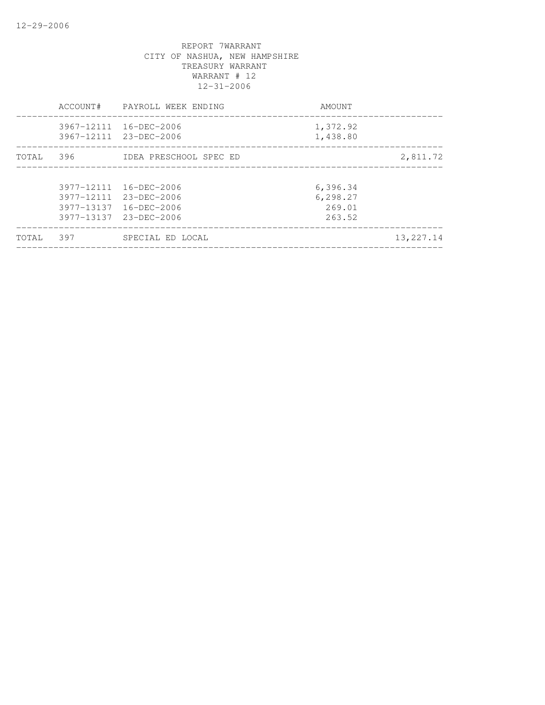|            |                            | 1,372.92<br>1,438.80                                                                                               |             |
|------------|----------------------------|--------------------------------------------------------------------------------------------------------------------|-------------|
| 396        | IDEA PRESCHOOL SPEC ED     |                                                                                                                    | 2,811.72    |
| 3977-13137 | 16-DEC-2006<br>16-DEC-2006 | 6,396.34<br>6,298.27<br>269.01<br>263.52                                                                           |             |
| 397        | SPECIAL ED LOCAL           |                                                                                                                    | 13, 227. 14 |
|            |                            | 3967-12111 16-DEC-2006<br>3967-12111 23-DEC-2006<br>3977-12111<br>3977-12111 23-DEC-2006<br>3977-13137 23-DEC-2006 |             |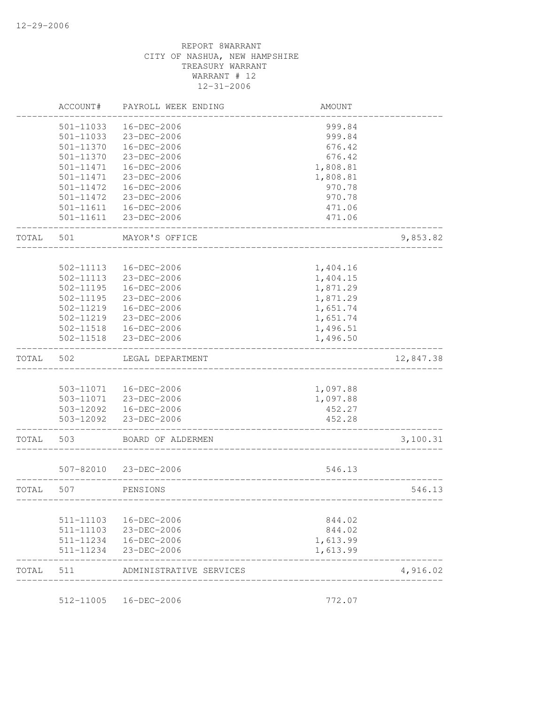| ACCOUNT#  | PAYROLL WEEK ENDING                                                                         | AMOUNT                                                                                                                                                                                                                                                                                                      |                                                                                                        |
|-----------|---------------------------------------------------------------------------------------------|-------------------------------------------------------------------------------------------------------------------------------------------------------------------------------------------------------------------------------------------------------------------------------------------------------------|--------------------------------------------------------------------------------------------------------|
| 501-11033 | 16-DEC-2006                                                                                 | 999.84                                                                                                                                                                                                                                                                                                      |                                                                                                        |
| 501-11033 | 23-DEC-2006                                                                                 | 999.84                                                                                                                                                                                                                                                                                                      |                                                                                                        |
| 501-11370 | 16-DEC-2006                                                                                 | 676.42                                                                                                                                                                                                                                                                                                      |                                                                                                        |
| 501-11370 | 23-DEC-2006                                                                                 | 676.42                                                                                                                                                                                                                                                                                                      |                                                                                                        |
| 501-11471 | 16-DEC-2006                                                                                 | 1,808.81                                                                                                                                                                                                                                                                                                    |                                                                                                        |
| 501-11471 | 23-DEC-2006                                                                                 | 1,808.81                                                                                                                                                                                                                                                                                                    |                                                                                                        |
| 501-11472 | 16-DEC-2006                                                                                 | 970.78                                                                                                                                                                                                                                                                                                      |                                                                                                        |
| 501-11472 | 23-DEC-2006                                                                                 | 970.78                                                                                                                                                                                                                                                                                                      |                                                                                                        |
| 501-11611 |                                                                                             | 471.06                                                                                                                                                                                                                                                                                                      |                                                                                                        |
| 501-11611 | 23-DEC-2006                                                                                 | 471.06                                                                                                                                                                                                                                                                                                      |                                                                                                        |
| 501       | MAYOR'S OFFICE                                                                              |                                                                                                                                                                                                                                                                                                             | 9,853.82                                                                                               |
|           |                                                                                             |                                                                                                                                                                                                                                                                                                             |                                                                                                        |
|           |                                                                                             |                                                                                                                                                                                                                                                                                                             |                                                                                                        |
|           |                                                                                             |                                                                                                                                                                                                                                                                                                             |                                                                                                        |
|           |                                                                                             |                                                                                                                                                                                                                                                                                                             |                                                                                                        |
|           |                                                                                             |                                                                                                                                                                                                                                                                                                             |                                                                                                        |
|           |                                                                                             |                                                                                                                                                                                                                                                                                                             |                                                                                                        |
|           |                                                                                             |                                                                                                                                                                                                                                                                                                             |                                                                                                        |
|           |                                                                                             |                                                                                                                                                                                                                                                                                                             |                                                                                                        |
|           |                                                                                             |                                                                                                                                                                                                                                                                                                             |                                                                                                        |
| 502       | LEGAL DEPARTMENT                                                                            |                                                                                                                                                                                                                                                                                                             | 12,847.38                                                                                              |
|           |                                                                                             |                                                                                                                                                                                                                                                                                                             |                                                                                                        |
|           | 16-DEC-2006                                                                                 | 1,097.88                                                                                                                                                                                                                                                                                                    |                                                                                                        |
|           |                                                                                             | 1,097.88                                                                                                                                                                                                                                                                                                    |                                                                                                        |
|           |                                                                                             | 452.27                                                                                                                                                                                                                                                                                                      |                                                                                                        |
|           |                                                                                             | 452.28                                                                                                                                                                                                                                                                                                      |                                                                                                        |
| 503       | BOARD OF ALDERMEN                                                                           |                                                                                                                                                                                                                                                                                                             | 3,100.31                                                                                               |
|           |                                                                                             | 546.13                                                                                                                                                                                                                                                                                                      |                                                                                                        |
| 507       | PENSIONS                                                                                    |                                                                                                                                                                                                                                                                                                             | 546.13                                                                                                 |
|           |                                                                                             |                                                                                                                                                                                                                                                                                                             |                                                                                                        |
| 511-11103 | 16-DEC-2006                                                                                 | 844.02                                                                                                                                                                                                                                                                                                      |                                                                                                        |
| 511-11103 |                                                                                             |                                                                                                                                                                                                                                                                                                             |                                                                                                        |
|           |                                                                                             | 1,613.99                                                                                                                                                                                                                                                                                                    |                                                                                                        |
| 511-11234 | 23-DEC-2006                                                                                 | 1,613.99                                                                                                                                                                                                                                                                                                    |                                                                                                        |
|           |                                                                                             |                                                                                                                                                                                                                                                                                                             |                                                                                                        |
|           | 502-11113<br>502-11113<br>$502 - 11195$<br>502-11195<br>502-11219<br>502-11219<br>502-11518 | 16-DEC-2006<br>16-DEC-2006<br>23-DEC-2006<br>16-DEC-2006<br>23-DEC-2006<br>16-DEC-2006<br>23-DEC-2006<br>502-11518<br>16-DEC-2006<br>23-DEC-2006<br>503-11071<br>503-11071 23-DEC-2006<br>503-12092  16-DEC-2006<br>503-12092 23-DEC-2006<br>507-82010 23-DEC-2006<br>23-DEC-2006<br>511-11234  16-DEC-2006 | 1,404.16<br>1,404.15<br>1,871.29<br>1,871.29<br>1,651.74<br>1,651.74<br>1,496.51<br>1,496.50<br>844.02 |

512-11005 16-DEC-2006 772.07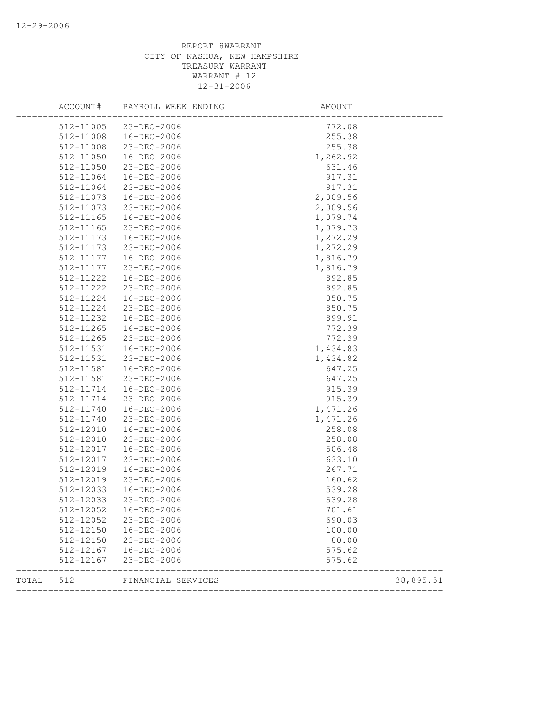|       | ACCOUNT#      | PAYROLL WEEK ENDING | AMOUNT   |           |
|-------|---------------|---------------------|----------|-----------|
|       | 512-11005     | 23-DEC-2006         | 772.08   |           |
|       | 512-11008     | 16-DEC-2006         | 255.38   |           |
|       | 512-11008     | 23-DEC-2006         | 255.38   |           |
|       | 512-11050     | 16-DEC-2006         | 1,262.92 |           |
|       | 512-11050     | 23-DEC-2006         | 631.46   |           |
|       | 512-11064     | 16-DEC-2006         | 917.31   |           |
|       | 512-11064     | 23-DEC-2006         | 917.31   |           |
|       | 512-11073     | 16-DEC-2006         | 2,009.56 |           |
|       | 512-11073     | 23-DEC-2006         | 2,009.56 |           |
|       | $512 - 11165$ | 16-DEC-2006         | 1,079.74 |           |
|       | 512-11165     | 23-DEC-2006         | 1,079.73 |           |
|       | 512-11173     | 16-DEC-2006         | 1,272.29 |           |
|       | 512-11173     | 23-DEC-2006         | 1,272.29 |           |
|       | 512-11177     | 16-DEC-2006         | 1,816.79 |           |
|       | 512-11177     | 23-DEC-2006         | 1,816.79 |           |
|       | 512-11222     | 16-DEC-2006         | 892.85   |           |
|       | 512-11222     | 23-DEC-2006         | 892.85   |           |
|       | 512-11224     | 16-DEC-2006         | 850.75   |           |
|       | 512-11224     | 23-DEC-2006         | 850.75   |           |
|       | 512-11232     | 16-DEC-2006         | 899.91   |           |
|       | $512 - 11265$ | 16-DEC-2006         | 772.39   |           |
|       | 512-11265     | 23-DEC-2006         | 772.39   |           |
|       | 512-11531     | 16-DEC-2006         | 1,434.83 |           |
|       | 512-11531     | 23-DEC-2006         | 1,434.82 |           |
|       | 512-11581     | 16-DEC-2006         | 647.25   |           |
|       | 512-11581     | 23-DEC-2006         | 647.25   |           |
|       | 512-11714     | 16-DEC-2006         | 915.39   |           |
|       | 512-11714     | 23-DEC-2006         | 915.39   |           |
|       | 512-11740     | 16-DEC-2006         | 1,471.26 |           |
|       | 512-11740     | 23-DEC-2006         | 1,471.26 |           |
|       | 512-12010     | 16-DEC-2006         | 258.08   |           |
|       | 512-12010     | 23-DEC-2006         | 258.08   |           |
|       | 512-12017     | 16-DEC-2006         | 506.48   |           |
|       | 512-12017     | 23-DEC-2006         | 633.10   |           |
|       | 512-12019     | 16-DEC-2006         | 267.71   |           |
|       | 512-12019     | 23-DEC-2006         | 160.62   |           |
|       | 512-12033     | 16-DEC-2006         | 539.28   |           |
|       | 512-12033     | $23 - DEC - 2006$   | 539.28   |           |
|       | 512-12052     | 16-DEC-2006         | 701.61   |           |
|       | 512-12052     | 23-DEC-2006         | 690.03   |           |
|       | 512-12150     | 16-DEC-2006         | 100.00   |           |
|       | 512-12150     | 23-DEC-2006         | 80.00    |           |
|       | 512-12167     | 16-DEC-2006         | 575.62   |           |
|       | 512-12167     | 23-DEC-2006         | 575.62   |           |
| TOTAL | 512           | FINANCIAL SERVICES  |          | 38,895.51 |
|       |               |                     |          |           |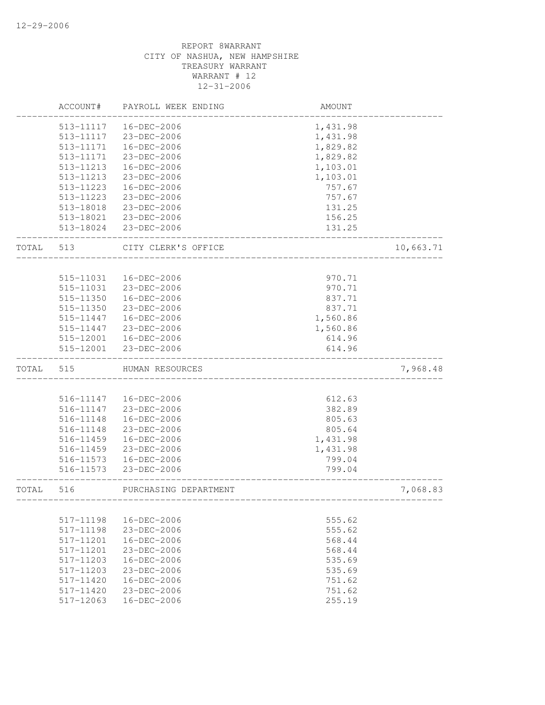|       | ACCOUNT#                   | PAYROLL WEEK ENDING        | AMOUNT            |           |
|-------|----------------------------|----------------------------|-------------------|-----------|
|       | 513-11117                  | 16-DEC-2006                | 1,431.98          |           |
|       | 513-11117                  | 23-DEC-2006                | 1,431.98          |           |
|       | 513-11171                  | 16-DEC-2006                | 1,829.82          |           |
|       | 513-11171                  | 23-DEC-2006                | 1,829.82          |           |
|       | 513-11213                  | 16-DEC-2006                | 1,103.01          |           |
|       | 513-11213                  | 23-DEC-2006                | 1,103.01          |           |
|       | 513-11223                  | 16-DEC-2006                | 757.67            |           |
|       | 513-11223                  | 23-DEC-2006                | 757.67            |           |
|       | 513-18018                  | 23-DEC-2006                | 131.25            |           |
|       |                            | 513-18021 23-DEC-2006      | 156.25            |           |
|       |                            | 513-18024 23-DEC-2006      | 131.25            |           |
| TOTAL | 513                        | CITY CLERK'S OFFICE        |                   | 10,663.71 |
|       |                            |                            |                   |           |
|       | 515-11031                  | 16-DEC-2006                | 970.71            |           |
|       | 515-11031                  | 23-DEC-2006                | 970.71            |           |
|       | 515-11350                  | 16-DEC-2006                | 837.71            |           |
|       | 515-11350                  | 23-DEC-2006                | 837.71            |           |
|       | 515-11447                  | 16-DEC-2006                | 1,560.86          |           |
|       | 515-11447                  | 23-DEC-2006                | 1,560.86          |           |
|       |                            | 515-12001  16-DEC-2006     | 614.96            |           |
|       | 515-12001                  | 23-DEC-2006                | 614.96            |           |
| TOTAL | 515                        | HUMAN RESOURCES            |                   | 7,968.48  |
|       |                            |                            |                   |           |
|       | 516-11147                  | 16-DEC-2006                | 612.63            |           |
|       | 516-11147                  | 23-DEC-2006                | 382.89            |           |
|       | 516-11148                  | 16-DEC-2006                | 805.63            |           |
|       | 516-11148                  | 23-DEC-2006                | 805.64            |           |
|       | 516-11459                  | 16-DEC-2006                | 1,431.98          |           |
|       | 516-11459                  | 23-DEC-2006                | 1,431.98          |           |
|       | 516-11573                  | 16-DEC-2006                | 799.04            |           |
|       | 516-11573                  | 23-DEC-2006                | 799.04            |           |
| TOTAL | 516                        | PURCHASING DEPARTMENT      | _________________ | 7,068.83  |
|       |                            |                            |                   |           |
|       | 517-11198                  | 16-DEC-2006                | 555.62            |           |
|       | 517-11198                  | 23-DEC-2006                | 555.62            |           |
|       | 517-11201                  | $16 - DEC - 2006$          | 568.44            |           |
|       | 517-11201                  | 23-DEC-2006                | 568.44            |           |
|       | 517-11203                  | 16-DEC-2006                | 535.69            |           |
|       | 517-11203                  | 23-DEC-2006                | 535.69            |           |
|       | $517 - 11420$              | $16 - DEC - 2006$          | 751.62            |           |
|       | $517 - 11420$<br>517-12063 | 23-DEC-2006<br>16-DEC-2006 | 751.62<br>255.19  |           |
|       |                            |                            |                   |           |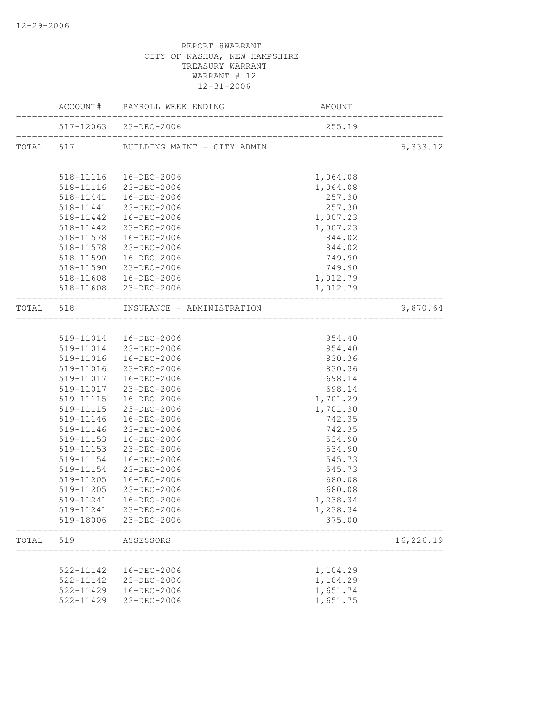|       |                        | 517-12063 23-DEC-2006                           | 255.19               |           |
|-------|------------------------|-------------------------------------------------|----------------------|-----------|
|       |                        |                                                 |                      | 5,333.12  |
|       |                        |                                                 |                      |           |
|       |                        | 518-11116  16-DEC-2006                          | 1,064.08<br>1,064.08 |           |
|       |                        | 518-11116 23-DEC-2006<br>518-11441  16-DEC-2006 | 257.30               |           |
|       |                        | 518-11441 23-DEC-2006                           | 257.30               |           |
|       |                        | 518-11442  16-DEC-2006                          | 1,007.23             |           |
|       |                        | 518-11442 23-DEC-2006                           | 1,007.23             |           |
|       |                        | 518-11578  16-DEC-2006                          | 844.02               |           |
|       |                        | 518-11578 23-DEC-2006                           | 844.02               |           |
|       |                        | 518-11590  16-DEC-2006                          | 749.90               |           |
|       | 518-11590              | $23 - DEC - 2006$                               | 749.90               |           |
|       |                        |                                                 | 1,012.79             |           |
|       |                        |                                                 | 1,012.79             |           |
|       |                        | TOTAL 518 INSURANCE - ADMINISTRATION            |                      | 9,870.64  |
|       |                        |                                                 |                      |           |
|       |                        | 519-11014  16-DEC-2006                          | 954.40               |           |
|       |                        | 519-11014 23-DEC-2006                           | 954.40               |           |
|       |                        | 519-11016  16-DEC-2006                          | 830.36               |           |
|       |                        | 519-11016 23-DEC-2006                           | 830.36               |           |
|       |                        | 519-11017  16-DEC-2006                          | 698.14               |           |
|       | 519-11017              | 23-DEC-2006                                     | 698.14               |           |
|       |                        | 519-11115  16-DEC-2006                          | 1,701.29             |           |
|       |                        | 519-11115 23-DEC-2006                           | 1,701.30             |           |
|       |                        | 519-11146  16-DEC-2006                          | 742.35<br>742.35     |           |
|       | 519-11146<br>519-11153 | 23-DEC-2006<br>16-DEC-2006                      | 534.90               |           |
|       | 519-11153              | 23-DEC-2006                                     | 534.90               |           |
|       | 519-11154              | 16-DEC-2006                                     | 545.73               |           |
|       | 519-11154              | 23-DEC-2006                                     | 545.73               |           |
|       | 519-11205              | 16-DEC-2006                                     | 680.08               |           |
|       | 519-11205              | 23-DEC-2006                                     | 680.08               |           |
|       |                        | 519-11241  16-DEC-2006                          | 1,238.34             |           |
|       |                        | 519-11241 23-DEC-2006                           | 1,238.34             |           |
|       |                        | 519-18006 23-DEC-2006                           | 375.00               |           |
| TOTAL | 519                    | ASSESSORS                                       |                      | 16,226.19 |
|       |                        |                                                 |                      |           |
|       | 522-11142              | 16-DEC-2006                                     | 1,104.29             |           |
|       | 522-11142              | 23-DEC-2006                                     | 1,104.29             |           |
|       | 522-11429              | 16-DEC-2006                                     | 1,651.74             |           |
|       | 522-11429              | 23-DEC-2006                                     | 1,651.75             |           |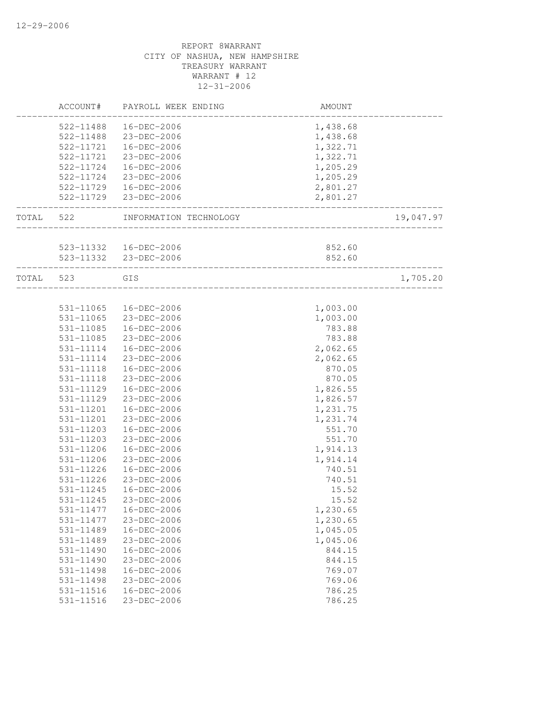|           | ACCOUNT#  | PAYROLL WEEK ENDING                                    | AMOUNT   |           |
|-----------|-----------|--------------------------------------------------------|----------|-----------|
|           | 522-11488 | 16-DEC-2006                                            | 1,438.68 |           |
|           |           | 522-11488 23-DEC-2006                                  | 1,438.68 |           |
|           |           | 522-11721  16-DEC-2006                                 | 1,322.71 |           |
|           | 522-11721 | 23-DEC-2006                                            | 1,322.71 |           |
|           | 522-11724 | 16-DEC-2006                                            | 1,205.29 |           |
|           |           | 522-11724 23-DEC-2006                                  | 1,205.29 |           |
|           |           | 522-11729  16-DEC-2006                                 | 2,801.27 |           |
|           |           | 522-11729 23-DEC-2006                                  | 2,801.27 |           |
| TOTAL     | 522       | INFORMATION TECHNOLOGY                                 |          | 19,047.97 |
|           |           |                                                        |          |           |
|           |           | 523-11332  16-DEC-2006                                 | 852.60   |           |
|           |           | 523-11332 23-DEC-2006<br>_____________________________ | 852.60   |           |
| TOTAL 523 |           | GIS                                                    |          | 1,705.20  |
|           |           |                                                        |          |           |
|           | 531-11065 | 16-DEC-2006                                            | 1,003.00 |           |
|           |           | 531-11065 23-DEC-2006                                  | 1,003.00 |           |
|           |           | 531-11085  16-DEC-2006                                 | 783.88   |           |
|           | 531-11085 | 23-DEC-2006                                            | 783.88   |           |
|           | 531-11114 | 16-DEC-2006                                            | 2,062.65 |           |
|           | 531-11114 | 23-DEC-2006                                            | 2,062.65 |           |
|           | 531-11118 | 16-DEC-2006                                            | 870.05   |           |
|           | 531-11118 | 23-DEC-2006                                            | 870.05   |           |
|           | 531-11129 | 16-DEC-2006                                            | 1,826.55 |           |
|           | 531-11129 | 23-DEC-2006                                            | 1,826.57 |           |
|           | 531-11201 | 16-DEC-2006                                            | 1,231.75 |           |
|           | 531-11201 | 23-DEC-2006                                            | 1,231.74 |           |
|           | 531-11203 | 16-DEC-2006                                            | 551.70   |           |
|           | 531-11203 | 23-DEC-2006                                            | 551.70   |           |
|           | 531-11206 | 16-DEC-2006                                            | 1,914.13 |           |
|           | 531-11206 | 23-DEC-2006                                            | 1,914.14 |           |
|           | 531-11226 | 16-DEC-2006                                            | 740.51   |           |
|           | 531-11226 | 23-DEC-2006                                            | 740.51   |           |
|           | 531-11245 | 16-DEC-2006                                            | 15.52    |           |
|           | 531-11245 | 23-DEC-2006                                            | 15.52    |           |
|           | 531-11477 | 16-DEC-2006                                            | 1,230.65 |           |
|           | 531-11477 | 23-DEC-2006                                            | 1,230.65 |           |
|           | 531-11489 | 16-DEC-2006                                            | 1,045.05 |           |
|           | 531-11489 | 23-DEC-2006                                            | 1,045.06 |           |
|           | 531-11490 | 16-DEC-2006                                            | 844.15   |           |
|           | 531-11490 | 23-DEC-2006                                            | 844.15   |           |
|           | 531-11498 | 16-DEC-2006                                            | 769.07   |           |
|           | 531-11498 | 23-DEC-2006                                            | 769.06   |           |
|           | 531-11516 | 16-DEC-2006                                            | 786.25   |           |
|           | 531-11516 | 23-DEC-2006                                            | 786.25   |           |
|           |           |                                                        |          |           |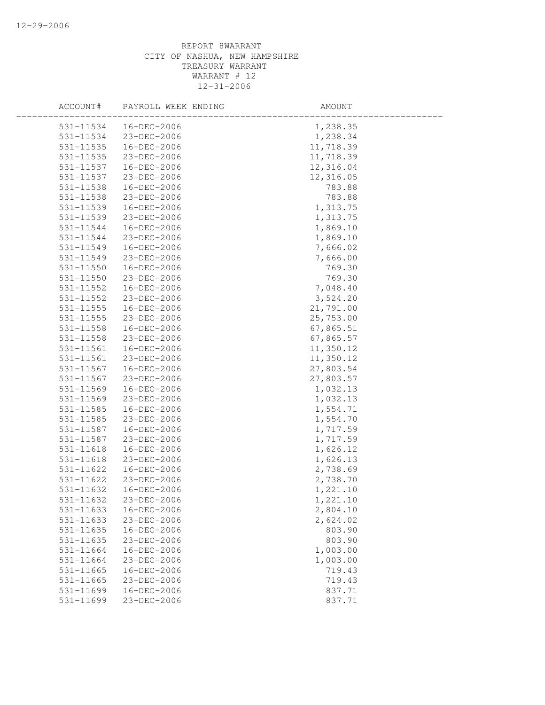| ACCOUNT#      | PAYROLL WEEK ENDING | AMOUNT    |
|---------------|---------------------|-----------|
| 531-11534     | 16-DEC-2006         | 1,238.35  |
| 531-11534     | 23-DEC-2006         | 1,238.34  |
| 531-11535     | 16-DEC-2006         | 11,718.39 |
| 531-11535     | 23-DEC-2006         | 11,718.39 |
| 531-11537     | 16-DEC-2006         | 12,316.04 |
| 531-11537     | 23-DEC-2006         | 12,316.05 |
| 531-11538     | 16-DEC-2006         | 783.88    |
| 531-11538     | 23-DEC-2006         | 783.88    |
| 531-11539     | 16-DEC-2006         | 1,313.75  |
| 531-11539     | 23-DEC-2006         | 1,313.75  |
| 531-11544     | 16-DEC-2006         | 1,869.10  |
| 531-11544     | 23-DEC-2006         | 1,869.10  |
| 531-11549     | 16-DEC-2006         | 7,666.02  |
| 531-11549     | 23-DEC-2006         | 7,666.00  |
| 531-11550     | 16-DEC-2006         | 769.30    |
| 531-11550     | 23-DEC-2006         | 769.30    |
| 531-11552     | 16-DEC-2006         | 7,048.40  |
| 531-11552     | 23-DEC-2006         | 3,524.20  |
| $531 - 11555$ | 16-DEC-2006         | 21,791.00 |
| $531 - 11555$ | 23-DEC-2006         | 25,753.00 |
| 531-11558     | 16-DEC-2006         | 67,865.51 |
| 531-11558     | 23-DEC-2006         | 67,865.57 |
| 531-11561     | 16-DEC-2006         | 11,350.12 |
| 531-11561     | 23-DEC-2006         | 11,350.12 |
| 531-11567     | 16-DEC-2006         | 27,803.54 |
| 531-11567     | 23-DEC-2006         | 27,803.57 |
| 531-11569     | 16-DEC-2006         | 1,032.13  |
| 531-11569     | 23-DEC-2006         | 1,032.13  |
| 531-11585     | 16-DEC-2006         | 1,554.71  |
| 531-11585     | 23-DEC-2006         | 1,554.70  |
| 531-11587     | 16-DEC-2006         | 1,717.59  |
| 531-11587     | 23-DEC-2006         | 1,717.59  |
| 531-11618     | 16-DEC-2006         | 1,626.12  |
| $531 - 11618$ | 23-DEC-2006         | 1,626.13  |
| 531-11622     | 16-DEC-2006         | 2,738.69  |
| 531-11622     | 23-DEC-2006         | 2,738.70  |
| 531-11632     | 16-DEC-2006         | 1,221.10  |
| 531-11632     | 23-DEC-2006         | 1,221.10  |
| 531-11633     | 16-DEC-2006         | 2,804.10  |
| 531-11633     | 23-DEC-2006         | 2,624.02  |
| 531-11635     | 16-DEC-2006         | 803.90    |
| 531-11635     | 23-DEC-2006         | 803.90    |
| 531-11664     | 16-DEC-2006         | 1,003.00  |
| 531-11664     | 23-DEC-2006         | 1,003.00  |
| 531-11665     | 16-DEC-2006         | 719.43    |
| $531 - 11665$ | 23-DEC-2006         | 719.43    |
| 531-11699     | 16-DEC-2006         | 837.71    |
| 531-11699     | 23-DEC-2006         | 837.71    |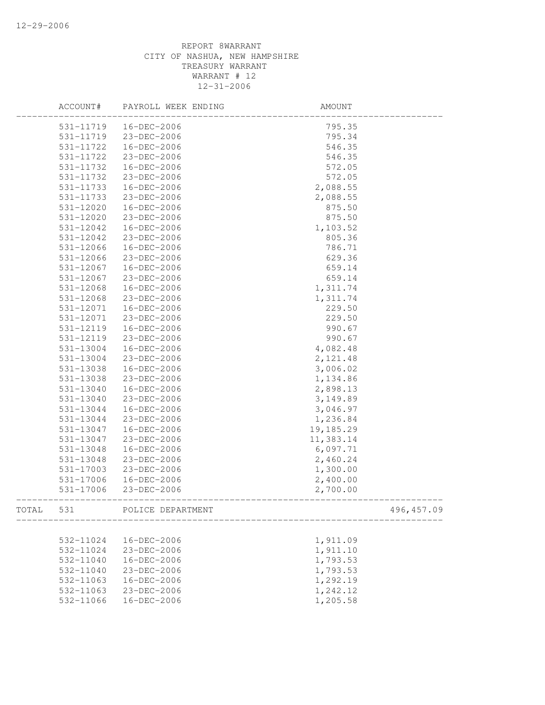|       | ACCOUNT#  | PAYROLL WEEK ENDING | AMOUNT    |             |
|-------|-----------|---------------------|-----------|-------------|
|       | 531-11719 | 16-DEC-2006         | 795.35    |             |
|       | 531-11719 | 23-DEC-2006         | 795.34    |             |
|       | 531-11722 | 16-DEC-2006         | 546.35    |             |
|       | 531-11722 | 23-DEC-2006         | 546.35    |             |
|       | 531-11732 | 16-DEC-2006         | 572.05    |             |
|       | 531-11732 | 23-DEC-2006         | 572.05    |             |
|       | 531-11733 | 16-DEC-2006         | 2,088.55  |             |
|       | 531-11733 | 23-DEC-2006         | 2,088.55  |             |
|       | 531-12020 | 16-DEC-2006         | 875.50    |             |
|       | 531-12020 | 23-DEC-2006         | 875.50    |             |
|       | 531-12042 | 16-DEC-2006         | 1,103.52  |             |
|       | 531-12042 | 23-DEC-2006         | 805.36    |             |
|       | 531-12066 | 16-DEC-2006         | 786.71    |             |
|       | 531-12066 | 23-DEC-2006         | 629.36    |             |
|       | 531-12067 | 16-DEC-2006         | 659.14    |             |
|       | 531-12067 | 23-DEC-2006         | 659.14    |             |
|       | 531-12068 | 16-DEC-2006         | 1,311.74  |             |
|       | 531-12068 | 23-DEC-2006         | 1,311.74  |             |
|       | 531-12071 | 16-DEC-2006         | 229.50    |             |
|       | 531-12071 | 23-DEC-2006         | 229.50    |             |
|       | 531-12119 | 16-DEC-2006         | 990.67    |             |
|       | 531-12119 | 23-DEC-2006         | 990.67    |             |
|       | 531-13004 | 16-DEC-2006         | 4,082.48  |             |
|       | 531-13004 | 23-DEC-2006         | 2,121.48  |             |
|       | 531-13038 | 16-DEC-2006         | 3,006.02  |             |
|       | 531-13038 | 23-DEC-2006         | 1,134.86  |             |
|       | 531-13040 | 16-DEC-2006         | 2,898.13  |             |
|       | 531-13040 | 23-DEC-2006         | 3, 149.89 |             |
|       | 531-13044 | 16-DEC-2006         | 3,046.97  |             |
|       | 531-13044 | 23-DEC-2006         | 1,236.84  |             |
|       | 531-13047 | 16-DEC-2006         | 19,185.29 |             |
|       | 531-13047 | 23-DEC-2006         | 11,383.14 |             |
|       | 531-13048 | 16-DEC-2006         | 6,097.71  |             |
|       | 531-13048 | 23-DEC-2006         | 2,460.24  |             |
|       | 531-17003 | 23-DEC-2006         | 1,300.00  |             |
|       | 531-17006 | 16-DEC-2006         | 2,400.00  |             |
|       | 531-17006 | 23-DEC-2006         | 2,700.00  |             |
| TOTAL | 531       | POLICE DEPARTMENT   |           | 496, 457.09 |
|       |           |                     |           |             |
|       | 532-11024 | 16-DEC-2006         | 1,911.09  |             |
|       | 532-11024 | 23-DEC-2006         | 1,911.10  |             |
|       | 532-11040 | 16-DEC-2006         | 1,793.53  |             |
|       | 532-11040 | 23-DEC-2006         | 1,793.53  |             |
|       | 532-11063 | 16-DEC-2006         | 1,292.19  |             |
|       | 532-11063 | 23-DEC-2006         | 1,242.12  |             |
|       | 532-11066 | 16-DEC-2006         | 1,205.58  |             |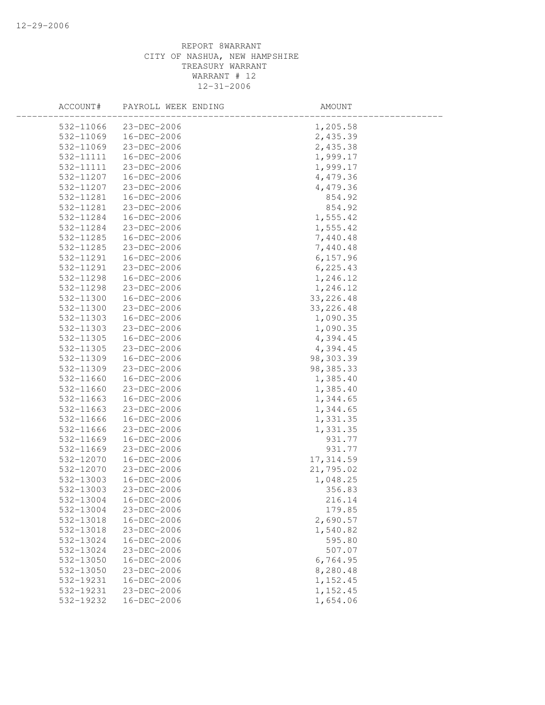| ACCOUNT#  | PAYROLL WEEK ENDING | AMOUNT     |  |
|-----------|---------------------|------------|--|
| 532-11066 | 23-DEC-2006         | 1,205.58   |  |
| 532-11069 | 16-DEC-2006         | 2,435.39   |  |
| 532-11069 | 23-DEC-2006         | 2,435.38   |  |
| 532-11111 | 16-DEC-2006         | 1,999.17   |  |
| 532-11111 | 23-DEC-2006         | 1,999.17   |  |
| 532-11207 | 16-DEC-2006         | 4,479.36   |  |
| 532-11207 | 23-DEC-2006         | 4,479.36   |  |
| 532-11281 | 16-DEC-2006         | 854.92     |  |
| 532-11281 | 23-DEC-2006         | 854.92     |  |
| 532-11284 | 16-DEC-2006         | 1,555.42   |  |
| 532-11284 | 23-DEC-2006         | 1,555.42   |  |
| 532-11285 | 16-DEC-2006         | 7,440.48   |  |
| 532-11285 | 23-DEC-2006         | 7,440.48   |  |
| 532-11291 | 16-DEC-2006         | 6, 157.96  |  |
| 532-11291 | 23-DEC-2006         | 6, 225.43  |  |
| 532-11298 | 16-DEC-2006         | 1,246.12   |  |
| 532-11298 | 23-DEC-2006         | 1,246.12   |  |
| 532-11300 | 16-DEC-2006         | 33, 226.48 |  |
| 532-11300 | 23-DEC-2006         | 33, 226.48 |  |
| 532-11303 | 16-DEC-2006         | 1,090.35   |  |
| 532-11303 | 23-DEC-2006         | 1,090.35   |  |
| 532-11305 | 16-DEC-2006         | 4,394.45   |  |
| 532-11305 | 23-DEC-2006         | 4,394.45   |  |
| 532-11309 | 16-DEC-2006         | 98,303.39  |  |
| 532-11309 | 23-DEC-2006         | 98, 385.33 |  |
| 532-11660 | 16-DEC-2006         | 1,385.40   |  |
| 532-11660 | 23-DEC-2006         | 1,385.40   |  |
| 532-11663 | 16-DEC-2006         | 1,344.65   |  |
| 532-11663 | 23-DEC-2006         | 1,344.65   |  |
| 532-11666 | 16-DEC-2006         | 1,331.35   |  |
| 532-11666 | 23-DEC-2006         | 1,331.35   |  |
| 532-11669 | 16-DEC-2006         | 931.77     |  |
| 532-11669 | 23-DEC-2006         | 931.77     |  |
| 532-12070 | 16-DEC-2006         | 17, 314.59 |  |
| 532-12070 | 23-DEC-2006         | 21,795.02  |  |
| 532-13003 | 16-DEC-2006         | 1,048.25   |  |
| 532-13003 | 23-DEC-2006         | 356.83     |  |
| 532-13004 | $16 - DEC - 2006$   | 216.14     |  |
| 532-13004 | 23-DEC-2006         | 179.85     |  |
| 532-13018 | 16-DEC-2006         | 2,690.57   |  |
| 532-13018 | 23-DEC-2006         | 1,540.82   |  |
| 532-13024 | 16-DEC-2006         | 595.80     |  |
| 532-13024 | 23-DEC-2006         | 507.07     |  |
| 532-13050 | 16-DEC-2006         | 6,764.95   |  |
| 532-13050 | 23-DEC-2006         | 8,280.48   |  |
| 532-19231 | $16 - DEC - 2006$   | 1,152.45   |  |
| 532-19231 | 23-DEC-2006         | 1,152.45   |  |
| 532-19232 | 16-DEC-2006         | 1,654.06   |  |
|           |                     |            |  |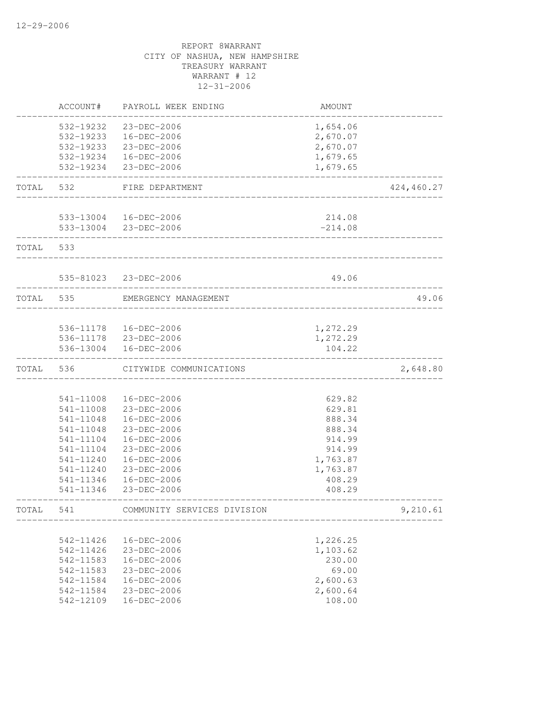|       | ACCOUNT#  | PAYROLL WEEK ENDING                            | AMOUNT    |            |
|-------|-----------|------------------------------------------------|-----------|------------|
|       | 532-19232 | 23-DEC-2006                                    | 1,654.06  |            |
|       | 532-19233 | 16-DEC-2006                                    | 2,670.07  |            |
|       | 532-19233 | 23-DEC-2006                                    | 2,670.07  |            |
|       |           | 532-19234  16-DEC-2006                         | 1,679.65  |            |
|       | 532-19234 | 23-DEC-2006                                    | 1,679.65  |            |
| TOTAL | 532       | FIRE DEPARTMENT                                |           | 424,460.27 |
|       |           |                                                |           |            |
|       |           | 533-13004 16-DEC-2006<br>533-13004 23-DEC-2006 | 214.08    |            |
|       |           |                                                | $-214.08$ |            |
| TOTAL | 533       |                                                |           |            |
|       |           | 535-81023 23-DEC-2006                          | 49.06     |            |
|       |           |                                                |           |            |
| TOTAL | 535       | EMERGENCY MANAGEMENT                           |           | 49.06      |
|       |           | 536-11178  16-DEC-2006                         | 1,272.29  |            |
|       |           | 536-11178 23-DEC-2006                          | 1,272.29  |            |
|       | 536-13004 | $16 - DEC - 2006$                              | 104.22    |            |
| TOTAL | 536       | CITYWIDE COMMUNICATIONS                        |           | 2,648.80   |
|       |           |                                                |           |            |
|       | 541-11008 | 16-DEC-2006                                    | 629.82    |            |
|       | 541-11008 | 23-DEC-2006                                    | 629.81    |            |
|       | 541-11048 | 16-DEC-2006                                    | 888.34    |            |
|       | 541-11048 | 23-DEC-2006                                    | 888.34    |            |
|       | 541-11104 | 16-DEC-2006                                    | 914.99    |            |
|       | 541-11104 | 23-DEC-2006                                    | 914.99    |            |
|       | 541-11240 | 16-DEC-2006                                    | 1,763.87  |            |
|       | 541-11240 | 23-DEC-2006                                    | 1,763.87  |            |
|       | 541-11346 | 16-DEC-2006                                    | 408.29    |            |
|       | 541-11346 | 23-DEC-2006                                    | 408.29    |            |
| TOTAL | 541       | COMMUNITY SERVICES DIVISION                    |           | 9,210.61   |
|       | 542-11426 | 16-DEC-2006                                    | 1,226.25  |            |
|       | 542-11426 | 23-DEC-2006                                    | 1,103.62  |            |
|       | 542-11583 | 16-DEC-2006                                    | 230.00    |            |
|       | 542-11583 | 23-DEC-2006                                    | 69.00     |            |
|       | 542-11584 | 16-DEC-2006                                    | 2,600.63  |            |
|       | 542-11584 | 23-DEC-2006                                    | 2,600.64  |            |
|       | 542-12109 | 16-DEC-2006                                    | 108.00    |            |
|       |           |                                                |           |            |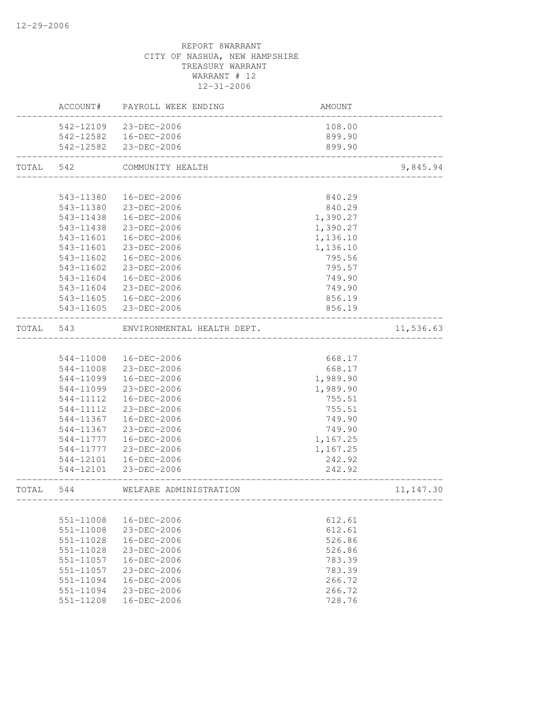|           |               | ACCOUNT# PAYROLL WEEK ENDING | AMOUNT                             |            |
|-----------|---------------|------------------------------|------------------------------------|------------|
|           |               | 542-12109 23-DEC-2006        | 108.00                             |            |
|           |               | 542-12582  16-DEC-2006       | 899.90                             |            |
|           |               | 542-12582 23-DEC-2006        | 899.90                             |            |
| TOTAL 542 |               | COMMUNITY HEALTH             | _______________________________    | 9,845.94   |
|           |               |                              |                                    |            |
|           | 543-11380     | 16-DEC-2006                  | 840.29                             |            |
|           |               | 543-11380 23-DEC-2006        | 840.29                             |            |
|           |               | 543-11438  16-DEC-2006       | 1,390.27                           |            |
|           | 543-11438     | 23-DEC-2006                  | 1,390.27                           |            |
|           | 543-11601     | $16 - DEC - 2006$            | 1,136.10                           |            |
|           | 543-11601     | 23-DEC-2006                  | 1,136.10                           |            |
|           | 543-11602     | 16-DEC-2006                  | 795.56                             |            |
|           | 543-11602     | 23-DEC-2006                  | 795.57                             |            |
|           | 543-11604     | 16-DEC-2006                  | 749.90                             |            |
|           | 543-11604     | 23-DEC-2006                  | 749.90                             |            |
|           | 543-11605     | 16-DEC-2006                  | 856.19                             |            |
|           |               | 543-11605 23-DEC-2006        | 856.19                             |            |
| TOTAL 543 |               | ENVIRONMENTAL HEALTH DEPT.   |                                    | 11,536.63  |
|           |               |                              |                                    |            |
|           |               | 544-11008  16-DEC-2006       | 668.17                             |            |
|           |               | 544-11008 23-DEC-2006        | 668.17                             |            |
|           | 544-11099     | 16-DEC-2006                  | 1,989.90                           |            |
|           | 544-11099     | 23-DEC-2006                  | 1,989.90                           |            |
|           | 544-11112     | 16-DEC-2006                  | 755.51                             |            |
|           | 544-11112     | 23-DEC-2006                  | 755.51                             |            |
|           | 544-11367     | 16-DEC-2006                  | 749.90                             |            |
|           | 544-11367     | 23-DEC-2006                  | 749.90                             |            |
|           | 544-11777     | 16-DEC-2006                  | 1,167.25                           |            |
|           | 544-11777     | 23-DEC-2006                  | 1,167.25                           |            |
|           | 544-12101     | 16-DEC-2006                  | 242.92                             |            |
|           | 544-12101     | 23-DEC-2006                  | 242.92                             |            |
| TOTAL     | 544           | WELFARE ADMINISTRATION       |                                    | 11, 147.30 |
|           |               |                              | ---------------------------------- |            |
|           | 551-11008     | 16-DEC-2006                  | 612.61                             |            |
|           | 551-11008     | 23-DEC-2006                  | 612.61                             |            |
|           | 551-11028     | 16-DEC-2006                  | 526.86                             |            |
|           | 551-11028     | 23-DEC-2006                  | 526.86                             |            |
|           | 551-11057     | $16 - DEC - 2006$            | 783.39                             |            |
|           | 551-11057     | $23 - DEC - 2006$            | 783.39                             |            |
|           | $551 - 11094$ | 16-DEC-2006                  | 266.72                             |            |
|           | 551-11094     | 23-DEC-2006                  | 266.72                             |            |
|           | 551-11208     | 16-DEC-2006                  | 728.76                             |            |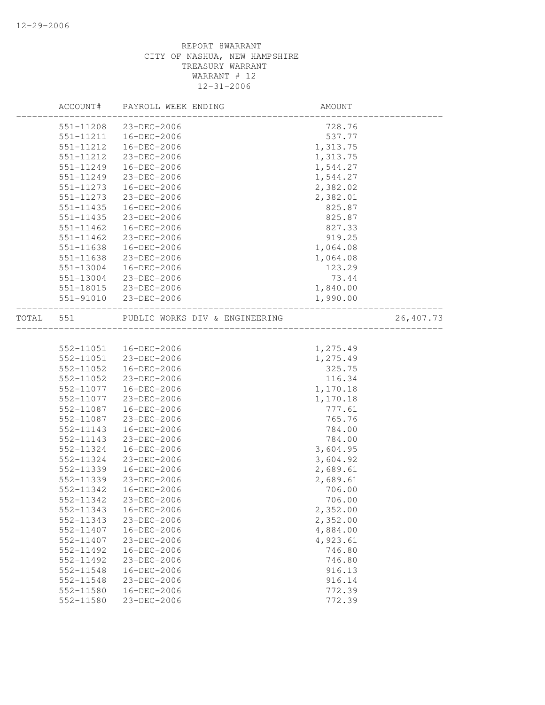|       | ACCOUNT#      | PAYROLL WEEK ENDING            | AMOUNT   |           |
|-------|---------------|--------------------------------|----------|-----------|
|       | 551-11208     | 23-DEC-2006                    | 728.76   |           |
|       | 551-11211     | 16-DEC-2006                    | 537.77   |           |
|       | 551-11212     | 16-DEC-2006                    | 1,313.75 |           |
|       | 551-11212     | 23-DEC-2006                    | 1,313.75 |           |
|       | 551-11249     | 16-DEC-2006                    | 1,544.27 |           |
|       | 551-11249     | 23-DEC-2006                    | 1,544.27 |           |
|       | 551-11273     | 16-DEC-2006                    | 2,382.02 |           |
|       | 551-11273     | 23-DEC-2006                    | 2,382.01 |           |
|       | 551-11435     | 16-DEC-2006                    | 825.87   |           |
|       | $551 - 11435$ | 23-DEC-2006                    | 825.87   |           |
|       | 551-11462     | 16-DEC-2006                    | 827.33   |           |
|       | $551 - 11462$ | 23-DEC-2006                    | 919.25   |           |
|       | 551-11638     | 16-DEC-2006                    | 1,064.08 |           |
|       | 551-11638     | 23-DEC-2006                    | 1,064.08 |           |
|       | 551-13004     | 16-DEC-2006                    | 123.29   |           |
|       | 551-13004     | 23-DEC-2006                    | 73.44    |           |
|       | 551-18015     | 23-DEC-2006                    | 1,840.00 |           |
|       |               | 551-91010 23-DEC-2006          | 1,990.00 |           |
| TOTAL | 551           | PUBLIC WORKS DIV & ENGINEERING |          | 26,407.73 |
|       |               |                                |          |           |
|       | 552-11051     | 16-DEC-2006                    | 1,275.49 |           |
|       | 552-11051     | 23-DEC-2006                    | 1,275.49 |           |
|       | 552-11052     | 16-DEC-2006                    | 325.75   |           |
|       | 552-11052     | 23-DEC-2006                    | 116.34   |           |
|       | 552-11077     | 16-DEC-2006                    | 1,170.18 |           |
|       | 552-11077     | 23-DEC-2006                    | 1,170.18 |           |
|       | 552-11087     | 16-DEC-2006                    | 777.61   |           |
|       | 552-11087     | 23-DEC-2006                    | 765.76   |           |
|       | 552-11143     | 16-DEC-2006                    | 784.00   |           |
|       | 552-11143     | 23-DEC-2006                    | 784.00   |           |
|       | 552-11324     | 16-DEC-2006                    | 3,604.95 |           |
|       | 552-11324     | 23-DEC-2006                    | 3,604.92 |           |
|       | 552-11339     | 16-DEC-2006                    | 2,689.61 |           |
|       | 552-11339     | 23-DEC-2006                    | 2,689.61 |           |
|       | 552-11342     | 16-DEC-2006                    | 706.00   |           |
|       | 552-11342     | 23-DEC-2006                    | 706.00   |           |
|       | 552-11343     | 16-DEC-2006                    | 2,352.00 |           |
|       | 552-11343     | 23-DEC-2006                    | 2,352.00 |           |
|       | 552-11407     | 16-DEC-2006                    | 4,884.00 |           |
|       | 552-11407     | 23-DEC-2006                    | 4,923.61 |           |
|       | 552-11492     | 16-DEC-2006                    | 746.80   |           |
|       | 552-11492     | 23-DEC-2006                    | 746.80   |           |
|       | 552-11548     | 16-DEC-2006                    | 916.13   |           |
|       | 552-11548     | 23-DEC-2006                    | 916.14   |           |
|       | 552-11580     | 16-DEC-2006                    | 772.39   |           |
|       | 552-11580     | 23-DEC-2006                    | 772.39   |           |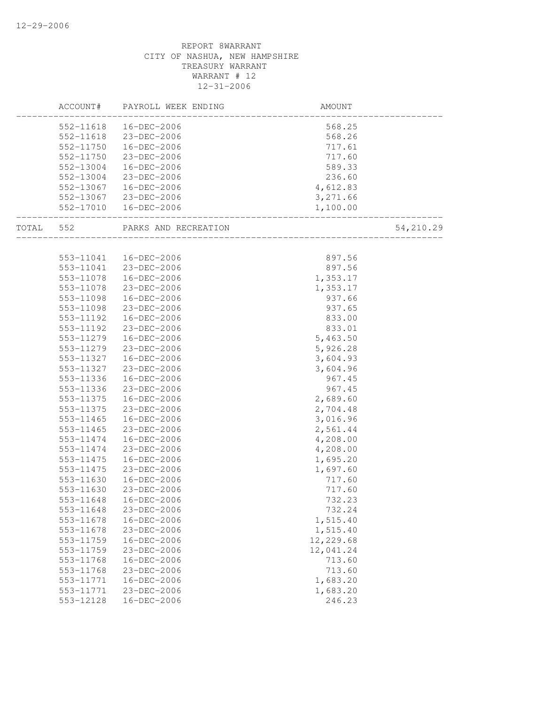|           |           | ACCOUNT# PAYROLL WEEK ENDING | AMOUNT                            |           |
|-----------|-----------|------------------------------|-----------------------------------|-----------|
|           |           | 552-11618  16-DEC-2006       | 568.25                            |           |
|           |           | 552-11618 23-DEC-2006        | 568.26                            |           |
|           |           | 552-11750  16-DEC-2006       | 717.61                            |           |
|           |           | 552-11750 23-DEC-2006        | 717.60                            |           |
|           |           | 552-13004  16-DEC-2006       | 589.33                            |           |
|           | 552-13004 | 23-DEC-2006                  | 236.60                            |           |
|           | 552-13067 | 16-DEC-2006                  | 4,612.83                          |           |
|           |           | 552-13067 23-DEC-2006        | 3,271.66                          |           |
|           |           | 552-17010  16-DEC-2006       | 1,100.00<br>_____________________ |           |
| TOTAL 552 |           | PARKS AND RECREATION         | _____________________             | 54,210.29 |
|           |           |                              |                                   |           |
|           |           | 553-11041  16-DEC-2006       | 897.56                            |           |
|           |           | 553-11041 23-DEC-2006        | 897.56                            |           |
|           | 553-11078 | 16-DEC-2006                  | 1,353.17                          |           |
|           | 553-11078 | 23-DEC-2006                  | 1,353.17                          |           |
|           | 553-11098 | 16-DEC-2006                  | 937.66                            |           |
|           |           | 553-11098 23-DEC-2006        | 937.65                            |           |
|           |           | 553-11192  16-DEC-2006       | 833.00                            |           |
|           |           | 553-11192 23-DEC-2006        | 833.01                            |           |
|           |           | 553-11279  16-DEC-2006       | 5,463.50                          |           |
|           |           | 553-11279 23-DEC-2006        | 5,926.28                          |           |
|           | 553-11327 | 16-DEC-2006                  | 3,604.93                          |           |
|           | 553-11327 | 23-DEC-2006                  | 3,604.96                          |           |
|           | 553-11336 | 16-DEC-2006                  | 967.45                            |           |
|           | 553-11336 | 23-DEC-2006                  | 967.45                            |           |
|           |           | 553-11375  16-DEC-2006       | 2,689.60                          |           |
|           |           | 553-11375 23-DEC-2006        | 2,704.48                          |           |
|           |           | 553-11465  16-DEC-2006       | 3,016.96                          |           |
|           | 553-11465 | 23-DEC-2006                  | 2,561.44                          |           |
|           | 553-11474 | 16-DEC-2006                  | 4,208.00                          |           |
|           | 553-11474 | 23-DEC-2006                  | 4,208.00                          |           |
|           | 553-11475 | 16-DEC-2006                  | 1,695.20                          |           |
|           | 553-11475 | 23-DEC-2006                  | 1,697.60                          |           |
|           | 553-11630 | 16-DEC-2006                  | 717.60                            |           |
|           | 553-11630 | 23-DEC-2006                  | 717.60                            |           |
|           | 553-11648 | 16-DEC-2006                  | 732.23                            |           |
|           | 553-11648 | 23-DEC-2006                  | 732.24                            |           |
|           | 553-11678 | $16 - DEC - 2006$            | 1,515.40                          |           |
|           | 553-11678 | 23-DEC-2006                  | 1,515.40                          |           |
|           | 553-11759 | 16-DEC-2006                  | 12,229.68                         |           |
|           | 553-11759 | 23-DEC-2006                  | 12,041.24                         |           |
|           | 553-11768 | 16-DEC-2006                  | 713.60                            |           |
|           | 553-11768 | 23-DEC-2006                  | 713.60                            |           |
|           | 553-11771 | 16-DEC-2006                  | 1,683.20                          |           |
|           | 553-11771 | 23-DEC-2006                  | 1,683.20                          |           |
|           | 553-12128 | 16-DEC-2006                  | 246.23                            |           |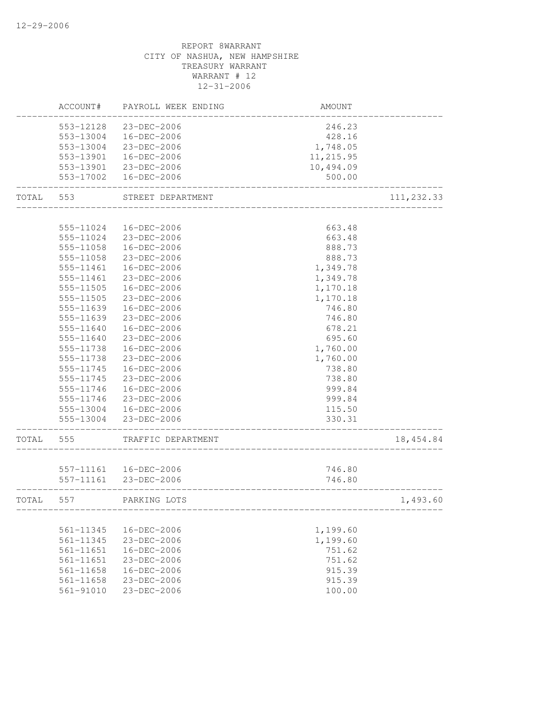|       | ACCOUNT#                   | PAYROLL WEEK ENDING                            | AMOUNT           |            |
|-------|----------------------------|------------------------------------------------|------------------|------------|
|       | 553-12128                  | 23-DEC-2006                                    | 246.23           |            |
|       | 553-13004                  | 16-DEC-2006                                    | 428.16           |            |
|       |                            | 553-13004 23-DEC-2006                          | 1,748.05         |            |
|       |                            | 553-13901  16-DEC-2006                         | 11,215.95        |            |
|       |                            | 553-13901 23-DEC-2006                          | 10,494.09        |            |
|       |                            | 553-17002  16-DEC-2006                         | 500.00           |            |
| TOTAL | 553                        | STREET DEPARTMENT                              |                  | 111,232.33 |
|       |                            |                                                |                  |            |
|       | 555-11024                  | 16-DEC-2006                                    | 663.48           |            |
|       |                            | 555-11024 23-DEC-2006                          | 663.48           |            |
|       | 555-11058                  | 16-DEC-2006                                    | 888.73           |            |
|       | 555-11058                  | 23-DEC-2006                                    | 888.73           |            |
|       | 555-11461                  | 16-DEC-2006                                    | 1,349.78         |            |
|       | 555-11461                  | 23-DEC-2006                                    | 1,349.78         |            |
|       | 555-11505                  | 16-DEC-2006                                    | 1,170.18         |            |
|       | 555-11505                  | 23-DEC-2006                                    | 1,170.18         |            |
|       | 555-11639                  | 16-DEC-2006                                    | 746.80           |            |
|       | 555-11639                  | 23-DEC-2006                                    | 746.80           |            |
|       | 555-11640                  | 16-DEC-2006                                    | 678.21           |            |
|       | 555-11640                  | 23-DEC-2006                                    | 695.60           |            |
|       | 555-11738                  | 16-DEC-2006                                    | 1,760.00         |            |
|       | 555-11738                  | 23-DEC-2006                                    | 1,760.00         |            |
|       | 555-11745                  | 16-DEC-2006                                    | 738.80           |            |
|       | 555-11745                  | 23-DEC-2006                                    | 738.80           |            |
|       | 555-11746                  | 16-DEC-2006                                    | 999.84           |            |
|       | 555-11746                  | 23-DEC-2006                                    | 999.84           |            |
|       |                            | 555-13004 16-DEC-2006<br>555-13004 23-DEC-2006 | 115.50<br>330.31 |            |
| TOTAL | 555                        | TRAFFIC DEPARTMENT                             |                  | 18, 454.84 |
|       |                            |                                                |                  |            |
|       |                            | 557-11161  16-DEC-2006                         | 746.80           |            |
|       | 557-11161                  | 23-DEC-2006                                    | 746.80           |            |
| TOTAL | 557                        | PARKING LOTS                                   |                  | 1,493.60   |
|       |                            |                                                |                  |            |
|       | 561-11345                  | 16-DEC-2006                                    | 1,199.60         |            |
|       | 561-11345                  | 23-DEC-2006                                    | 1,199.60         |            |
|       | 561-11651                  | $16 - DEC - 2006$                              | 751.62           |            |
|       | $561 - 11651$              | 23-DEC-2006                                    | 751.62           |            |
|       | 561-11658<br>$561 - 11658$ | 16-DEC-2006                                    | 915.39<br>915.39 |            |
|       |                            | 23-DEC-2006<br>23-DEC-2006                     |                  |            |
|       | 561-91010                  |                                                | 100.00           |            |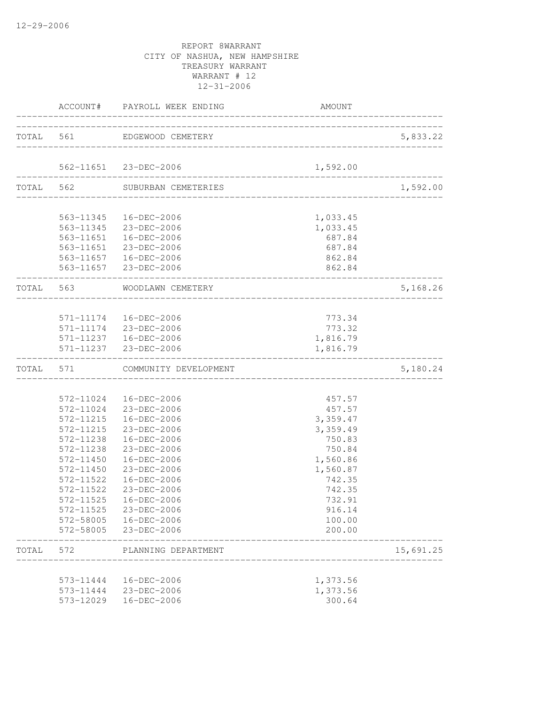|           |                        | ACCOUNT# PAYROLL WEEK ENDING                                           | <b>AMOUNT</b>                                    |           |
|-----------|------------------------|------------------------------------------------------------------------|--------------------------------------------------|-----------|
|           |                        | TOTAL 561 EDGEWOOD CEMETERY                                            |                                                  | 5,833.22  |
|           |                        | 562-11651 23-DEC-2006                                                  | 1,592.00                                         |           |
|           |                        | TOTAL 562 SUBURBAN CEMETERIES                                          | ________________<br>____________________________ | 1,592.00  |
|           |                        |                                                                        |                                                  |           |
|           |                        | 563-11345  16-DEC-2006<br>563-11345 23-DEC-2006                        | 1,033.45                                         |           |
|           |                        | 563-11651  16-DEC-2006                                                 | 1,033.45<br>687.84                               |           |
|           |                        | 563-11651 23-DEC-2006                                                  | 687.84                                           |           |
|           |                        | 563-11657  16-DEC-2006                                                 | 862.84                                           |           |
|           |                        | 563-11657 23-DEC-2006                                                  | 862.84                                           |           |
|           |                        | TOTAL 563 WOODLAWN CEMETERY                                            | ________________________                         | 5,168.26  |
|           |                        |                                                                        |                                                  |           |
|           |                        | 571-11174  16-DEC-2006                                                 | 773.34                                           |           |
|           |                        | 571-11174 23-DEC-2006<br>571-11237  16-DEC-2006                        | 773.32<br>1,816.79                               |           |
|           |                        | 571-11237 23-DEC-2006                                                  | 1,816.79                                         |           |
|           |                        | TOTAL 571 COMMUNITY DEVELOPMENT<br>___________________________________ |                                                  | 5,180.24  |
|           |                        |                                                                        |                                                  |           |
|           |                        | 572-11024  16-DEC-2006                                                 | 457.57                                           |           |
|           |                        | 572-11024 23-DEC-2006                                                  | 457.57                                           |           |
|           |                        | 572-11215  16-DEC-2006                                                 | 3,359.47                                         |           |
|           | 572-11215              | 23-DEC-2006                                                            | 3,359.49                                         |           |
|           | 572-11238              | 16-DEC-2006                                                            | 750.83                                           |           |
|           | 572-11238              | 23-DEC-2006                                                            | 750.84                                           |           |
|           | 572-11450<br>572-11450 | 16-DEC-2006<br>23-DEC-2006                                             | 1,560.86<br>1,560.87                             |           |
|           | 572-11522              | 16-DEC-2006                                                            | 742.35                                           |           |
|           | 572-11522              | 23-DEC-2006                                                            | 742.35                                           |           |
|           |                        | 572-11525  16-DEC-2006                                                 | 732.91                                           |           |
|           |                        | 572-11525 23-DEC-2006                                                  | 916.14                                           |           |
|           |                        | 572-58005  16-DEC-2006                                                 | 100.00                                           |           |
|           | 572-58005              | 23-DEC-2006                                                            | 200.00                                           |           |
| TOTAL 572 |                        | PLANNING DEPARTMENT                                                    |                                                  | 15,691.25 |
|           |                        |                                                                        |                                                  |           |
|           |                        | 573-11444  16-DEC-2006                                                 | 1,373.56<br>1,373.56                             |           |
|           | 573-12029              | 573-11444 23-DEC-2006<br>16-DEC-2006                                   | 300.64                                           |           |
|           |                        |                                                                        |                                                  |           |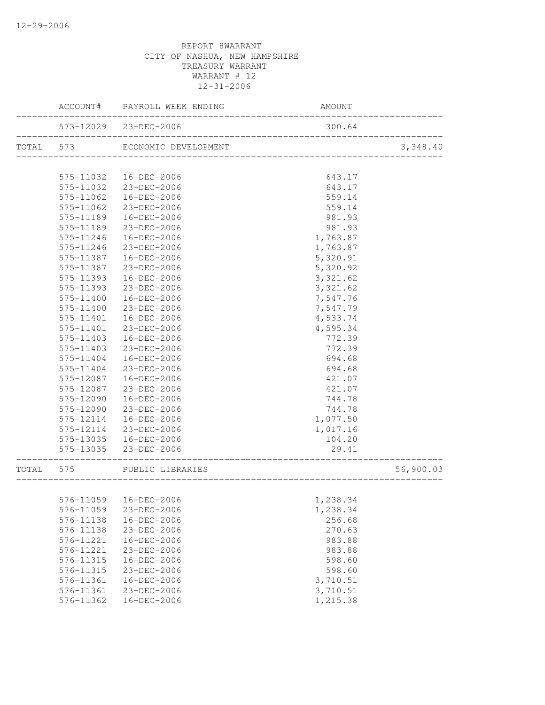|           |           | ACCOUNT# PAYROLL WEEK ENDING                            | AMOUNT                                |           |
|-----------|-----------|---------------------------------------------------------|---------------------------------------|-----------|
|           |           | 573-12029 23-DEC-2006<br>______________________________ | 300.64                                |           |
| TOTAL 573 |           | ECONOMIC DEVELOPMENT                                    |                                       | 3,348.40  |
|           |           |                                                         |                                       |           |
|           | 575-11032 | 16-DEC-2006                                             | 643.17                                |           |
|           |           | 575-11032 23-DEC-2006                                   | 643.17                                |           |
|           | 575-11062 | 16-DEC-2006                                             | 559.14                                |           |
|           | 575-11062 | 23-DEC-2006                                             | 559.14                                |           |
|           | 575-11189 | 16-DEC-2006                                             | 981.93                                |           |
|           | 575-11189 | 23-DEC-2006                                             | 981.93                                |           |
|           | 575-11246 | 16-DEC-2006                                             | 1,763.87                              |           |
|           | 575-11246 | 23-DEC-2006                                             | 1,763.87                              |           |
|           | 575-11387 | 16-DEC-2006                                             | 5,320.91                              |           |
|           | 575-11387 | 23-DEC-2006                                             | 5,320.92                              |           |
|           | 575-11393 | 16-DEC-2006                                             | 3,321.62                              |           |
|           | 575-11393 | 23-DEC-2006                                             | 3,321.62                              |           |
|           | 575-11400 | 16-DEC-2006                                             | 7,547.76                              |           |
|           | 575-11400 | 23-DEC-2006                                             | 7,547.79                              |           |
|           | 575-11401 | 16-DEC-2006                                             | 4,533.74                              |           |
|           | 575-11401 | 23-DEC-2006                                             | 4,595.34                              |           |
|           | 575-11403 | 16-DEC-2006                                             | 772.39                                |           |
|           | 575-11403 | 23-DEC-2006                                             | 772.39                                |           |
|           | 575-11404 | 16-DEC-2006                                             | 694.68                                |           |
|           | 575-11404 | 23-DEC-2006                                             | 694.68                                |           |
|           | 575-12087 | 16-DEC-2006                                             | 421.07                                |           |
|           | 575-12087 | 23-DEC-2006                                             | 421.07                                |           |
|           | 575-12090 | 16-DEC-2006                                             | 744.78                                |           |
|           | 575-12090 | 23-DEC-2006                                             | 744.78                                |           |
|           | 575-12114 | 16-DEC-2006                                             | 1,077.50                              |           |
|           | 575-12114 | 23-DEC-2006                                             | 1,017.16                              |           |
|           |           | 575-13035  16-DEC-2006                                  | 104.20                                |           |
|           |           | 575-13035 23-DEC-2006                                   | 29.41<br>____________________________ |           |
| TOTAL 575 |           | PUBLIC LIBRARIES                                        | ________________________              | 56,900.03 |
|           |           |                                                         |                                       |           |
|           |           | 576-11059  16-DEC-2006                                  | 1,238.34                              |           |
|           | 576-11059 | 23-DEC-2006                                             | 1,238.34                              |           |
|           | 576-11138 | 16-DEC-2006                                             | 256.68                                |           |
|           | 576-11138 | 23-DEC-2006                                             | 270.63                                |           |
|           | 576-11221 | 16-DEC-2006                                             | 983.88                                |           |
|           | 576-11221 | 23-DEC-2006                                             | 983.88                                |           |
|           | 576-11315 | 16-DEC-2006                                             | 598.60                                |           |
|           | 576-11315 | 23-DEC-2006                                             | 598.60                                |           |
|           | 576-11361 | 16-DEC-2006                                             | 3,710.51                              |           |
|           | 576-11361 | 23-DEC-2006                                             | 3,710.51                              |           |
|           | 576-11362 | 16-DEC-2006                                             | 1,215.38                              |           |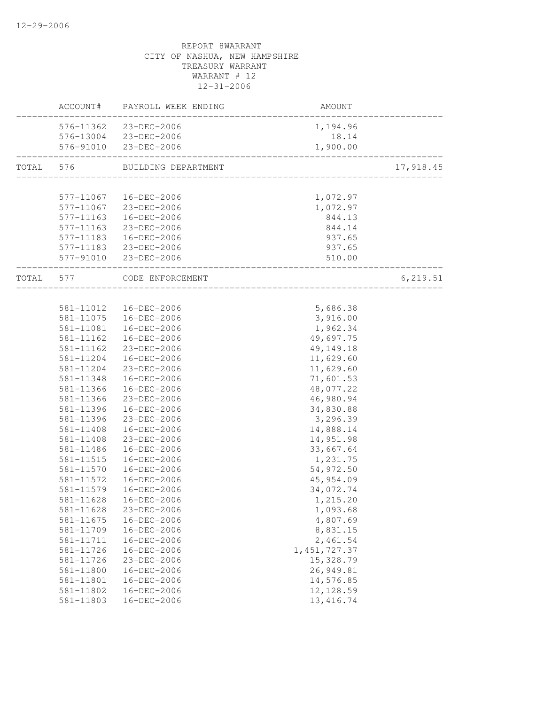|           | ACCOUNT#               | PAYROLL WEEK ENDING        | AMOUNT                 |           |
|-----------|------------------------|----------------------------|------------------------|-----------|
|           |                        | 576-11362 23-DEC-2006      | 1,194.96               |           |
|           |                        | 576-13004 23-DEC-2006      | 18.14                  |           |
|           |                        | 576-91010 23-DEC-2006      | 1,900.00               |           |
| TOTAL 576 |                        | BUILDING DEPARTMENT        |                        | 17,918.45 |
|           |                        |                            |                        |           |
|           |                        | 577-11067  16-DEC-2006     | 1,072.97               |           |
|           |                        | 577-11067 23-DEC-2006      | 1,072.97               |           |
|           |                        | 577-11163  16-DEC-2006     | 844.13                 |           |
|           | 577-11163              | 23-DEC-2006                | 844.14                 |           |
|           |                        | 577-11183  16-DEC-2006     | 937.65                 |           |
|           |                        | 577-11183 23-DEC-2006      | 937.65                 |           |
|           |                        | 577-91010 23-DEC-2006      | 510.00                 |           |
|           |                        | TOTAL 577 CODE ENFORCEMENT |                        | 6, 219.51 |
|           |                        |                            |                        |           |
|           |                        | 581-11012  16-DEC-2006     | 5,686.38               |           |
|           |                        | 581-11075  16-DEC-2006     | 3,916.00               |           |
|           | 581-11081              | 16-DEC-2006                | 1,962.34               |           |
|           | $581 - 11162$          | 16-DEC-2006                | 49,697.75              |           |
|           | 581-11162              | 23-DEC-2006                | 49, 149. 18            |           |
|           | 581-11204              | 16-DEC-2006                | 11,629.60              |           |
|           | 581-11204              | 23-DEC-2006                | 11,629.60              |           |
|           | 581-11348              | 16-DEC-2006                | 71,601.53              |           |
|           | 581-11366              | 16-DEC-2006                | 48,077.22              |           |
|           | 581-11366              | 23-DEC-2006                | 46,980.94              |           |
|           | 581-11396              | 16-DEC-2006<br>23-DEC-2006 | 34,830.88              |           |
|           | 581-11396              |                            | 3,296.39               |           |
|           | 581-11408<br>581-11408 | 16-DEC-2006                | 14,888.14              |           |
|           | 581-11486              | 23-DEC-2006<br>16-DEC-2006 | 14,951.98<br>33,667.64 |           |
|           | 581-11515              | 16-DEC-2006                | 1,231.75               |           |
|           | 581-11570              | 16-DEC-2006                | 54,972.50              |           |
|           | 581-11572              | 16-DEC-2006                | 45, 954.09             |           |
|           | 581-11579              | 16-DEC-2006                | 34,072.74              |           |
|           | 581-11628              | 16-DEC-2006                | 1,215.20               |           |
|           | 581-11628              | 23-DEC-2006                | 1,093.68               |           |
|           | 581-11675              | 16-DEC-2006                | 4,807.69               |           |
|           | 581-11709              | 16-DEC-2006                | 8,831.15               |           |
|           | 581-11711              | 16-DEC-2006                | 2,461.54               |           |
|           | 581-11726              | 16-DEC-2006                | 1, 451, 727.37         |           |
|           | 581-11726              | 23-DEC-2006                | 15,328.79              |           |
|           | 581-11800              | $16 - DEC - 2006$          | 26,949.81              |           |
|           | 581-11801              | 16-DEC-2006                | 14,576.85              |           |
|           | 581-11802              | 16-DEC-2006                | 12, 128.59             |           |
|           | 581-11803              | 16-DEC-2006                | 13, 416.74             |           |
|           |                        |                            |                        |           |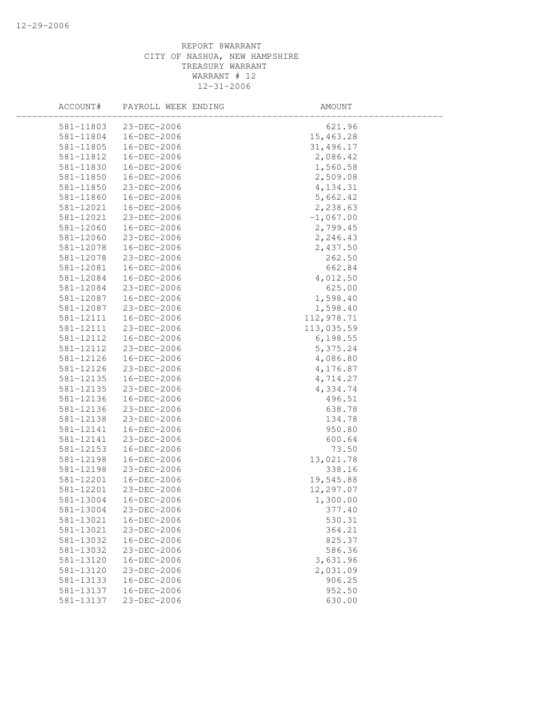| ACCOUNT#  | PAYROLL WEEK ENDING | AMOUNT      |  |
|-----------|---------------------|-------------|--|
| 581-11803 | 23-DEC-2006         | 621.96      |  |
| 581-11804 | 16-DEC-2006         | 15,463.28   |  |
| 581-11805 | 16-DEC-2006         | 31,496.17   |  |
| 581-11812 | 16-DEC-2006         | 2,086.42    |  |
| 581-11830 | 16-DEC-2006         | 1,560.58    |  |
| 581-11850 | 16-DEC-2006         | 2,509.08    |  |
| 581-11850 | 23-DEC-2006         | 4,134.31    |  |
| 581-11860 | 16-DEC-2006         | 5,662.42    |  |
| 581-12021 | 16-DEC-2006         | 2,238.63    |  |
| 581-12021 | 23-DEC-2006         | $-1,067.00$ |  |
| 581-12060 | 16-DEC-2006         | 2,799.45    |  |
| 581-12060 | 23-DEC-2006         | 2,246.43    |  |
| 581-12078 | 16-DEC-2006         | 2,437.50    |  |
| 581-12078 | 23-DEC-2006         | 262.50      |  |
| 581-12081 | 16-DEC-2006         | 662.84      |  |
| 581-12084 | 16-DEC-2006         | 4,012.50    |  |
| 581-12084 | 23-DEC-2006         | 625.00      |  |
| 581-12087 | 16-DEC-2006         | 1,598.40    |  |
| 581-12087 | 23-DEC-2006         | 1,598.40    |  |
| 581-12111 | 16-DEC-2006         | 112,978.71  |  |
| 581-12111 | 23-DEC-2006         | 113,035.59  |  |
| 581-12112 | 16-DEC-2006         | 6,198.55    |  |
| 581-12112 | 23-DEC-2006         | 5,375.24    |  |
| 581-12126 | 16-DEC-2006         | 4,086.80    |  |
| 581-12126 | 23-DEC-2006         | 4,176.87    |  |
| 581-12135 | 16-DEC-2006         | 4,714.27    |  |
| 581-12135 | 23-DEC-2006         | 4,334.74    |  |
| 581-12136 | 16-DEC-2006         | 496.51      |  |
| 581-12136 | 23-DEC-2006         | 638.78      |  |
| 581-12138 | 23-DEC-2006         | 134.78      |  |
| 581-12141 | 16-DEC-2006         | 950.80      |  |
| 581-12141 | 23-DEC-2006         | 600.64      |  |
| 581-12153 | 16-DEC-2006         | 73.50       |  |
| 581-12198 | 16-DEC-2006         | 13,021.78   |  |
| 581-12198 | 23-DEC-2006         | 338.16      |  |
| 581-12201 | 16-DEC-2006         | 19,545.88   |  |
| 581-12201 | 23-DEC-2006         | 12,297.07   |  |
| 581-13004 | 16-DEC-2006         | 1,300.00    |  |
| 581-13004 | 23-DEC-2006         | 377.40      |  |
| 581-13021 | 16-DEC-2006         | 530.31      |  |
| 581-13021 | 23-DEC-2006         | 364.21      |  |
| 581-13032 | 16-DEC-2006         | 825.37      |  |
| 581-13032 | 23-DEC-2006         | 586.36      |  |
| 581-13120 | 16-DEC-2006         | 3,631.96    |  |
| 581-13120 | 23-DEC-2006         | 2,031.09    |  |
| 581-13133 | 16-DEC-2006         | 906.25      |  |
| 581-13137 | 16-DEC-2006         | 952.50      |  |
| 581-13137 | 23-DEC-2006         | 630.00      |  |
|           |                     |             |  |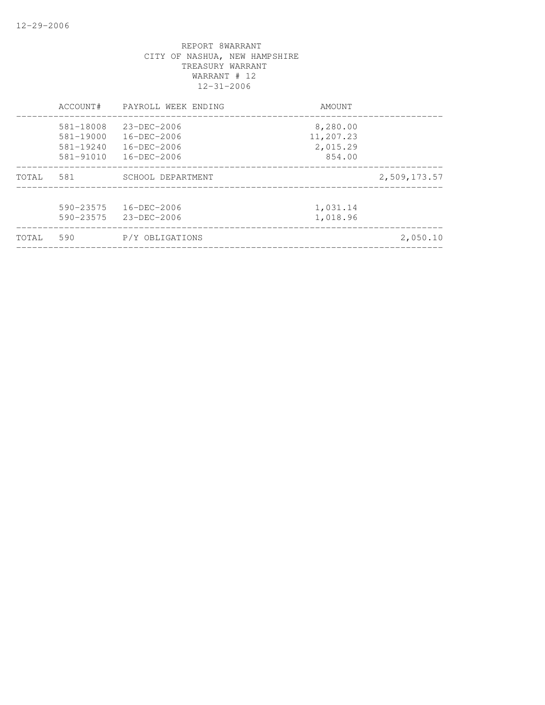|       | ACCOUNT#                                    | PAYROLL WEEK ENDING                                         | AMOUNT                            |              |
|-------|---------------------------------------------|-------------------------------------------------------------|-----------------------------------|--------------|
|       | 581-18008<br>$581 - 19000$<br>$581 - 19240$ | $23 - DEC - 2006$<br>$16 - DEC - 2006$<br>$16 - DEC - 2006$ | 8,280.00<br>11,207.23<br>2,015.29 |              |
|       | $581 - 91010$                               | $16 - DEC - 2006$                                           | 854.00                            |              |
| TOTAL | 581                                         | SCHOOL DEPARTMENT                                           |                                   | 2,509,173.57 |
|       | $590 - 23575$<br>590-23575                  | $16 - DEC - 2006$<br>23-DEC-2006                            | 1,031.14<br>1,018.96              |              |
| TOTAL | 590                                         | P/Y OBLIGATIONS                                             |                                   | 2,050.10     |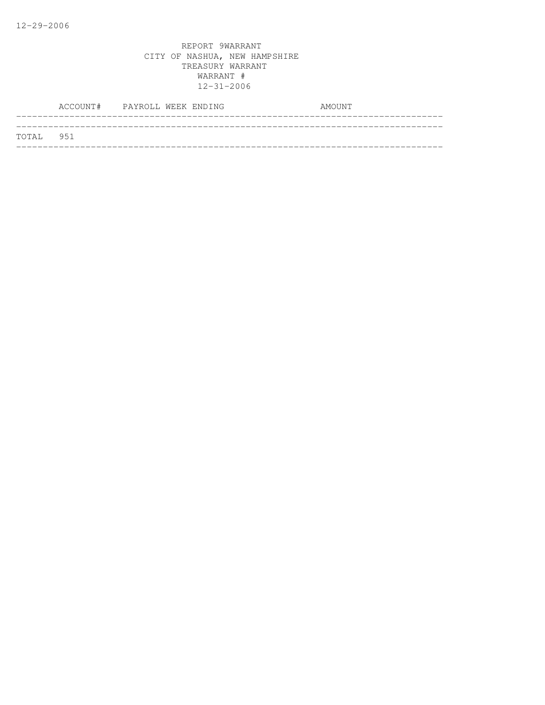|           | ACCOUNT# PAYROLL WEEK ENDING |  | AMOUNT |
|-----------|------------------------------|--|--------|
|           |                              |  |        |
| TOTAL 951 |                              |  |        |
|           |                              |  |        |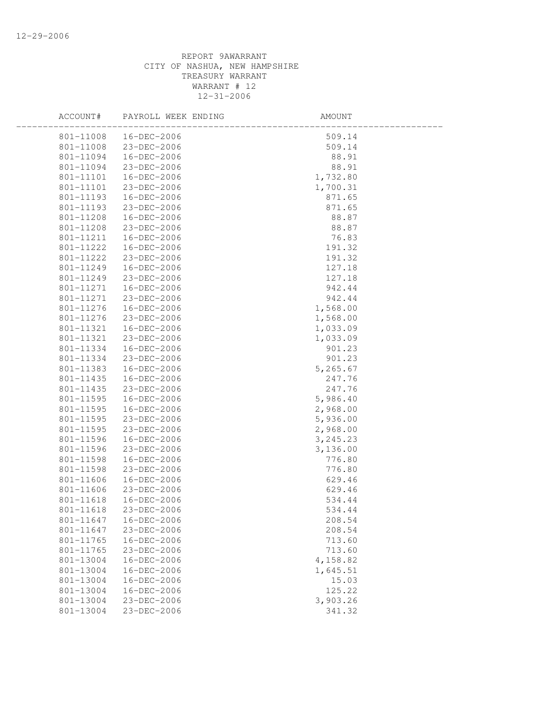| ACCOUNT#  | PAYROLL WEEK ENDING    | AMOUNT    |  |
|-----------|------------------------|-----------|--|
| 801-11008 | 16-DEC-2006            | 509.14    |  |
| 801-11008 | 23-DEC-2006            | 509.14    |  |
| 801-11094 | 16-DEC-2006            | 88.91     |  |
| 801-11094 | 23-DEC-2006            | 88.91     |  |
| 801-11101 | 16-DEC-2006            | 1,732.80  |  |
| 801-11101 | 23-DEC-2006            | 1,700.31  |  |
| 801-11193 | 16-DEC-2006            | 871.65    |  |
| 801-11193 | 23-DEC-2006            | 871.65    |  |
| 801-11208 | 16-DEC-2006            | 88.87     |  |
| 801-11208 | 23-DEC-2006            | 88.87     |  |
| 801-11211 | 16-DEC-2006            | 76.83     |  |
| 801-11222 | 16-DEC-2006            | 191.32    |  |
| 801-11222 | 23-DEC-2006            | 191.32    |  |
| 801-11249 | 16-DEC-2006            | 127.18    |  |
| 801-11249 | 23-DEC-2006            | 127.18    |  |
| 801-11271 | 16-DEC-2006            | 942.44    |  |
| 801-11271 | 23-DEC-2006            | 942.44    |  |
| 801-11276 | 16-DEC-2006            | 1,568.00  |  |
| 801-11276 | 23-DEC-2006            | 1,568.00  |  |
| 801-11321 | 16-DEC-2006            | 1,033.09  |  |
| 801-11321 | 23-DEC-2006            | 1,033.09  |  |
| 801-11334 | 16-DEC-2006            | 901.23    |  |
|           | 801-11334 23-DEC-2006  | 901.23    |  |
|           | 801-11383  16-DEC-2006 | 5,265.67  |  |
| 801-11435 | 16-DEC-2006            | 247.76    |  |
| 801-11435 | 23-DEC-2006            | 247.76    |  |
| 801-11595 | 16-DEC-2006            | 5,986.40  |  |
| 801-11595 | 16-DEC-2006            | 2,968.00  |  |
| 801-11595 | 23-DEC-2006            | 5,936.00  |  |
| 801-11595 | 23-DEC-2006            | 2,968.00  |  |
| 801-11596 | 16-DEC-2006            | 3, 245.23 |  |
| 801-11596 | 23-DEC-2006            | 3,136.00  |  |
| 801-11598 | 16-DEC-2006            | 776.80    |  |
| 801-11598 | 23-DEC-2006            | 776.80    |  |
| 801-11606 | 16-DEC-2006            | 629.46    |  |
| 801-11606 | 23-DEC-2006            | 629.46    |  |
| 801-11618 | 16-DEC-2006            | 534.44    |  |
| 801-11618 | 23-DEC-2006            | 534.44    |  |
| 801-11647 | 16-DEC-2006            | 208.54    |  |
| 801-11647 | 23-DEC-2006            | 208.54    |  |
| 801-11765 | 16-DEC-2006            | 713.60    |  |
| 801-11765 | 23-DEC-2006            | 713.60    |  |
| 801-13004 | 16-DEC-2006            | 4,158.82  |  |
| 801-13004 | 16-DEC-2006            | 1,645.51  |  |
| 801-13004 | 16-DEC-2006            | 15.03     |  |
| 801-13004 | 16-DEC-2006            | 125.22    |  |
| 801-13004 | 23-DEC-2006            | 3,903.26  |  |
| 801-13004 | 23-DEC-2006            | 341.32    |  |
|           |                        |           |  |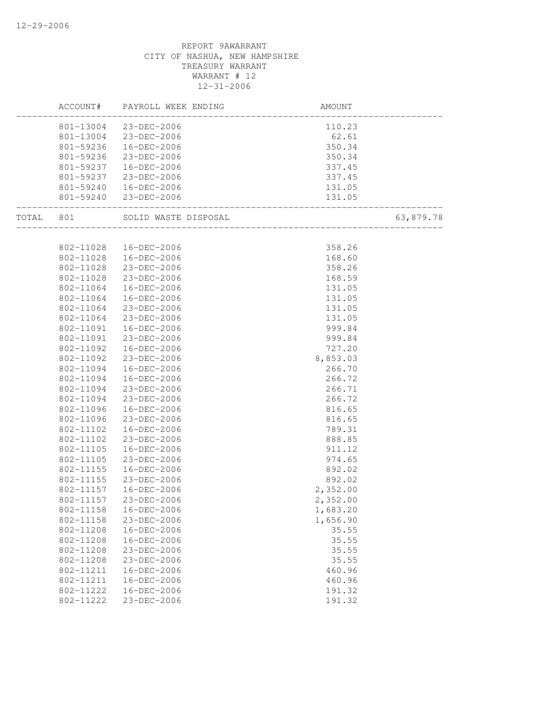|           |           | ACCOUNT# PAYROLL WEEK ENDING | AMOUNT                                                    |           |
|-----------|-----------|------------------------------|-----------------------------------------------------------|-----------|
|           |           | 801-13004 23-DEC-2006        | 110.23                                                    |           |
|           |           | 801-13004 23-DEC-2006        | 62.61                                                     |           |
|           |           | 801-59236  16-DEC-2006       | 350.34                                                    |           |
|           | 801-59236 | 23-DEC-2006                  | 350.34                                                    |           |
|           |           | 801-59237  16-DEC-2006       | 337.45                                                    |           |
|           |           | 801-59237 23-DEC-2006        | 337.45                                                    |           |
|           |           | 801-59240  16-DEC-2006       | 131.05                                                    |           |
|           |           | 801-59240 23-DEC-2006        | . 131<br>. 131<br>-----------------------------<br>131.05 |           |
| TOTAL 801 |           | SOLID WASTE DISPOSAL         | ___________________                                       | 63,879.78 |
|           |           |                              |                                                           |           |
|           |           | 802-11028  16-DEC-2006       | 358.26                                                    |           |
|           |           | 802-11028  16-DEC-2006       | 168.60                                                    |           |
|           | 802-11028 | 23-DEC-2006                  | 358.26                                                    |           |
|           | 802-11028 | 23-DEC-2006                  | 168.59                                                    |           |
|           | 802-11064 | 16-DEC-2006                  | 131.05                                                    |           |
|           | 802-11064 | 16-DEC-2006                  | 131.05                                                    |           |
|           | 802-11064 | 23-DEC-2006                  | 131.05                                                    |           |
|           | 802-11064 | 23-DEC-2006                  | 131.05                                                    |           |
|           |           | 802-11091  16-DEC-2006       | 999.84                                                    |           |
|           | 802-11091 | 23-DEC-2006                  | 999.84                                                    |           |
|           | 802-11092 | 16-DEC-2006                  | 727.20                                                    |           |
|           | 802-11092 | 23-DEC-2006                  | 8,853.03                                                  |           |
|           | 802-11094 | 16-DEC-2006                  | 266.70                                                    |           |
|           | 802-11094 | 16-DEC-2006                  | 266.72                                                    |           |
|           | 802-11094 | 23-DEC-2006                  | 266.71                                                    |           |
|           | 802-11094 | 23-DEC-2006                  | 266.72                                                    |           |
|           | 802-11096 | 16-DEC-2006                  | 816.65                                                    |           |
|           | 802-11096 | 23-DEC-2006                  | 816.65                                                    |           |
|           | 802-11102 | 16-DEC-2006                  | 789.31                                                    |           |
|           | 802-11102 | 23-DEC-2006                  | 888.85                                                    |           |
|           | 802-11105 | 16-DEC-2006                  | 911.12                                                    |           |
|           | 802-11105 | 23-DEC-2006                  | 974.65                                                    |           |
|           | 802-11155 | 16-DEC-2006                  | 892.02                                                    |           |
|           | 802-11155 | 23-DEC-2006                  | 892.02                                                    |           |
|           |           | 802-11157  16-DEC-2006       | 2,352.00                                                  |           |
|           | 802-11157 | 23-DEC-2006                  | 2,352.00                                                  |           |
|           | 802-11158 | 16-DEC-2006                  | 1,683.20                                                  |           |
|           | 802-11158 | 23-DEC-2006                  | 1,656.90                                                  |           |
|           | 802-11208 | 16-DEC-2006                  | 35.55                                                     |           |
|           | 802-11208 | $16 - DEC - 2006$            | 35.55                                                     |           |
|           | 802-11208 | 23-DEC-2006                  | 35.55                                                     |           |
|           | 802-11208 | 23-DEC-2006                  | 35.55                                                     |           |
|           | 802-11211 | 16-DEC-2006                  | 460.96                                                    |           |
|           | 802-11211 | 16-DEC-2006                  | 460.96                                                    |           |
|           | 802-11222 | 16-DEC-2006                  | 191.32                                                    |           |
|           | 802-11222 | 23-DEC-2006                  | 191.32                                                    |           |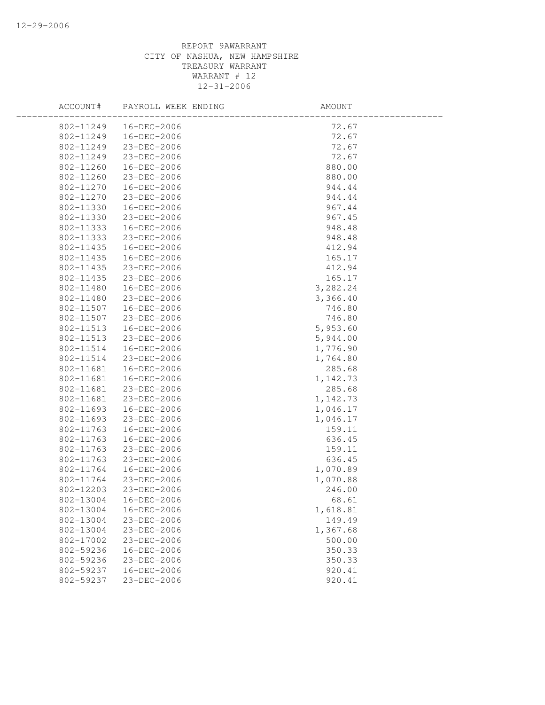| ACCOUNT#  | PAYROLL WEEK ENDING | AMOUNT   |  |
|-----------|---------------------|----------|--|
| 802-11249 | 16-DEC-2006         | 72.67    |  |
| 802-11249 | 16-DEC-2006         | 72.67    |  |
| 802-11249 | 23-DEC-2006         | 72.67    |  |
| 802-11249 | 23-DEC-2006         | 72.67    |  |
| 802-11260 | 16-DEC-2006         | 880.00   |  |
| 802-11260 | 23-DEC-2006         | 880.00   |  |
| 802-11270 | 16-DEC-2006         | 944.44   |  |
| 802-11270 | 23-DEC-2006         | 944.44   |  |
| 802-11330 | 16-DEC-2006         | 967.44   |  |
| 802-11330 | 23-DEC-2006         | 967.45   |  |
| 802-11333 | 16-DEC-2006         | 948.48   |  |
| 802-11333 | 23-DEC-2006         | 948.48   |  |
| 802-11435 | 16-DEC-2006         | 412.94   |  |
| 802-11435 | 16-DEC-2006         | 165.17   |  |
| 802-11435 | 23-DEC-2006         | 412.94   |  |
| 802-11435 | 23-DEC-2006         | 165.17   |  |
| 802-11480 | 16-DEC-2006         | 3,282.24 |  |
| 802-11480 | 23-DEC-2006         | 3,366.40 |  |
| 802-11507 | 16-DEC-2006         | 746.80   |  |
| 802-11507 | 23-DEC-2006         | 746.80   |  |
| 802-11513 | 16-DEC-2006         | 5,953.60 |  |
| 802-11513 | 23-DEC-2006         | 5,944.00 |  |
| 802-11514 | 16-DEC-2006         | 1,776.90 |  |
| 802-11514 | 23-DEC-2006         | 1,764.80 |  |
| 802-11681 | 16-DEC-2006         | 285.68   |  |
| 802-11681 | 16-DEC-2006         | 1,142.73 |  |
| 802-11681 | 23-DEC-2006         | 285.68   |  |
| 802-11681 | 23-DEC-2006         | 1,142.73 |  |
| 802-11693 | 16-DEC-2006         | 1,046.17 |  |
| 802-11693 | 23-DEC-2006         | 1,046.17 |  |
| 802-11763 | 16-DEC-2006         | 159.11   |  |
| 802-11763 | 16-DEC-2006         | 636.45   |  |
| 802-11763 | 23-DEC-2006         | 159.11   |  |
| 802-11763 | 23-DEC-2006         | 636.45   |  |
| 802-11764 | 16-DEC-2006         | 1,070.89 |  |
| 802-11764 | 23-DEC-2006         | 1,070.88 |  |
| 802-12203 | 23-DEC-2006         | 246.00   |  |
| 802-13004 | $16 - DEC - 2006$   | 68.61    |  |
| 802-13004 | 16-DEC-2006         | 1,618.81 |  |
| 802-13004 | 23-DEC-2006         | 149.49   |  |
| 802-13004 | 23-DEC-2006         | 1,367.68 |  |
| 802-17002 | 23-DEC-2006         | 500.00   |  |
| 802-59236 | 16-DEC-2006         | 350.33   |  |
| 802-59236 | 23-DEC-2006         | 350.33   |  |
| 802-59237 | 16-DEC-2006         | 920.41   |  |
| 802-59237 | 23-DEC-2006         | 920.41   |  |
|           |                     |          |  |